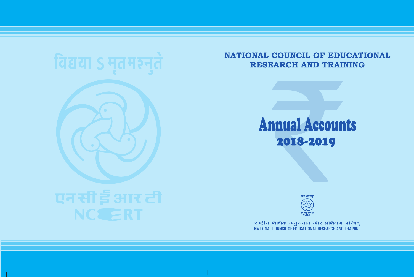### **Annual Accounts** 2018-2019



राष्ट्रीय शैक्षिक अनुसंधान और प्रशिक्षण परिषद् NATIONAL COUNCIL OF EDUCATIONAL RESEARCH AND TRAINING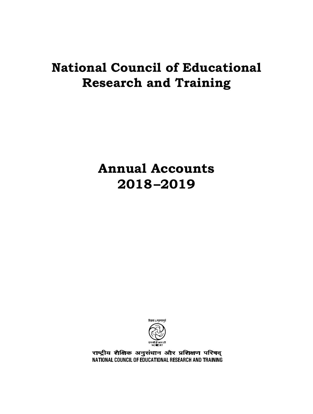### **Annual Accounts 2018–2019**



राष्ट्रीय शैक्षिक अनुसंधान और प्रशिक्षण परिषद् NATIONAL COUNCIL OF EDUCATIONAL RESEARCH AND TRAINING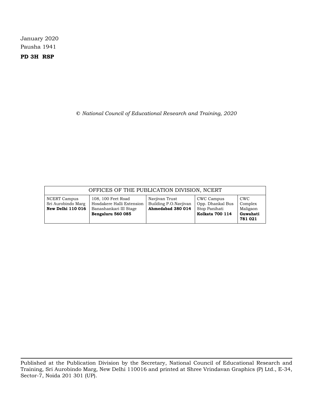January 2020 Pausha 1941

**PD 3H RSP**

**©** *National Council of Educational Research and Training, 2020*

|                                                                | OFFICES OF THE PUBLICATION DIVISION, NCERT                                                     |                                                              |                                                                           |                                                          |
|----------------------------------------------------------------|------------------------------------------------------------------------------------------------|--------------------------------------------------------------|---------------------------------------------------------------------------|----------------------------------------------------------|
| NCERT Campus<br>Sri Aurobindo Marg<br><b>New Delhi 110 016</b> | 108, 100 Feet Road<br>Hosdakere Halli Extension<br>Banashankari III Stage<br>Bengaluru 560 085 | Navjivan Trust<br>Building P.O.Navjivan<br>Ahmedabad 380 014 | CWC Campus<br>Opp. Dhankal Bus<br>Stop Panihati<br><b>Kolkata 700 114</b> | <b>CWC</b><br>Complex<br>Maligaon<br>Guwahati<br>781 021 |

Published at the Publication Division by the Secretary, National Council of Educational Research and Training, Sri Aurobindo Marg, New Delhi 110016 and printed at Shree Vrindavan Graphics (P) Ltd., E-34, Sector-7, Noida 201 301 (UP).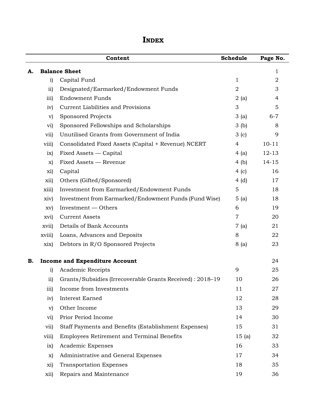|    |                 | Content                                                   | Schedule       | Page No.       |
|----|-----------------|-----------------------------------------------------------|----------------|----------------|
| А. |                 | <b>Balance Sheet</b>                                      |                | 1              |
|    | i)              | Capital Fund                                              | 1              | $\overline{2}$ |
|    | $\overline{11}$ | Designated/Earmarked/Endowment Funds                      | $\overline{2}$ | 3              |
|    | iii)            | <b>Endowment Funds</b>                                    | 2(a)           | 4              |
|    | iv)             | Current Liabilities and Provisions                        | 3              | 5              |
|    | $\mathbf{v})$   | Sponsored Projects                                        | 3(a)           | $6 - 7$        |
|    | vi)             | Sponsored Fellowships and Scholarships                    | 3(b)           | 8              |
|    | vii)            | Unutilised Grants from Government of India                | 3(c)           | 9              |
|    | viii)           | Consolidated Fixed Assets (Capital + Revenue) NCERT       | $\overline{4}$ | $10 - 11$      |
|    | ix)             | Fixed Assets — Capital                                    | 4(a)           | $12 - 13$      |
|    | $\mathbf{x}$    | Fixed Assets - Revenue                                    | 4(b)           | $14 - 15$      |
|    | xi)             | Capital                                                   | 4(c)           | 16             |
|    | xii)            | Others (Gifted/Sponsored)                                 | 4(d)           | 17             |
|    | xiii)           | Investment from Earmarked/Endowment Funds                 | $\mathbf 5$    | 18             |
|    | xiv)            | Investment from Earmarked/Endowment Funds (Fund Wise)     | 5(a)           | 18             |
|    | XV)             | Investment — Others                                       | 6              | 19             |
|    | xvi)            | <b>Current Assets</b>                                     | $\overline{7}$ | 20             |
|    | xvii)           | Details of Bank Accounts                                  | 7(a)           | 21             |
|    | xviii)          | Loans, Advances and Deposits                              | 8              | 22             |
|    | xix)            | Debtors in R/O Sponsored Projects                         | 8 (a)          | 23             |
| В. |                 | <b>Income and Expenditure Account</b>                     |                | 24             |
|    | i)              | Academic Receipts                                         | 9              | 25             |
|    | $\overline{11}$ | Grants/Subsidies (Irrecoverable Grants Received): 2018-19 | 10             | 26             |
|    | iii)            | Income from Investments                                   | 11             | 27             |
|    | iv)             | Interest Earned                                           | 12             | 28             |
|    | $\mathbf{v})$   | Other Income                                              | 13             | 29             |
|    | vi)             | Prior Period Income                                       | 14             | 30             |
|    | vii)            | Staff Payments and Benefits (Establishment Expenses)      | 15             | 31             |
|    | viii)           | Employees Retirement and Terminal Benefits                | 15(a)          | 32             |
|    | ix)             | Academic Expenses                                         | 16             | 33             |
|    | X)              | Administrative and General Expenses                       | 17             | 34             |
|    | xi)             | <b>Transportation Expenses</b>                            | 18             | 35             |
|    | xii)            | Repairs and Maintenance                                   | 19             | 36             |

### **Index**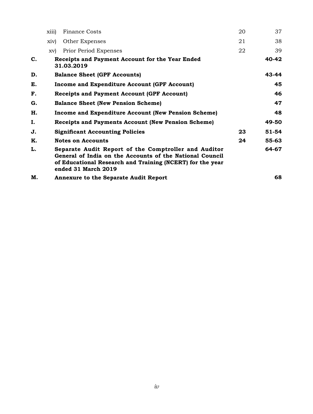|    | xiii) | <b>Finance Costs</b>                                                                                                                                                                                 | 20 | 37    |
|----|-------|------------------------------------------------------------------------------------------------------------------------------------------------------------------------------------------------------|----|-------|
|    | xiv)  | Other Expenses                                                                                                                                                                                       | 21 | 38    |
|    | XV)   | Prior Period Expenses                                                                                                                                                                                | 22 | 39    |
| C. |       | Receipts and Payment Account for the Year Ended<br>31.03.2019                                                                                                                                        |    | 40-42 |
| D. |       | <b>Balance Sheet (GPF Accounts)</b>                                                                                                                                                                  |    | 43-44 |
| E. |       | <b>Income and Expenditure Account (GPF Account)</b>                                                                                                                                                  |    | 45    |
| F. |       | <b>Receipts and Payment Account (GPF Account)</b>                                                                                                                                                    |    | 46    |
| G. |       | <b>Balance Sheet (New Pension Scheme)</b>                                                                                                                                                            |    | 47    |
| Н. |       | <b>Income and Expenditure Account (New Pension Scheme)</b>                                                                                                                                           |    | 48    |
| I. |       | <b>Receipts and Payments Account (New Pension Scheme)</b>                                                                                                                                            |    | 49-50 |
| J. |       | <b>Significant Accounting Policies</b>                                                                                                                                                               | 23 | 51-54 |
| K. |       | <b>Notes on Accounts</b>                                                                                                                                                                             | 24 | 55-63 |
| L. |       | Separate Audit Report of the Comptroller and Auditor<br>General of India on the Accounts of the National Council<br>of Educational Research and Training (NCERT) for the year<br>ended 31 March 2019 |    | 64-67 |
| М. |       | <b>Annexure to the Separate Audit Report</b>                                                                                                                                                         |    | 68    |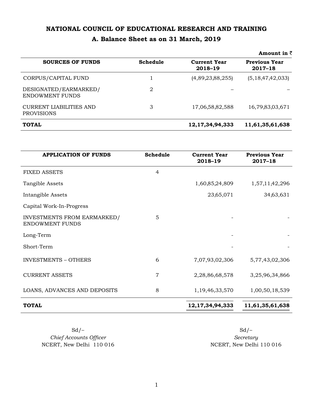### **A. Balance Sheet as on 31 March, 2019**

|                                              |          |                                | Amount in $\bar{z}$                 |
|----------------------------------------------|----------|--------------------------------|-------------------------------------|
| <b>SOURCES OF FUNDS</b>                      | Schedule | <b>Current Year</b><br>2018-19 | <b>Previous Year</b><br>$2017 - 18$ |
| CORPUS/CAPITAL FUND                          |          | (4,89,23,88,255)               | (5,18,47,42,033)                    |
| DESIGNATED/EARMARKED/<br>ENDOWMENT FUNDS     | 2        |                                |                                     |
| CURRENT LIABILITIES AND<br><b>PROVISIONS</b> | 3        | 17,06,58,82,588                | 16,79,83,03,671                     |
| <b>TOTAL</b>                                 |          | 12, 17, 34, 94, 333            | 11,61,35,61,638                     |

| <b>APPLICATION OF FUNDS</b>                           | Schedule | <b>Current Year</b><br>2018-19 | <b>Previous Year</b><br>2017-18 |
|-------------------------------------------------------|----------|--------------------------------|---------------------------------|
| <b>FIXED ASSETS</b>                                   | 4        |                                |                                 |
| Tangible Assets                                       |          | 1,60,85,24,809                 | 1,57,11,42,296                  |
| Intangible Assets                                     |          | 23,65,071                      | 34,63,631                       |
| Capital Work-In-Progress                              |          |                                |                                 |
| INVESTMENTS FROM EARMARKED/<br><b>ENDOWMENT FUNDS</b> | 5        |                                |                                 |
| Long-Term                                             |          |                                |                                 |
| Short-Term                                            |          |                                |                                 |
| <b>INVESTMENTS - OTHERS</b>                           | 6        | 7,07,93,02,306                 | 5,77,43,02,306                  |
| <b>CURRENT ASSETS</b>                                 | 7        | 2,28,86,68,578                 | 3,25,96,34,866                  |
| LOANS, ADVANCES AND DEPOSITS                          | 8        | 1,19,46,33,570                 | 1,00,50,18,539                  |
| <b>TOTAL</b>                                          |          | 12, 17, 34, 94, 333            | 11,61,35,61,638                 |

 $Sd$  –  $Sd$  –  $Sd$  –  $C$ *hief Accounts Officer Secretary* NCERT, New Delhi 110 016 NCERT, New Delhi 110 016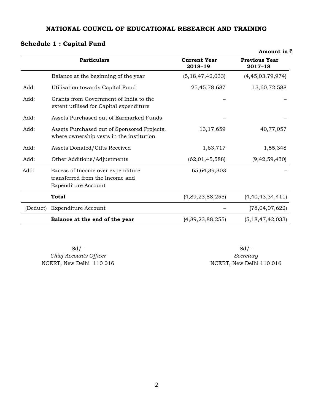### **Schedule 1 : Capital Fund**

|          |                                                                                             |                                | Amount in $\bar{z}$             |
|----------|---------------------------------------------------------------------------------------------|--------------------------------|---------------------------------|
|          | <b>Particulars</b>                                                                          | <b>Current Year</b><br>2018-19 | <b>Previous Year</b><br>2017-18 |
|          | Balance at the beginning of the year                                                        | (5, 18, 47, 42, 033)           | (4,45,03,79,974)                |
| Add:     | Utilisation towards Capital Fund                                                            | 25,45,78,687                   | 13,60,72,588                    |
| Add:     | Grants from Government of India to the<br>extent utilised for Capital expenditure           |                                |                                 |
| Add:     | Assets Purchased out of Earmarked Funds                                                     |                                |                                 |
| Add:     | Assets Purchased out of Sponsored Projects,<br>where ownership vests in the institution     | 13,17,659                      | 40,77,057                       |
| Add:     | Assets Donated/Gifts Received                                                               | 1,63,717                       | 1,55,348                        |
| Add:     | Other Additions/Adjustments                                                                 | (62, 01, 45, 588)              | (9, 42, 59, 430)                |
| Add:     | Excess of Income over expenditure<br>transferred from the Income and<br>Expenditure Account | 65,64,39,303                   |                                 |
|          | <b>Total</b>                                                                                | (4,89,23,88,255)               | (4,40,43,34,411)                |
| (Deduct) | Expenditure Account                                                                         |                                | (78,04,07,622)                  |
|          | Balance at the end of the year                                                              | (4,89,23,88,255)               | (5, 18, 47, 42, 033)            |

 $Sd$  –  $Sd$  –  $Sd$  – NCERT, New Delhi 110 016

*Chief Accounts Officer Secretary*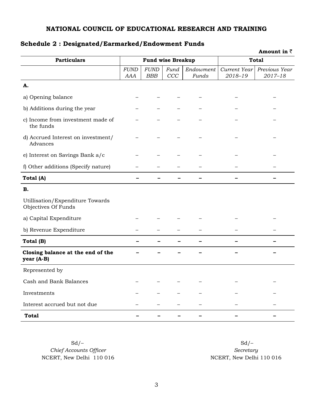|                                                         |                    |                           |             |                    |                         | Amount in $\bar{z}$          |
|---------------------------------------------------------|--------------------|---------------------------|-------------|--------------------|-------------------------|------------------------------|
| <b>Particulars</b>                                      |                    | <b>Fund wise Breakup</b>  |             |                    |                         | <b>Total</b>                 |
|                                                         | <b>FUND</b><br>AAA | <b>FUND</b><br><b>BBB</b> | Fund<br>CCC | Endowment<br>Funds | Current Year<br>2018-19 | Previous Year<br>$2017 - 18$ |
| A.                                                      |                    |                           |             |                    |                         |                              |
| a) Opening balance                                      |                    |                           |             |                    |                         |                              |
| b) Additions during the year                            |                    |                           |             |                    |                         |                              |
| c) Income from investment made of<br>the funds          |                    |                           |             |                    |                         |                              |
| d) Accrued Interest on investment/<br>Advances          |                    |                           |             |                    |                         |                              |
| e) Interest on Savings Bank a/c                         |                    |                           |             |                    |                         |                              |
| f) Other additions (Specify nature)                     |                    |                           |             |                    |                         |                              |
| Total (A)                                               | -                  |                           |             |                    |                         |                              |
| В.                                                      |                    |                           |             |                    |                         |                              |
| Utillisation/Expenditure Towards<br>Objectives Of Funds |                    |                           |             |                    |                         |                              |
| a) Capital Expenditure                                  |                    |                           |             |                    |                         |                              |
| b) Revenue Expenditure                                  |                    |                           |             |                    |                         |                              |
| Total (B)                                               | -                  | $\overline{\phantom{0}}$  |             |                    |                         |                              |
| Closing balance at the end of the<br>year (A-B)         |                    |                           |             |                    |                         |                              |
| Represented by                                          |                    |                           |             |                    |                         |                              |
| Cash and Bank Balances                                  |                    |                           |             |                    |                         |                              |
| Investments                                             |                    |                           |             |                    |                         |                              |
| Interest accrued but not due                            |                    |                           |             |                    |                         |                              |
| Total                                                   |                    |                           |             |                    |                         |                              |

### **Schedule 2 : Designated/Earmarked/Endowment Funds**

*Chief Accounts Officer Secretary*  NCERT, New Delhi 110 016 NCERT, New Delhi 110 016

 $Sd$  –  $Sd$  –  $Sd$  –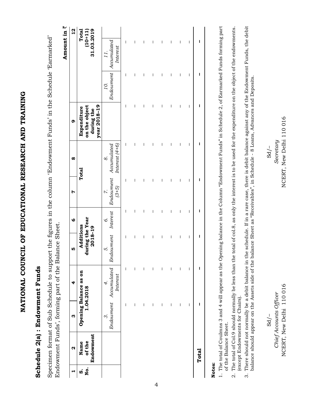NATIONAL COUNCIL OF EDUCATIONAL RESEARCH AND TRAINING **National Council of Educational Research and Training**

### Schedule 2(a) : Endowment Funds **Schedule 2(a) : Endowment Funds**

Specimen format of Sub Schedule to support the figures in the column 'Endowment Funds' in the Schedule 'Earmarked' Specimen format of Sub Schedule to support the figures in the column 'Endowment Funds' in the Schedule 'Earmarked' Endowment Funds', forming part of the Balance Sheet. Endowment Funds', forming part of the Balance Sheet. Amount in  $\bar{z}$ **Amount in** `

| $\overline{12}$ | Total                                                             |                                                                        |   |   |   |   |   |   |   |                          |       |
|-----------------|-------------------------------------------------------------------|------------------------------------------------------------------------|---|---|---|---|---|---|---|--------------------------|-------|
|                 | 31.03.2019<br>$(10+11)$                                           | Endowment   Accumulated<br>  Interest<br>11                            | I | I | I | I | I | I | I | I                        | ı     |
|                 |                                                                   | 10.                                                                    | I | I | I | I | I | I | I | I                        | ı     |
| Q               | year 2018-19<br><b>Expenditure</b><br>on the object<br>during the |                                                                        | I | I | I | I | I | I | I | I                        | ı     |
| $\infty$        | Total                                                             | 5.<br>Endowment Interest Endowment Accumulated<br>(3+5) Interest (4+6) | I | I | I | I | I | I | I | $\overline{\phantom{a}}$ | ı     |
| Ņ               |                                                                   |                                                                        | I | I | I | I | I | I | I | I                        | ı     |
| $\bullet$       |                                                                   |                                                                        | I | I | I | I | I | I | I | I                        | ı     |
| <b>IO</b>       | Additions<br>during the Year<br>2018–19                           |                                                                        | I | I | I | I | I | I | I | I                        | ı     |
| 4               | Opening Balance as on<br>1.04.2018                                | Endowment Accumulated<br>Interest<br>$\ddot{ }$                        | I | I | I | I | I | I | I | I                        | I     |
| ო               |                                                                   | $\ddot{\circ}$                                                         | I | I | I | I | I | I | I | I                        | ı     |
| $\alpha$        | Endowment<br>Name<br>of the                                       |                                                                        |   |   |   |   |   |   |   |                          | Total |
|                 | .ok<br>ø                                                          |                                                                        |   |   |   |   |   |   |   |                          |       |

### **Notes:**

- 1. The total of Coulmns 3 and 4 will appear as the Opening balance in the Column "Endowment Funds" in Schedule 2, of Earmarked Funds forming part 1. The total of Coulmns 3 and 4 will appear as the Opening balance in the Column "Endowment Funds" in Schedule 2, of Earmarked Funds forming part of the Balance Sheet. of the Balance Sheet.
- 2. The total of Col.9 should normally be less than the total of col.8, as only the interest is to be used for the expenditure on the object of the endowments. The total of Col.9 should normally be less than the total of col.8, as only the interest is to be used for the expenditure on the object of the endowments. (except Endowments for Chairs). (except Endowments for Chairs).  $\dot{\alpha}$
- There should not normally be a debit balance in the schedule. If in a rare case, there is debit balance against any of the Endowment Funds, the debit 3. There should not normally be a debit balance in the schedule. If in a rare case, there is debit balance against any of the Endowment Funds, the debit balance should appear on the Assets side of the balance Sheet as "Receivables", in Schedule - 8 Loans, Advances and Deposits. balance should appear on the Assets side of the balance Sheet as "Receivables", in Schedule - 8 Loans, Advances and Deposits.  $\ddot{\circ}$

NCERT, New Delhi 110 016 NCERT, New Delhi 110 016*Chief Accounts Officer Secretary*   $-\sqrt{2}$ NCERT, New Delhi 110 016 Chief Accounts Officer  $Sd/-$ 

 $Sd/-$ 

NCERT, New Delhi 110016 Secretary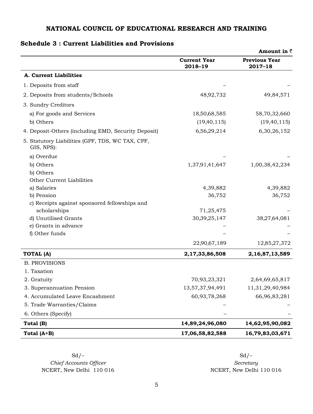### **Schedule 3 : Current Liabilities and Provisions**

|                                                                |                                | Amount in $\bar{z}$                 |
|----------------------------------------------------------------|--------------------------------|-------------------------------------|
|                                                                | <b>Current Year</b><br>2018-19 | <b>Previous Year</b><br>$2017 - 18$ |
| A. Current Liabilities                                         |                                |                                     |
| 1. Deposits from staff                                         |                                |                                     |
| 2. Deposits from students/Schools                              | 48,92,732                      | 49,84,571                           |
| 3. Sundry Creditors                                            |                                |                                     |
| a) For goods and Services                                      | 18,50,68,585                   | 58,70,32,660                        |
| b) Others                                                      | (19, 40, 115)                  | (19, 40, 115)                       |
| 4. Deposit-Others (including EMD, Security Deposit)            | 6,56,29,214                    | 6,30,26,152                         |
| 5. Statutory Liabilities (GPF, TDS, WC TAX, CPF,<br>GIS, NPS): |                                |                                     |
| a) Overdue                                                     |                                |                                     |
| b) Others                                                      | 1,37,91,41,647                 | 1,00,38,42,234                      |
| b) Others                                                      |                                |                                     |
| Other Current Liabilities                                      |                                |                                     |
| a) Salaries                                                    | 4,39,882                       | 4,39,882                            |
| b) Pension                                                     | 36,752                         | 36,752                              |
| c) Receipts against sponsored fellowships and                  |                                |                                     |
| scholarships                                                   | 71,25,475                      |                                     |
| d) Unutilised Grants                                           | 30, 39, 25, 147                | 38,27,64,081                        |
| e) Grants in advance<br>f) Other funds                         |                                |                                     |
|                                                                | 22,90,67,189                   | 12,85,27,372                        |
|                                                                |                                |                                     |
| <b>TOTAL (A)</b>                                               | 2,17,33,86,508                 | 2,16,87,13,589                      |
| <b>B. PROVISIONS</b>                                           |                                |                                     |
| 1. Taxation                                                    |                                |                                     |
| 2. Gratuity                                                    | 70,93,23,321                   | 2,64,69,65,817                      |
| 3. Superannuation Pension                                      | 13,57,37,94,491                | 11,31,29,40,984                     |
| 4. Accumulated Leave Encashment                                | 60,93,78,268                   | 66,96,83,281                        |
| 5. Trade Warranties/Claims                                     |                                |                                     |
| 6. Others (Specify)                                            |                                |                                     |
| Total (B)                                                      | 14,89,24,96,080                | 14,62,95,90,082                     |
| Total (A+B)                                                    | 17,06,58,82,588                | 16,79,83,03,671                     |

 $C$ *hief Accounts Officer Secretary* NCERT, New Delhi 110 016 NCERT, New Delhi 110 016

 $Sd$  –  $Sd$  –  $Sd$  –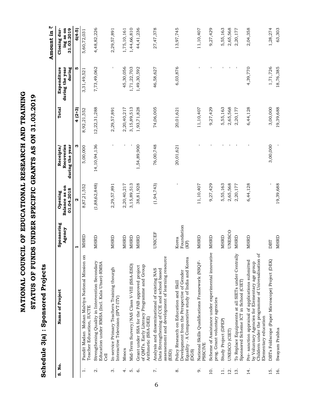|                   | co הנחתר במה בשל המקומה - (פוס במה המה המה במה המה המוסר ביו המה המה המה המה המה ה                                                                                                 |                             |                                        |                                            |              |                                          | Amount in $\bar{z}$                     |
|-------------------|------------------------------------------------------------------------------------------------------------------------------------------------------------------------------------|-----------------------------|----------------------------------------|--------------------------------------------|--------------|------------------------------------------|-----------------------------------------|
| S. No.            | Name of Project                                                                                                                                                                    | Sponsoring<br>Agency        | Balance as on<br>01.04.2018<br>Opening | Recoveries<br>during the year<br>Receipts/ | Total        | during the year<br>during<br>Expenditure | Closing dur-<br>ing as on<br>31.03.2019 |
|                   |                                                                                                                                                                                    | ᆏ                           | Σ                                      | ო                                          | $4(2+3)$     | <b>IO</b>                                | 6(4-5)                                  |
| $\div$            | Pandit Madan Mohan Malviya National Mission on<br>Teacher Education, IUCTE                                                                                                         | MHRD                        | 8,87,21,552                            | 5,00,000                                   | 8,92,21,552  | 3,31,49,521                              | 5,60,72,031                             |
| $\dot{\alpha}$    | Strengthening Quality in Intervention Secondary<br>Education under RMSA (Incl. Kala Utsav)-RMSA<br>己<br>C8l                                                                        | MHRD                        | (1,88,62,848)                          | 14,10,94,136                               | 12,22,31,288 | 7,73,49,062                              | 4,48,82,226                             |
| က်                | In-service Primary Teachers Training thourgh<br>Interactive Television (IPVT-ITV)                                                                                                  | MHRD                        | 2,29,57,891                            |                                            | 2,29,57,891  | $\mathbf{I}$                             | 2,29,57,891                             |
| 4.                | Moocs                                                                                                                                                                              | MHRD                        | 2,20,40,217                            | ı                                          | 2,20,40,217  | 45,30,056                                | 1,75,10,161                             |
| $\dot{\rm o}$     | Mid-Term Survery/NAS Class V-VIII (SSA-ESD)                                                                                                                                        | MHRD                        | 3,15,89,513                            |                                            | 3,15,89,513  | 1,71,22,703                              | 1,44,66,810                             |
| Ġ                 | of QMTs. Early Literacy Programme and Group<br>Grant under SSA for the PAB approved project<br>Arithmetic (SSA-DEE)                                                                | MHRD                        | 38,81,928                              | 1,54,89,900                                | 1,93,71,828  | 1,49,30,592                              | 44,41,236                               |
| $\ddot{\sim}$     | $\circ$<br>assessement and development of learning resourc<br>Data Strengthening of CCE and school based<br>Analysis and disseminational of existing NAS<br>(ESD)                  | UNICEF                      | (1, 94, 743)                           | 76,00,748                                  | 74,06,005    | 46,58,627                                | 27,47,378                               |
| $\dot{\infty}$    | Equality - A Comparative study of India and Korea<br>Development from the Perspective of Gender<br>Policy Research on Education and Skill<br>DGS                                   | Foundation<br>Korea<br>(KF) |                                        | 20,01,621                                  | 20,01,621    | 6,03,876                                 | 13,97,745                               |
| o.                | National Skills Qualifications Framework (NSQF-<br>PSSCIVE                                                                                                                         | MHRD                        | 11,10,407                              |                                            | 11,10,407    |                                          | 11,10,407                               |
| $\overline{a}$    | Scheme of Assistance under experimental innovative<br>prog. Grant voluntary agencies                                                                                               | <b>MHRD</b>                 | 9,27,429                               |                                            | 9,27,429     |                                          | 9,27,429                                |
| $\frac{1}{11}$    | Study Project (DPEP)                                                                                                                                                               | MHRD                        | 5,55,163                               |                                            | 5,55,163     |                                          | 5,55,163                                |
| $\overline{5}$    | UNESCO (CIET)                                                                                                                                                                      | <b>UNESCO</b>               | 2,65,568                               |                                            | 2,65,568     |                                          | 2,65,568                                |
| 13.               | To Replace Equipments at all SIETs under Centrally<br>Sponsored Scheme ICT in School (CIET)                                                                                        | MHRD                        | 2,20,177                               |                                            | 2,20,177     | $\,$                                     | 2,20,177                                |
| $\overline{14}$ . | ್<br>Childern under the programme of Univesalisation<br>Pre-sanction appraisal of applications submitted<br>by Voluntary Agencies for Elementary age group<br>Elementary education | MHRD                        | 6,44,128                               |                                            | 6,44,128     | 4,39,770                                 | 2,04,358                                |
| $\frac{15}{1}$    | DBTs Foldscope (Paper Microscope) Project (DEK)                                                                                                                                    | DBT                         |                                        | 3,00,000                                   | 3,00,000     | 1,71,726                                 | 1,28,274                                |
| 16.               | Swayam Prabha                                                                                                                                                                      | <b>MHRD</b>                 | 19,39,688                              |                                            | 19,39,688    | 18,76,385                                | 63,303                                  |

NATIONAL COUNCIL OF EDUCATIONAL RESEARCH AND TRAINING **National Council of Educational Research and Training** STATUS OF FUNDS UNDER SPECIFIC GRANTS AS ON 31.03.2019 **OF FUNDS UNDER SPECIFIC GRANTS AS ON 31.03.2019**

Schedule 3(a) : Sponsored Projects **Schedule 3(a) : Sponsored Projects**

**STATUS**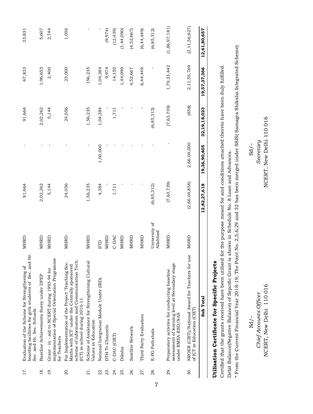| 12,61,80,657     | 19,57,37,366 | 32,19,18,023 | 19,36,90,405 | 12,82,27,618  |                           | Sub Total                                                                                                                                                                                        |                |
|------------------|--------------|--------------|--------------|---------------|---------------------------|--------------------------------------------------------------------------------------------------------------------------------------------------------------------------------------------------|----------------|
| (2, 11, 56, 627) | 2,11,55,769  | (858)        | 2,66,04,000  | (2,66,04,858) | MHRD                      | use<br>NROER (CIET)/National Award for Teachers for<br>of ICT in Education (CIET)                                                                                                                | 30.            |
| (1,86,97,181)    | 1,79,33,442  | (7,63,739)   |              | (7,63,739)    | MHRD                      | assessment of learning level at Secondary stage<br>Preparatory activites for conducting baseline<br>under RMSA-ESD/NAS                                                                           | 29.            |
| (6, 85, 312)     |              | (6, 85, 312) |              | (6, 85, 312)  | University of<br>Allahbad | E-PG Pathshala                                                                                                                                                                                   | 28.            |
| (6, 44, 449)     | 6,44,449     |              |              |               | MHRD                      | Third Party Evaluation                                                                                                                                                                           | 27.            |
| (4, 52, 667)     | 4,52,667     |              |              |               | MHRD                      | Satellite Network                                                                                                                                                                                | 26.            |
| (1, 44, 090)     | 1,44,090     |              |              |               | <b>MHRD</b>               | Diksha                                                                                                                                                                                           | 25.            |
| (12, 439)        | 14,150       | 1,711        |              | 1,711         | C-DAC                     | C-DAC (CIET)                                                                                                                                                                                     | 24.            |
| (9,974)          | 9,974        |              |              |               | MHRD                      | DTH Tv Channels                                                                                                                                                                                  | 23.            |
|                  | 1,04,384     | 1,04,384     | 1,00,000     | 4,384         | IITD                      | National Integration Module Under (IRD)                                                                                                                                                          | 22.            |
| f,               | 156,235      | 1,56,235     | $\mathbf{I}$ | 1,56,235      | MHRD                      | Scheme of Assistance for Strengthening Cultural<br>Values in Education                                                                                                                           | 21.            |
| 1,056            | 23,000       | 24,056       |              | 24,056        | MHRD                      | scheme of information and Communication Tech.<br>For Implementation of the Project 'Teaching Sec.<br>Maths with ICT' under the Centrally sponsored<br>$\left[1 \right]$ in school during 2010-11 | 20.            |
| 2,744            | 2,400        | 5,144        |              | 5,144         | MHRD                      | implementation of Special Orientation Programme<br>Grant - in - aid to NCERT during 1993-94 for<br>for Teachers                                                                                  | <u>ูดุ๋</u>    |
| 5,607            | 1,96,655     | 2,02,262     |              | 2,02,262      | MHRD                      | Baseline Achievements Surey under DPEP                                                                                                                                                           | $\frac{8}{18}$ |
| 23,831           | 67,833       | 91,664       |              | 91,664        | MHRD                      | Hr.<br>boarding facilities for girls students of Sec. and<br>Evaluation of the Scheme for Strengthening of<br>Sec. and Hr. Sec. Schools                                                          | 17.            |

### Utilisation Certificate for Specific Projects **Utilisation Certificate for Specific Projects**

Certified that the grants received have been utilised for the purpose meant for and conditions attached thereto have been duly fulfilled. Certified that the grants received have been utilised for the purpose meant for and conditions attached thereto have been duly fulfilled. Debit Balance(Negative Balance) of Sepcific Grant is shown in Schedule No. 8 Loan and Advances. Debit Balance(Negative Balance) of Sepcific Grant is shown in Schedule No. 8 Loan and Advances.

\* From the Current Financial Year 2018-19, The Point No. 2,5,6,29 and 32 has been merged under SSIS( Samagra Shiksha Integrated Scheme) \* From the Current Financial Year 2018-19, The Point No. 2,5,6,29 and 32 has been merged under SSIS( Samagra Shiksha Integrated Scheme)

*Chief Accounts Officer Secretary*  Sd/– Sd/– NCERT, New Delhi 110 016 Chief Accounts Officer  $Sd$  /-

NCERT, New Delhi 110 016 NCERT, New Delhi 110 016 New Delhi 110 016 NCERT, New Delhi 110 016 Secretary

 $Sd$ /-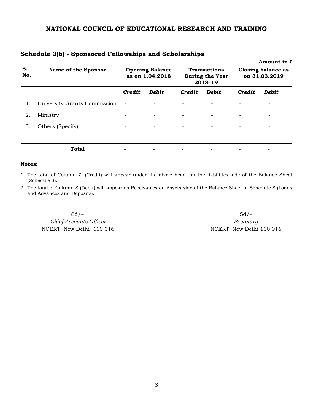|                                  |                              |                          |                                           |                          |                                                   |                          | Amount in $\bar{z}$                 |
|----------------------------------|------------------------------|--------------------------|-------------------------------------------|--------------------------|---------------------------------------------------|--------------------------|-------------------------------------|
| $\overline{\mathbf{s}}$ .<br>No. | <b>Name of the Sponsor</b>   |                          | <b>Opening Balance</b><br>as on 1.04.2018 |                          | <b>Transactions</b><br>During the Year<br>2018-19 |                          | Closing balance as<br>on 31.03.2019 |
|                                  |                              | Credit                   | <b>Debit</b>                              | Credit                   | <b>Debit</b>                                      | Credit                   | <b>Debit</b>                        |
|                                  | University Grants Commission | $\overline{\phantom{a}}$ |                                           | $\overline{\phantom{0}}$ |                                                   |                          |                                     |
| 2.                               | Ministry                     | -                        | $\overline{\phantom{a}}$                  | $\overline{\phantom{a}}$ | $\overline{\phantom{a}}$                          |                          | -                                   |
| З.                               | Others (Specify)             | $\qquad \qquad$          | $\overline{\phantom{a}}$                  | $\overline{\phantom{a}}$ | $\overline{\phantom{a}}$                          | $\overline{\phantom{a}}$ | $\overline{\phantom{a}}$            |
|                                  |                              |                          | $\overline{\phantom{a}}$                  | $\overline{\phantom{a}}$ | $\overline{\phantom{a}}$                          |                          |                                     |
|                                  | <b>Total</b>                 |                          |                                           |                          |                                                   |                          |                                     |

### **Schedule 3(b) - Sponsored Fellowships and Scholarships**

### **Notes:**

1. The total of Column 7, (Credit) will appear under the above head, on the liabilities side of the Balance Sheet (Schedule 3).

2. The total of Column 8 (Debit) will appear as Receivables on Assets side of the Balance Sheet in Schedule 8 (Loans and Advances and Deposits).

 $Sd$  –  $Sd$  –  $Sd$  –  $C$ *hief Accounts Officer Secretary* NCERT, New Delhi 110 016 NCERT, New Delhi 110 016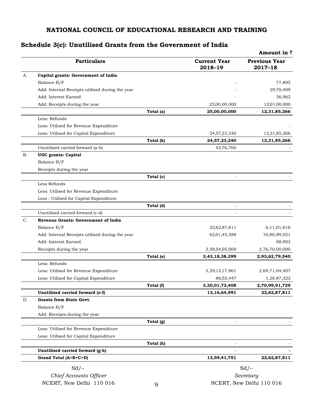### **Schedule 3(c): Unutilised Grants from the Government of India**

|    |                                                 |           |                                | <b>Amount in <math>\bar{z}</math></b> |
|----|-------------------------------------------------|-----------|--------------------------------|---------------------------------------|
|    | <b>Particulars</b>                              |           | <b>Current Year</b><br>2018-19 | <b>Previous Year</b><br>2017-18       |
| А. | Capital grants: Government of India             |           |                                |                                       |
|    | Balance B/F                                     |           |                                | 77,895                                |
|    | Add: Internal Receipts utilised during the year |           |                                | 29,70,409                             |
|    | Add: Interest Earned                            |           |                                | 36,962                                |
|    | Add: Receipts during the year                   |           | 25,00,00,000                   | 12,01,00,000                          |
|    |                                                 | Total (a) | 25,00,00,000                   | 12,31,85,266                          |
|    | Less: Refunds                                   |           |                                |                                       |
|    | Less: Utilised for Revenue Expenditure          |           |                                |                                       |
|    | Less: Utilised for Capital Expenditure          |           | 24,57,23,240                   | 12,31,85,266                          |
|    |                                                 | Total (b) | 24,57,23,240                   | 12,31,85,266                          |
|    | Unutilised carried forward (a-b)                |           | 42,76,760                      |                                       |
| В. | <b>UGC</b> grants: Capital                      |           |                                |                                       |
|    | Balance B/F                                     |           |                                |                                       |
|    | Receipts during the year                        |           |                                |                                       |
|    |                                                 | Total (c) |                                |                                       |
|    | Less Refunds                                    |           |                                |                                       |
|    | Less: Utilised for Revenue Expenditure          |           |                                |                                       |
|    | Less : Utilised for Capital Expenditure         |           |                                |                                       |
|    |                                                 | Total (d) |                                |                                       |
|    | Unutilised carried forward (c-d)                |           |                                |                                       |
| C. | Revenue Grants: Government of India             |           |                                |                                       |
|    | Balance B/F                                     |           | 22,62,87,811                   | 6,11,01,616                           |
|    | Add: Internal Receipts utilised during the year |           | 62,01,45,588                   | 10,80,89,021                          |
|    | Add: Interest Earned                            |           |                                | 88,903                                |
|    | Receipts during the year                        |           | 2,58,54,05,000                 | 2,76,70,00,000                        |
|    |                                                 | Total (e) | 3,43,18,38,399                 | 2,93,62,79,540                        |
|    | Less: Refunds                                   |           |                                |                                       |
|    | Less: Utilised for Revenue Expenditure          |           | 3,29,13,17,961                 | 2,69,71,04,407                        |
|    | Less: Utilised for Capital Expenditure          |           | 88, 55, 447                    | 1,28,87,322                           |
|    |                                                 | Total (f) | 3,30,01,73,408                 | 2,70,99,91,729                        |
|    | Unutilised carried forward (e-f)                |           | 13, 16, 64, 991                | 22,62,87,811                          |
| D. | Grants from State Govt.                         |           |                                |                                       |
|    | Balance B/F                                     |           |                                |                                       |
|    | Add: Receipts during the year                   |           |                                |                                       |
|    |                                                 | Total (g) |                                |                                       |
|    | Less: Utilised for Revenue Expenditure          |           |                                |                                       |
|    | Less: Utilised for Capital Expenditure          |           |                                |                                       |
|    |                                                 | Total (h) | $\overline{\phantom{a}}$       |                                       |
|    | Unutilised carried forward (g-h)                |           | $\blacksquare$                 |                                       |
|    | Grand Total (A+B+C+D)                           |           | 13,59,41,751                   | 22,62,87,811                          |
|    | $Sd$ /-                                         |           |                                | $Sd$ /-                               |
|    | Chief Accounts Officer                          |           |                                | Secretary                             |
|    |                                                 |           |                                |                                       |

NCERT, New Delhi 110 016 q<br>
q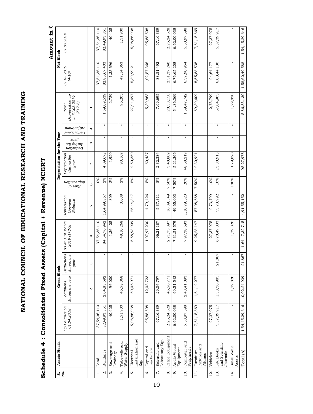## NATIONAL COUNCIL OF EDUCATIONAL RESEARCH AND TRAINING **National Council of Educational Research and Training**

## Schedule 4: Consolidated Fixed Assets (Capital + Revenue) NCERT **Schedule 4 : Consolidated Fixed Assets (Capital + Revenue) NCERT**

### Amount in  $\bar{z}$  **Amount in** `

| ທ່ <u>ອີ</u> | Assets Heads                             |                             | <b>Gross Block</b>           |                                  |                                   |                                    |                        | Depreciation for the Year          |                                              |                                |                                                            |                        | Net Block       |  |
|--------------|------------------------------------------|-----------------------------|------------------------------|----------------------------------|-----------------------------------|------------------------------------|------------------------|------------------------------------|----------------------------------------------|--------------------------------|------------------------------------------------------------|------------------------|-----------------|--|
|              |                                          | Op Balance on<br>01.04.2018 | during the year<br>Additions | Deductions<br>during the<br>year | As at 31st March<br>$2019(1+2-3)$ | Depreciation<br>Opening<br>Balance | acotication<br>fo ə1vH | Depreciation<br>during the<br>year | .เซอกิ<br><i>ayı buunp</i><br>$u$ ononpa $q$ | <i>juauisnfp</i><br>/suon?npəq | Depreciation up<br>to 31.03.2019<br>$(5 + 7 - 8)$<br>Total | 31.03.2019<br>$(4-10)$ | 31.03.2018      |  |
|              |                                          |                             | Z                            | S                                | 4                                 | S                                  | $\circ$                | L                                  | ${}^{\circ}$                                 | C                              | $\overline{a}$                                             |                        |                 |  |
|              | Land                                     | 37,54,36,110                |                              | $\mathbf{I}$                     | 37,54,36,110                      |                                    | 0%                     |                                    | $\mathbf{I}$                                 | $\mathbf{I}$                   |                                                            | 37,54,36,110           | 37,54,36,110    |  |
|              | Buildings                                | 82,49,93,351                | 2,04,83,592                  | $\mathbf{I}$                     | 84,54,76,942                      | 1,64,99,867                        | 2%                     | 4,09,672                           | $\mathbf{I}$                                 | $\mathbf{I}$                   | 1,69,09,539                                                | 82,85,67,403           | 82, 49, 93, 351 |  |
|              | Sewerage and<br>Drainage                 | 40,425                      | 96,000                       | $\mathbf{I}$                     | 1,36,425                          | 809                                | 2%                     | 1,920                              | $\mathbf I$                                  | $\mathbf I$                    | 2,729                                                      | 1,33,696               | 40,425          |  |
|              | Tubewells and<br>Water Supply            | 1,51,900                    | 46,58,368                    | $\mathbf{I}$                     | 48,10,268                         | 3,038                              | $2\%$                  | 93,167                             | $\mathbf I$                                  | $\mathbf{I}$                   | 96,205                                                     | 47,14,063              | 1,51,900        |  |
|              | Installation and<br>Electrical<br>Eqp.   | 5,08,86,938                 | 50,06,971                    | $\mathbf{I}$                     | 5,58,93,909                       | 25,44,347                          | 5%                     | 2,50,350                           | $\mathbf I$                                  | $\mathbf I$                    | 27,94,697                                                  | 5,30,99,211            | 5,08,86,938     |  |
|              | Capital and<br>machinery                 | 95,88,508                   | 12,08,723                    | $\mathbf{I}$                     | 1,07,97,230                       | 4,79,426                           | 5%                     | 60,437                             | $\mathbf{I}$                                 | $\mathbf{I}$                   | 5,39,863                                                   | 1,02,57,366            | 95,88,508       |  |
|              | Laboratory Eqp.<br>Scientific and        | 67,16,389                   | 29,04,797                    | $\mathbf{I}$                     | 96,21,187                         | 5,37,311                           | 8%                     | 2,32,384                           | $\mathbf{I}$                                 | $\mathbf{I}$                   | 7,69,695                                                   | 88,51,492              | 67,16,389       |  |
|              | Office Equipment                         | 2,25,24,628                 | 46,50,771                    | $\mathbf{I}$                     | 2,71,75,397                       | 16,89,349                          | 7.50%                  | 3,48,809                           | $\mathbf{I}$                                 | $\mathbf{I}$                   | 20,38,158                                                  | 2,51,37,240            | 2,25,24,628     |  |
|              | Audio Visual<br>Equipment                | 6,62,00,038                 | 69,51,542                    | $\mathbf{I}$                     | 7,31,51,579                       | 49,65,003                          | $7.50\%$               | 5,21,366                           | $\mathbf{I}$                                 | $\mathbf{I}$                   | 54,86,369                                                  | 6,76,65,208            | 6,62,00,038     |  |
|              | Computer and<br>Peripherals              | 5,53,97,598                 | 2,43,41,093                  | $\mathbf{I}$                     | 7,97,38,693                       | 1,10,79,523                        | 20%                    | 48,68,219                          | $\mathbf{I}$                                 | $\mathbf{I}$                   | 1,59,47,742                                                | 6,37,90,954            | 5,53,97,598     |  |
|              | Fixtures and<br>Furniture,<br>Fittings   | 7,61,15,869                 | 1,64,12,277                  | $\mathbf{I}$                     | 9,25,28,147                       | 57,08,688                          | 7.50%                  | 12,30,921                          | $\mathbf{I}$                                 | $\mathbf{I}$                   | 69,39,609                                                  | 8,55,88,538            | 7,61,15,869     |  |
|              | Vehicles                                 | 27,37,975                   | $\mathbf{I}$                 | $\blacksquare$                   | 27,37,975                         | 2,73,799                           | $10\%$                 |                                    | $\mathbf I$                                  | f.                             | 2,73,799                                                   | 24,64,177              | 27,37,975       |  |
|              | and Scientific<br>Lib. Books<br>Journals | 5,37,39,917                 | 1,33,30,985                  | 867<br>$\overline{a}$            | 6,70,49,033                       | 53,73,992                          | 10%                    | 13,30,913                          | $\mathbf{I}$                                 | $\mathbf{I}$                   | 67,04,905                                                  | 6,03,44,130            | 5,37,39,917     |  |
|              | Small Value<br>Assets                    | $\mathbf{I}$                | 1,79,820                     | $\mathbf I$                      | 1,79,820                          | $\mathbf{I}$                       | 100%                   | 1,79,820                           | $\mathbf I$                                  | $\mathbf{I}$                   | 1,79,820                                                   |                        |                 |  |
|              | Total (A)                                | 1,54,45,29,646              | 10,02,24,939                 | 1,867<br>$\overline{a}$          | 1,64,47,32,715                    | 4,91,55,152                        |                        | 95,27,978                          | $\mathbf{I}$                                 |                                | 5,86,83,130                                                | 1,58,60,49,588         | 1,54,45,29,646  |  |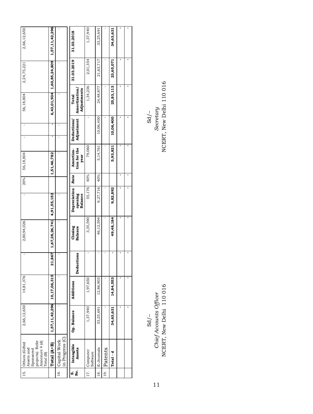| 2,66,12,650                                                                                 | 1,57,11,42,296              |                                 | 31.03.2018                           | 1,37,940                 | 33,25,691      |         | 34,63,631   |  |
|---------------------------------------------------------------------------------------------|-----------------------------|---------------------------------|--------------------------------------|--------------------------|----------------|---------|-------------|--|
| 2,24,75,221                                                                                 |                             |                                 | 31.03.2019                           | 2,01,354                 | 21,63,717      |         | 23,65,071   |  |
| 56,18,804                                                                                   | 6,43,01,934 1,60,85,24,809  |                                 | Adjustments<br>Amortization<br>Total | 1,34,236                 | 24,48,877      |         | 25,83,113   |  |
|                                                                                             |                             |                                 | Adjustment<br>Deductions             |                          | 10,06,400      |         | 10,06,400   |  |
| 56,18,804                                                                                   | 1,51,46,782                 |                                 | tion for the<br>Amortiza-<br>year    | 79,060                   | 5, 14, 761     |         | 5,93,821    |  |
| 20%                                                                                         |                             |                                 | Rate                                 | 40%                      | 40%            |         |             |  |
| ı,                                                                                          | 4,91,55,152                 | ï                               | Depreciation<br>opening<br>Balance   | 55,176                   | 9,27,716       |         | 9,82,892    |  |
| 2,80,94,026                                                                                 | 1,67,28,26,741              |                                 | Closing<br><b>Balance</b>            | 3,35,590                 | 46,12,594      |         | 49, 48, 184 |  |
| ı,                                                                                          | 1,867<br>ដ                  |                                 | Deductions                           |                          |                |         |             |  |
| 14,81,376                                                                                   |                             |                                 | Additions                            | 1,97,650                 | 12,86,903      |         | 14,84,553   |  |
| 2,66,12,650                                                                                 | 1,57,11,42,296 10,17,06,315 |                                 | Op. Balance                          | 1,37,940                 | 33,25,691      |         | 34,63,631   |  |
| projects) Refer<br>Annexure 4 (d)<br>Others (Gifted<br>Assets and<br>Sponsored<br>Total (B) | Total (A+B)                 | in Progress (C)<br>Capital Work | Intangible<br>Assets                 | 17. Computer<br>Software | E-Journals     | Patents | Total - d   |  |
| 15.                                                                                         |                             | 16.                             | ທ່ ຊຶ່                               |                          | $\frac{8}{18}$ | 19.     |             |  |

Sd/– Sd/–

NCERT, New Delhi 110 016 NCERT, New Delhi 110 016*Chief Accounts Officer Secretary*  Sd/-<br>Chief Accounts Officer<br>NCERT, New Delhi 110 016

 $\begin{array}{c} \mathrm{Sd}/-\\ \mathrm{Security} \\ \mathrm{NCERT, New Delhi110\ 016} \end{array}$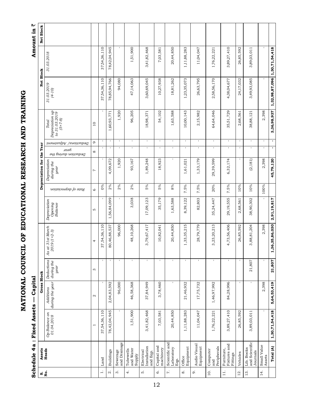NATIONAL COUNCIL OF EDUCATIONAL RESEARCH AND TRAINING **National Council of Educational Research and Training**

# **Schedule 4a : Fixed Assets — Capital Amount in** ` Schedule 4a: Fixed Assets - Capital

Amount in  $\bar{z}$ 

| ທ່ ຊຶ່          | Assets                                   |                             | <b>Gross Block</b>           |                                  |                                    |                                    |                      | Depreciation for the Year          |                               |                        |                                                                                                                   | Net Block                     |              | Net Block |
|-----------------|------------------------------------------|-----------------------------|------------------------------|----------------------------------|------------------------------------|------------------------------------|----------------------|------------------------------------|-------------------------------|------------------------|-------------------------------------------------------------------------------------------------------------------|-------------------------------|--------------|-----------|
|                 | Heads                                    | Op Balance on<br>01.04.2018 | during the year<br>Additions | Deductions<br>during the<br>year | As at 31 st March<br>$2019(1+2-3)$ | Depreciation<br>Opening<br>Balance | Rate of depreciation | Depreciation<br>during the<br>year | spəfi<br>Deduction during the | Deductions/ Adjustment | $\begin{array}{c} \textbf{Deprecation up} \\ \textbf{to 31.03.2019} \end{array}$<br>$(5 + 7 - 8)$<br><b>Total</b> | 31.03.2019<br>$(4-10)$        | 31.03.2018   |           |
|                 |                                          |                             | $\mathbf{\Omega}$            | S                                | 4                                  | S                                  | $\circ$              | L                                  | ${}^{\circ}$                  | G                      | $\overline{10}$                                                                                                   |                               |              |           |
| $\ddot{ }$      | Land                                     | 37,54,36,110                |                              |                                  | 37,54,36,110                       |                                    | $0\%$                |                                    |                               | $\mathbf I$            |                                                                                                                   | 37,54,36,110                  | 37,54,36,110 |           |
| $\dot{\alpha}$  | Buildings                                | 78,42,04,945                | 2,04,83,592                  |                                  | 80,46,88,537                       | 1,56,84,099                        | 2%                   | 4,09,672                           | $\mathbf{I}$                  | $\mathbf{I}$           | 1,60,93,771                                                                                                       | 78,85,94,766                  | 78,42,04,945 |           |
| $\dot{\infty}$  | Sewerage<br>and Drainage                 |                             | 96,000                       |                                  | 96,000                             |                                    | 2%                   | 1,920                              | $\mathbf I$                   | $\mathbf{I}$           | 1,920                                                                                                             | 94,080                        |              |           |
| $\vec{r}$       | and Water<br>Tubewells<br>Supply         | 1,51,900                    | 46,58,368                    |                                  | 48,10,268                          | 3,038                              | 2%                   | 93,167                             | $\mathbf{I}$                  | $\mathsf I$            | 96,205                                                                                                            | 47,14,063                     | 1,51,900     |           |
| ທ່              | Installation<br>Electrical<br>and Eqp.   | 3,41,82,468                 | 37,84,949                    |                                  | 3,79,67,417                        | 17,09,123                          | 5%                   | 1,89,248                           | $\mathbf I$                   | $\mathbf{I}$           | 18,98,371                                                                                                         | 3,60,69,045                   | 3,41,82,468  |           |
| Ġ               | Capital and<br>machinery                 | 7,03,581                    | 3,78,460                     |                                  | 10,82,041                          | 35,179                             | 5%                   | 18,923                             | $\mathbf{I}$                  | $\mathbf{I}$           | 54,102                                                                                                            | 10,27,938                     | 7,03,581     |           |
| $\ddot{r}$      | Scientific and<br>Laboratory<br>Eqp.     | 20,44,850                   | $\mathbf{I}$                 |                                  | 20,44,850                          | 1,63,588                           | $8\%$                |                                    | $\mathbf{I}$                  | $\mathbf{I}$           | 1,63,588                                                                                                          | 18,81,262                     | 20,44,850    |           |
| $\dot{\infty}$  | Equipment<br>Office                      | 1,11,88,283                 | 21,46,932                    |                                  | 1,33,35,215                        | 8,39,122                           | 7.5%                 | 1,61,021                           | $\mathbf I$                   | $\mathbf{I}$           | 10,00,143                                                                                                         | 1,23,35,073                   | 1,11,88,283  |           |
| $\overline{0}$  | Audio Visual<br>Equipment                | 11,04,047                   | 17,75,732                    |                                  | 28,79,779                          | 82,803                             | 7.5%                 | 1,33,179                           | $\mathbf I$                   | $\mathbf I$            | 2,15,982                                                                                                          | 26,63,795                     | 11,04,047    |           |
| $\overline{10}$ | and<br>Peripherals<br>Computer           | 1,76,22,221                 | 1,46,97,992                  |                                  | 3,23,20,213                        | 35,24,447                          | 20%                  | 29,39,599                          | $\mathbf I$                   | $\mathbf I$            | 64,64,046                                                                                                         | 2,58,56,170                   | 1,76,22,221  |           |
| $\frac{1}{11}$  | Fixtures and<br>Furniture,<br>Fittings   | 3,89,27,410                 | 84,28,996                    |                                  | 4,73,56,406                        | 29,19,555                          | 7.5%                 | 6,32,174                           | $\mathbf{I}$                  | $\mathbf I$            | 35,51,729                                                                                                         | 4,38,04,677                   | 3,89,27,410  |           |
| 12.             | Vehicles                                 | 26,85,592                   |                              |                                  | 26,85,592                          | 2,68,561                           | 10%                  |                                    | $\mathbf{I}$                  | $\,$ $\,$              | 2,68,561                                                                                                          | 24,17,032                     | 26,85,592    |           |
| 13.             | and Scientific<br>Lib. Books<br>Journals | 3,89,03,011                 |                              | 21,807                           | 3,88,81,204                        | 38,90,302                          | 10%                  | (2, 181)                           | $\mathbf{I}$                  | $\mathbf I$            | 38,88,121                                                                                                         | 3,49,93,085                   | 3,89,03,011  |           |
| 14.             | Small Value<br>Assets                    |                             | 2,398                        |                                  | 2,398                              |                                    | 100%                 | 2,398                              | $\Gamma$                      | $\mathbf{I}$           | 2,398                                                                                                             |                               |              |           |
|                 | Total (A)                                | 1,30,71,54,418              | 5,64,53,419                  | 21,807                           | 1,36,35,86,030                     | 2,91,19,817                        |                      | 45,79,120                          | Ŧ                             | $\mathbf{r}$           | 3,36,98,937                                                                                                       | 1,32,98,87,096 1,30,71,54,418 |              |           |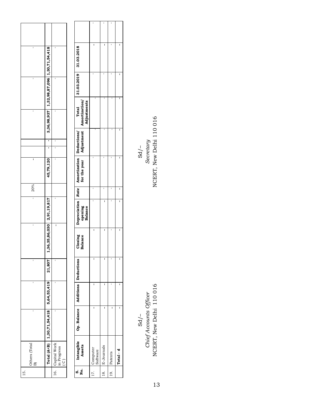| ı              |                                                                     | ı                                                      |
|----------------|---------------------------------------------------------------------|--------------------------------------------------------|
| ı              | 3,36,98,937 1,32,98,87,096 1,30,71,54,418                           | ı                                                      |
| $\mathbf{I}$   |                                                                     | ı                                                      |
|                | ı                                                                   | ı                                                      |
|                | 1                                                                   | ı                                                      |
| I              | 45,79,120                                                           | Ï                                                      |
| 20%            |                                                                     |                                                        |
| 1              |                                                                     | ı                                                      |
| $\mathbf{I}$   | 1,36,35,86,030 2,91,19,817                                          | I                                                      |
| ı              |                                                                     | ı                                                      |
|                |                                                                     |                                                        |
|                | $\boxed{\text{Total (A+B)} \mid 1,30,71,54,418}$ 5,64,53,419 21,807 |                                                        |
| Others (Total  |                                                                     | 16. Capital Work<br>in Progress<br>$\widetilde{\circ}$ |
| $\frac{15}{1}$ |                                                                     |                                                        |

| 31.03.2019 31.03.2018                                             | ľ                        |                |             |           |
|-------------------------------------------------------------------|--------------------------|----------------|-------------|-----------|
|                                                                   |                          |                |             | I         |
| Adjustments<br>for the year   Adjustment   Amortization/<br>Total |                          |                |             |           |
|                                                                   |                          |                |             |           |
| Depreciation Rate Amortization Deductions/                        |                          |                |             |           |
|                                                                   |                          | ï              | ï           | I         |
| opening<br>Balance                                                |                          | Ï              | ı           | I         |
| Closing<br>Balance                                                | ľ                        | ı              | ï           | I         |
|                                                                   |                          |                |             |           |
|                                                                   |                          |                |             |           |
| Op. Balance   Additions   Deductions                              | ľ                        |                |             |           |
| S. Intangible<br>No. Assets                                       | 17. Computer<br>Software | 18. E-Journals | 19. Patents | Total - d |
|                                                                   |                          |                |             |           |

NCERT, New Delhi 110 016 NCERT, New Delhi 110 016*Chief Accounts Officer Secretary*   $\frac{1}{2}$  SO  $\frac{1}{2}$ Sd/-<br>Chief Accounts Officer<br>NCERT, New Delhi 110 016

 $\frac{\text{Sd}/\text{-}}{\text{Serctary}}$  Secretary<br>NCERT, New Delhi 110 016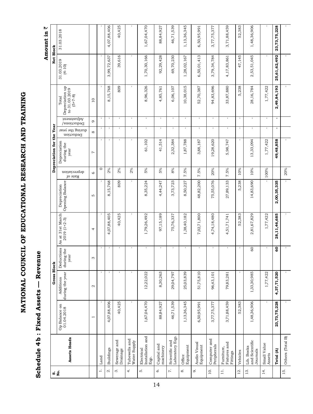NATIONAL COUNCIL OF EDUCATIONAL RESEARCH AND TRAINING **National Council of Educational Research and Training**

### **Schedule 4b : Fixed Assets — Revenue**  Schedule 4b: Fixed Assets - Revenue

Amount in  $\bar{z}$  **Amount in** `

| ທ່ ຊຶ່            |                                          |                             | <b>Gross Block</b>           |                                  |                                   |                                 |                         | Depreciation for the Year          |                              |                         |                                                        | Net Block                |                 |
|-------------------|------------------------------------------|-----------------------------|------------------------------|----------------------------------|-----------------------------------|---------------------------------|-------------------------|------------------------------------|------------------------------|-------------------------|--------------------------------------------------------|--------------------------|-----------------|
|                   | Assets Heads                             | Op Balance on<br>01.04.2018 | during the year<br>Additions | Deductions<br>during the<br>year | As at 31st March<br>$2019(1+2-3)$ | Opening Balance<br>Depreciation | depreciation<br>Rate of | Depreciation<br>during the<br>year | during the year<br>Deduction | hamenipA<br>Deductions/ | Depreciation up<br>to 31.03.2019<br>$(5+7-8)$<br>Total | 31.03.2019<br>$(4 - 10)$ | 31.03.2018      |
|                   |                                          | $\overline{\phantom{0}}$    | $\mathbf{\Omega}$            | 3                                | 4                                 | S                               | $\circ$                 | 1                                  | $\infty$                     | $\circ$                 | $\overline{10}$                                        |                          |                 |
| $\div$            | Land                                     |                             | $\mathbf{I}$                 | $\mathbf{I}$                     |                                   |                                 | $\circ$                 |                                    | $\mathbf I$                  | $\mathbf{I}$            | $\mathbf{I}$                                           |                          |                 |
| $\dot{\alpha}$    | <b>Buildings</b>                         | 4,07,88,406                 | $\mathbf{I}$                 | $\mathbf{I}$                     | 4,07,88,405                       | 8,15,768                        | 2%                      |                                    | $\mathbf{I}$                 | $\mathbf{I}$            | 8,15,768                                               | 3,99,72,637              | 4,07,88,406     |
| $\dot{\infty}$    | Sewerage and<br>Drainage                 | 40,425                      | $\mathbf{I}$                 | $\mathbf{I}$                     | 40,425                            | 809                             | 2%                      |                                    | $\mathbf I$                  | $\mathbf I$             | 809                                                    | 39,616                   | 40,425          |
| 4.                | Tubewells and<br>Water Supply            | $\mathbf{I}$                | 1                            | $\mathbf{I}$                     |                                   |                                 | 2%                      |                                    | $\mathbf{I}$                 | $\mathbf{I}$            |                                                        |                          |                 |
| ΓÒ.               | Installation and<br>Electrical<br>Eqp.   | 1,67,04,470                 | 12,22,022                    | $\mathbf{I}$                     | 1,79,26,492                       | 8,35,224                        | 5%                      | 61,102                             | $\mathbf I$                  | $\mathbf I$             | 8,96,326                                               | 1,70,30,166              | 1,67,04,470     |
| Ġ                 | Capital and<br>machinery                 | 88,84,927                   | 8,30,263                     | f,                               | 97,15,189                         | 4,44,247                        | 5%                      | 41,514                             | $\mathbf{I}$                 | í,                      | 4,85,761                                               | 92,29,428                | 88,84,927       |
| $\ddot{\sim}$     | Laboratory Eqp.<br>Scientific and        | 46,71,539                   | 29,04,797                    | $\mathbf{I}$                     | 75,76,337                         | 3,73,723                        | $8\%$                   | 2,32,384                           | $\mathbf{I}$                 | $\mathbf I$             | 6,06,107                                               | 69,70,230                | 46,71,539       |
| $\infty$          | Equipment<br>Office                      | 1,13,36,345                 | 25,03,839                    | $\mathbf{I}$                     | 1,38,40,182                       | 8,50,227                        | 7.5%                    | 1,87,788                           | $\mathbf{I}$                 | $\mathbf{I}$            | 10,38,015                                              | 1,28,02,167              | 1,13,36,345     |
| o,                | Audio Visual<br>Equipment                | 6,50,95,991                 | 51,75,810                    | $\mathbf{I}$                     | 7,02,71,800                       | 48,82,200                       | 7.5%                    | 3,88,187                           | $\mathbf{I}$                 | $\mathbf{I}$            | 52,70,387                                              | 6,50,01,413              | 6,50,95,991     |
| $\overline{10}$ . | Computer and<br>Peripherals              | 3,77,75,377                 | 96,43,101                    | $\mathbf{I}$                     | 4,74,18,480                       | 75,55,076                       | 20%                     | 19,28,620                          | $\mathbf I$                  | $\mathbf I$             | 94,83,696                                              | 3,79,34,784              | 3,77,75,377     |
| $\exists$         | Fixtures and<br>Fumiture,<br>Fittings    | 3,71,88,459                 | 79,83,281                    | J.                               | 4,51,71,741                       | 27,89,133                       | 7.5%                    | 5,98,747                           | $\mathbf I$                  | $\mathbf I$             | 33,87,880                                              | 4,17,83,861              | 3,71,88,459     |
| $12.$             | Vehicles                                 | 52,383                      | $\mathbf I$                  | $\mathbf{I}$                     | 52,383                            | 5,238                           | 10%                     |                                    | $\mathbf{I}$                 | $\mathbf{I}$            | 5,238                                                  | 47,145                   | 52,383          |
| 13.               | and Scientific<br>Lib. Books<br>Journals | 1,48,36,906                 | 1,33,30,985                  | $^{60}$                          | 2,81,67,829                       | 14,83,690                       | 10%                     | 13,33,094                          | $\mathbf{1}$                 | $\mathbf{I}$            | 28,16,784                                              | 2,53,51,045              | 1,48,36,906     |
| 14.               | Small Value<br>Assets                    | $\mathbf{I}$                | 1,77,422                     |                                  | 1,77,422                          |                                 | 100%                    | 1,77,422                           | $\mathbf{I}$                 | $\mathbf{I}$            | 1,77,422                                               |                          |                 |
|                   | Total (A)                                | 23,73,75,228                | 4,37,71,520                  | $\overline{6}$                   | 28,11,46,685                      | 2,00,35,335                     |                         | 49,48,858                          | $\blacksquare$               | $\blacksquare$          | 2,49,84,193                                            | 25,61,62,492             | 23, 73, 75, 228 |
| 15.               | Others (Total B)                         |                             |                              |                                  |                                   |                                 | $20\%$                  |                                    |                              |                         |                                                        |                          |                 |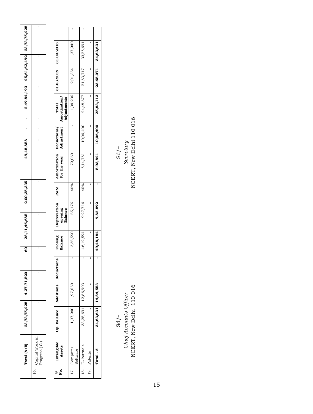|      | otal (A+B)                   | 23,73,75,228 | 4,37,71,520 | $\overline{\mathsf{s}}$ | 28,11,46,685 | 2,00,35,335 | 49,48,858 |   | ī |   | 2,49,84,193 25,61,62,492 23,73,75,228 |   |
|------|------------------------------|--------------|-------------|-------------------------|--------------|-------------|-----------|---|---|---|---------------------------------------|---|
| 10.7 | Capital Work in<br>gress   C |              | ï           | ı                       | ı            | ı           | ı         | ı | ı | ı | ı                                     | ı |

| 31.03.2019 31.03.2018                      | 1,37,940                 | 33,25,691           |             | 34,63,631           |
|--------------------------------------------|--------------------------|---------------------|-------------|---------------------|
|                                            | 2,01,354                 | 21,63,717           |             | 25,83,113 23,65,071 |
| Amortization/<br>Adjustments<br>Total      | 1,34,236                 | 24,48,877           |             |                     |
| Adjustment                                 |                          | 10,06,400           |             | 10,06,400           |
| Amortization   Deductions/<br>for the year | 79,060                   | 5,14,761            |             | 5,93,821            |
| Rate                                       | 40%                      | 40%                 |             |                     |
| <b>Depreciation</b><br>opening<br>Balance  | 55,176                   | 9,27,716            |             | 9,82,892            |
| Closing<br>Balance                         | 3,35,590                 | 46,12,594           |             | 49,48,184           |
| ក្នុ                                       |                          |                     |             |                     |
| Additions Deductio                         | 1,37,940 1,97,650        | 33,25,691 12,86,903 | Ï           | 34,63,631 14,84,553 |
| Op. Balance                                |                          |                     |             |                     |
| Intangible<br>Assets                       | 17. Computer<br>Software | 18. E-Journals      | 19. Patents | Total - d           |
| $\frac{1}{2}$                              |                          |                     |             |                     |

NCERT, New Delhi 110 016 NCERT, New Delhi 110 016*Chief Accounts Officer Secretary*  Sd/-<br>Chief Accounts Officer<br>NCERT, New Delhi 110 016

 $-\sqrt{2}$ SO  $-\sqrt{2}$ Sd/ $-\sqrt{2}$ Sd/

 $\begin{array}{c} \mathrm{Sd}/-\\ \mathrm{Serctary}\\ \mathrm{NCERT},\ \mathrm{New}\ \mathrm{Delhi}\ 110\ 016 \end{array}$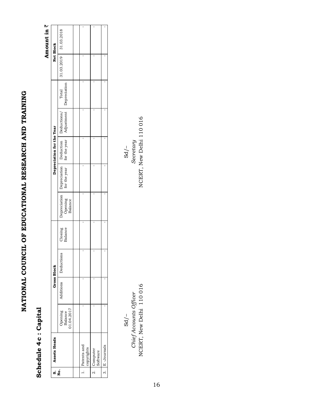## NATIONAL COUNCIL OF EDUCATIONAL RESEARCH AND TRAINING **National Council of Educational Research and Training**

### Schedule 4c: Capital **Schedule 4c : Capital**

### Amount in  $\bar{z}$  **Amount in** `

| 31.03.2019 31.03.2018<br>ï<br>ï<br>Adjustment Depreciation<br>Total<br>$\begin{tabular}{ l l } \hline \texttt{Depreciation} & \texttt{Detraction} & \texttt{Deduction} & \texttt{Deduction} \\\hline \texttt{Opening} & \texttt{for the year} & \texttt{for the year} & \texttt{Adjustment} \\\hline \texttt{Balance} & \end{tabular}$<br>Closing<br>Balance | S. Assets Heads<br>No.                        |  | <b>Gross Block</b> |  | Depreciation for the Year |  | Net Block |
|--------------------------------------------------------------------------------------------------------------------------------------------------------------------------------------------------------------------------------------------------------------------------------------------------------------------------------------------------------------|-----------------------------------------------|--|--------------------|--|---------------------------|--|-----------|
|                                                                                                                                                                                                                                                                                                                                                              | Additions<br>Opening<br>Balance<br>01.04.2017 |  | Deductions         |  |                           |  |           |
|                                                                                                                                                                                                                                                                                                                                                              |                                               |  |                    |  |                           |  |           |
|                                                                                                                                                                                                                                                                                                                                                              | Patents and<br>copyrights                     |  |                    |  |                           |  |           |
|                                                                                                                                                                                                                                                                                                                                                              | 2. Computer<br>Software                       |  |                    |  |                           |  |           |
|                                                                                                                                                                                                                                                                                                                                                              | 3. E-Journals                                 |  |                    |  |                           |  |           |

*Chief Accounts Officer Secretary*   $\frac{1}{2}$  SO  $\frac{1}{2}$  SO  $\frac{1}{2}$  SO  $\frac{1}{2}$  SO  $\frac{1}{2}$  SO  $\frac{1}{2}$  SO  $\frac{1}{2}$  SO  $\frac{1}{2}$  SO  $\frac{1}{2}$  SO  $\frac{1}{2}$  SO  $\frac{1}{2}$ NCERT, New Delhi 110 016 Chief Accounts Officer  $Sd$  /-

 $Sd/-$ 

NCERT, New Delhi 110 016 NCERT, New Delhi 110 016 NCERT, New Delhi 110 016Secretary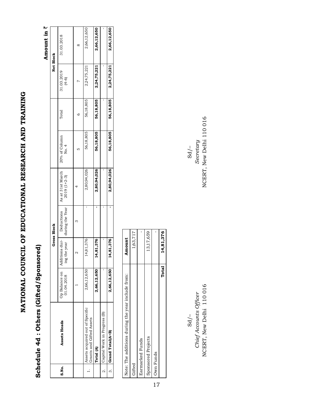## NATIONAL COUNCIL OF EDUCATIONAL RESEARCH AND TRAINING **National Council of Educational Research and Training**

## **Schedule 4d : Others (Gifted/Sponsored)**  Schedule 4d: Others (Gifted/Sponsored)

Amount in  $\bar{z}$ **Amount in** `

|       |                                                             |                             |                                | <b>Gross Block</b>            |                                   |                        |           | Net Block             |             |
|-------|-------------------------------------------------------------|-----------------------------|--------------------------------|-------------------------------|-----------------------------------|------------------------|-----------|-----------------------|-------------|
| s.No. | Assets Heads                                                | Op Balance on<br>01.04.2018 | Additions dur-<br>ing the year | during the Year<br>Deductions | As at 31st March<br>$2019(1+2-3)$ | 20% of Column<br>No. 4 | Total     | 31.03.2019<br>$(4-6)$ | 31.03.2018  |
|       |                                                             |                             |                                |                               |                                   |                        | ٥         |                       |             |
|       | Assets acquired out of Specific<br>Grants and Gifted Assets | 2,66,12,650                 | 14,81,376                      |                               | 2,80,94,026                       | 56,18,805              | 56,18,805 | 2,24,75,221           | 2,66,12,650 |
|       | Total (A)                                                   | 2,66,12,650                 | 14,81,376                      |                               | 2,80,94,026                       | 56,18,805              | 56,18,805 | 2,24,75,221           | 2,66,12,650 |
|       | Capital Work in Progress (B)                                |                             |                                |                               |                                   |                        |           |                       |             |
|       | 3. Grand Total(A+B)                                         | 2,66,12,650                 | 14,81,376                      |                               | 2,80,94,026                       | 56,18,805              | 56,18,805 | 2,24,75,221           | 2,66,12,650 |
|       |                                                             |                             |                                |                               |                                   |                        |           |                       |             |

| Note: The additions during the year include from: | Amount    |
|---------------------------------------------------|-----------|
| Gifted                                            | 1,63,717  |
| Earmarked Funds                                   |           |
| Sponsored Projects                                | 13,17,659 |
| Own Funds                                         |           |
| Total                                             | 14,81,376 |

NCERT, New Delhi 110 016 New Delhi 110 016 NCERT, New Delhi 110 016 *Chief Accounts Officer Secretary*  NCERT, New Delhi 110016 Chief Accounts Officer  $Sd$  /-

NCERT, New Delhi 110 016 Secretary  $Sd$  /- $\frac{1}{2}$  SO  $\frac{1}{2}$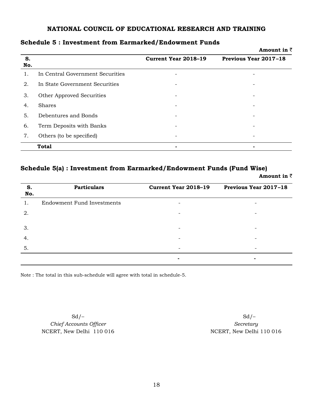|           |                                  |                             | Amount in $\bar{z}$   |
|-----------|----------------------------------|-----------------------------|-----------------------|
| S.<br>No. |                                  | <b>Current Year 2018-19</b> | Previous Year 2017-18 |
| 1.        | In Central Government Securities |                             |                       |
| 2.        | In State Government Securities   |                             |                       |
| 3.        | Other Approved Securities        |                             |                       |
| 4.        | <b>Shares</b>                    |                             |                       |
| 5.        | Debentures and Bonds             |                             |                       |
| 6.        | Term Deposits with Banks         |                             |                       |
| 7.        | Others (to be specified)         |                             |                       |
|           | <b>Total</b>                     | $\blacksquare$              |                       |

### **Schedule 5 : Investment from Earmarked/Endowment Funds**

### **Schedule 5(a) : Investment from Earmarked/Endowment Funds (Fund Wise)**

**Amount in** `

| S.<br>No. | <b>Particulars</b>                | Current Year 2018-19     | Previous Year 2017-18    |
|-----------|-----------------------------------|--------------------------|--------------------------|
| 1.        | <b>Endowment Fund Investments</b> |                          |                          |
| 2.        |                                   | $\overline{\phantom{a}}$ | -                        |
| 3.        |                                   | -                        | -                        |
| 4.        |                                   |                          |                          |
| 5.        |                                   | $\overline{\phantom{a}}$ | $\overline{\phantom{a}}$ |
|           |                                   |                          | $\blacksquare$           |

Note : The total in this sub-schedule will agree with total in schedule-5.

*Chief Accounts Officer Secretary* NCERT, New Delhi 110 016 NCERT, New Delhi 110 016

Sd/–Sd/–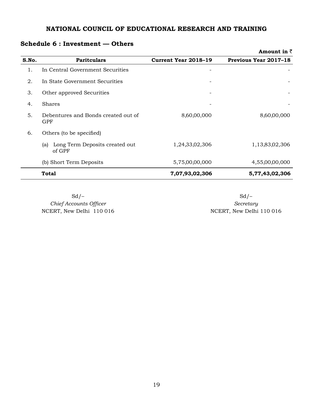### **Schedule 6 : Investment — Others**

|       |                                                 |                             | Amount in $\bar{z}$          |
|-------|-------------------------------------------------|-----------------------------|------------------------------|
| S.No. | <b>Paritculars</b>                              | <b>Current Year 2018-19</b> | <b>Previous Year 2017-18</b> |
| 1.    | In Central Government Securities                |                             |                              |
| 2.    | In State Government Securities                  |                             |                              |
| 3.    | Other approved Securities                       |                             |                              |
| 4.    | <b>Shares</b>                                   |                             |                              |
| 5.    | Debentures and Bonds created out of<br>GPF      | 8,60,00,000                 | 8,60,00,000                  |
| 6.    | Others (to be specified)                        |                             |                              |
|       | Long Term Deposits created out<br>(a)<br>of GPF | 1,24,33,02,306              | 1,13,83,02,306               |
|       | (b) Short Term Deposits                         | 5,75,00,00,000              | 4,55,00,00,000               |
|       | <b>Total</b>                                    | 7,07,93,02,306              | 5,77,43,02,306               |

 $Sd$  –  $Sd$  –  $Sd$  – NCERT, New Delhi 110 016

*Chief Accounts Officer*<br> *Chief Accounts Officer*<br> *CERT, New Delhi* 110 016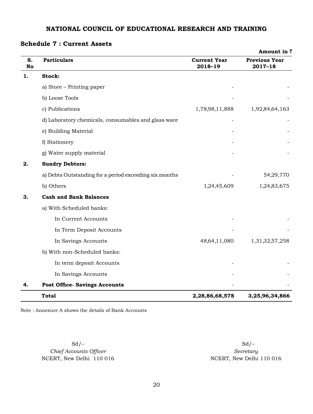### **Amount in** ` **S. No Particulars Current Year 2018 2018–19 Previous Year 2017–18 1. Stock:** a) Store –  $\text{Printing paper}$ b) Loose Tools c) Publications 1,78,98,11,888 1,92,84,64,163 d) Laboratory chemicals, consumables and glass ware e) Building Material f) Stationery g) Water supply material **2. Sundry Debtors:** a) Debts Outstanding for a period exceeding six months  $\sim$  54,29,770 b) Others 1,24,45,609 1,24,83,675 **3. Cash and Bank Balances** a) With Scheduled banks: In Current Accounts In Term Deposit Accounts In Savings Accounts 48,64,11,080 1,31,32,57,258 b) With non-Scheduled banks: In term deposit Accounts In Savings Accounts **4. Post Office- Savings Accounts Total** 2,28,86,68,578 3,25,96,34,866 **2,28,86,68,578**

### **Schedule 7 : Current Assets**

Note : Annexure A shows the details of Bank Accounts

 $C$ *hief Accounts Officer Secretary* NCERT, New Delhi 110 016 NCERT, New Delhi 110 016

Sd/–Sd/–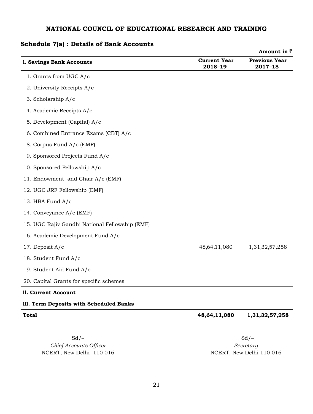### **Schedule 7(a) : Details of Bank Accounts**

|                                                |                                | Amount in $\bar{z}$             |
|------------------------------------------------|--------------------------------|---------------------------------|
| 1. Savings Bank Accounts                       | <b>Current Year</b><br>2018-19 | <b>Previous Year</b><br>2017-18 |
| 1. Grants from UGC A/c                         |                                |                                 |
| 2. University Receipts A/c                     |                                |                                 |
| 3. Scholarship A/c                             |                                |                                 |
| 4. Academic Receipts A/c                       |                                |                                 |
| 5. Development (Capital) A/c                   |                                |                                 |
| 6. Combined Entrance Exams (CBT) A/c           |                                |                                 |
| 8. Corpus Fund A/c (EMF)                       |                                |                                 |
| 9. Sponsored Projects Fund A/c                 |                                |                                 |
| 10. Sponsored Fellowship A/c                   |                                |                                 |
| 11. Endowment and Chair A/c (EMF)              |                                |                                 |
| 12. UGC JRF Fellowship (EMF)                   |                                |                                 |
| 13. HBA Fund A/c                               |                                |                                 |
| 14. Conveyance A/c (EMF)                       |                                |                                 |
| 15. UGC Rajiv Gandhi National Fellowship (EMF) |                                |                                 |
| 16. Academic Development Fund A/c              |                                |                                 |
| 17. Deposit A/c                                | 48,64,11,080                   | 1,31,32,57,258                  |
| 18. Student Fund A/c                           |                                |                                 |
| 19. Student Aid Fund A/c                       |                                |                                 |
| 20. Capital Grants for specific schemes        |                                |                                 |
| 11. Current Account                            |                                |                                 |
| 111. Term Deposits with Scheduled Banks        |                                |                                 |
| Total                                          | 48,64,11,080                   | 1,31,32,57,258                  |

Sd/–Sd/–  $C$ *hief Accounts Officer Secretary* NCERT, New Delhi 110 016 NCERT, New Delhi 110 016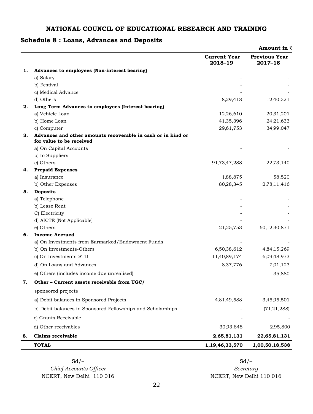### **Schedule 8 : Loans, Advances and Deposits**

|    |                                                                                          |                                | <b>Amount in <math>\bar{z}</math></b> |
|----|------------------------------------------------------------------------------------------|--------------------------------|---------------------------------------|
|    |                                                                                          | <b>Current Year</b><br>2018-19 | <b>Previous Year</b><br>2017-18       |
| 1. | Advances to employees (Non-interest bearing)                                             |                                |                                       |
|    | a) Salary                                                                                |                                |                                       |
|    | b) Festival                                                                              |                                |                                       |
|    | c) Medical Advance                                                                       |                                |                                       |
|    | d) Others                                                                                | 8,29,418                       | 12,40,321                             |
| 2. | Long Term Advances to employees (Interest bearing)                                       |                                |                                       |
|    | a) Vehicle Loan                                                                          | 12,26,610                      | 20,31,201                             |
|    | b) Home Loan                                                                             | 41,35,396                      | 24,21,633                             |
|    | c) Computer                                                                              | 29,61,753                      | 34,99,047                             |
| З. | Advances and other amounts recoverable in cash or in kind or<br>for value to be received |                                |                                       |
|    | a) On Capital Accounts                                                                   |                                |                                       |
|    | b) to Suppliers                                                                          |                                |                                       |
|    | c) Others                                                                                | 91,73,47,288                   | 22,73,140                             |
| 4. | <b>Prepaid Expenses</b>                                                                  |                                |                                       |
|    | a) Insurance                                                                             | 1,88,875                       | 58,520                                |
|    | b) Other Expenses                                                                        | 80,28,345                      | 2,78,11,416                           |
| 5. | <b>Deposits</b>                                                                          |                                |                                       |
|    | a) Telephone                                                                             |                                |                                       |
|    | b) Lease Rent                                                                            |                                |                                       |
|    | C) Electricity<br>d) AICTE (Not Applicable)                                              |                                |                                       |
|    | e) Others                                                                                | 21,25,753                      | 60,12,30,871                          |
| 6. | <b>Income Accrued</b>                                                                    |                                |                                       |
|    | a) On Investments from Earmarked/Endowment Funds                                         |                                |                                       |
|    | b) On Investments-Others                                                                 | 6,50,38,612                    | 4,84,15,269                           |
|    | c) On Investments-STD                                                                    | 11,40,89,174                   | 6,09,48,973                           |
|    | d) On Loans and Advances                                                                 | 8,37,776                       | 7,01,123                              |
|    | e) Others (includes income due unrealised)                                               |                                | 35,880                                |
|    | Other - Current assets receivable from UGC/                                              |                                |                                       |
|    | sponsored projects                                                                       |                                |                                       |
|    | a) Debit balances in Sponsored Projects                                                  | 4,81,49,588                    | 3,45,95,501                           |
|    | b) Debit balances in Sponsored Fellowships and Scholarships                              |                                | (71,21,288)                           |
|    | c) Grants Receivable                                                                     |                                |                                       |
|    | d) Other receivables                                                                     | 30,93,848                      | 2,95,800                              |
| 8. | <b>Claims receivable</b>                                                                 | 2,65,81,131                    | 22,65,81,131                          |
|    | <b>TOTAL</b>                                                                             | 1,19,46,33,570                 | 1,00,50,18,538                        |

 $Sd$  –  $Sd$  –  $Sd$  –  $C$ *hief Accounts Officer Secretary* NCERT, New Delhi 110 016 NCERT, New Delhi 110 016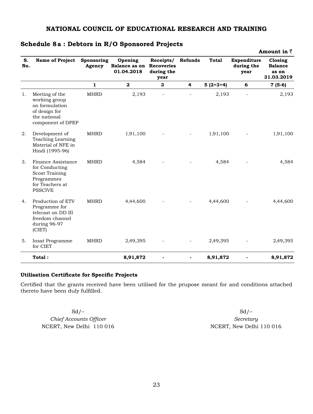|           |                                                                                                                  |                      |                                                          |                                 |                |              |                                   | Amount in $\bar{z}$                              |
|-----------|------------------------------------------------------------------------------------------------------------------|----------------------|----------------------------------------------------------|---------------------------------|----------------|--------------|-----------------------------------|--------------------------------------------------|
| S.<br>No. | Name of Project                                                                                                  | Sponsoring<br>Agency | Opening<br><b>Balance as on Recoveries</b><br>01.04.2018 | Receipts/<br>during the<br>year | Refunds        | <b>Total</b> | Expenditure<br>during the<br>year | Closing<br><b>Balance</b><br>as on<br>31.03.2019 |
|           |                                                                                                                  | $\mathbf{1}$         | $\mathbf{2}$                                             | 3                               | 4              | $5(2+3+4)$   | 6                                 | $7(5-6)$                                         |
| 1.        | Meeting of the<br>working group<br>on formulation<br>of design for<br>the national<br>component of DPEP          | <b>MHRD</b>          | 2,193                                                    |                                 |                | 2,193        |                                   | 2,193                                            |
| 2.        | Development of<br>Teaching Learning<br>Material of NFE in<br>Hindi (1995-96)                                     | <b>MHRD</b>          | 1,91,100                                                 |                                 |                | 1,91,100     |                                   | 1,91,100                                         |
| 3.        | Finance Assistance<br>for Conducting<br><b>Scost Training</b><br>Programmes<br>for Teachers at<br><b>PSSCIVE</b> | <b>MHRD</b>          | 4,584                                                    |                                 |                | 4,584        |                                   | 4,584                                            |
| 4.        | Production of ETV<br>Programme for<br>telecast on DD III<br>freedom channel<br>during 96-97<br>(CIET)            | <b>MHRD</b>          | 4,44,600                                                 |                                 |                | 4,44,600     |                                   | 4,44,600                                         |
| 5.        | Insat Programme<br>for CIET                                                                                      | <b>MHRD</b>          | 2,49,395                                                 |                                 |                | 2,49,395     |                                   | 2,49,395                                         |
|           | Total:                                                                                                           |                      | 8,91,872                                                 |                                 | $\overline{a}$ | 8,91,872     |                                   | 8,91,872                                         |

### **Schedule 8a : Debtors in R/O Sponsored Projects**

### **Utilisation Certificate for Specific Projects**

Certified that the grants received have been utilised for the prupose meant for and conditions attached thereto have been duly fulfilled.

 $C$ *hief Accounts Officer Secretary* NCERT, New Delhi 110 016 NCERT, New Delhi 110 016

 $Sd$  –  $Sd$  –  $Sd$  –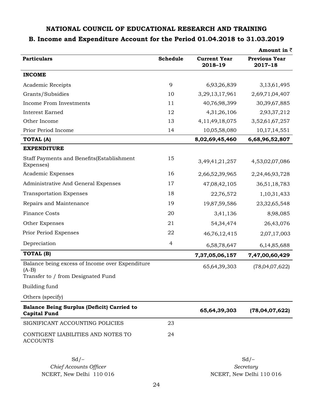### **B. Income and Expenditure Account for the Period 01.04.2018 to 31.03.2019**

|                                                                                                  |                |                                | Amount in $\bar{z}$             |
|--------------------------------------------------------------------------------------------------|----------------|--------------------------------|---------------------------------|
| <b>Particulars</b>                                                                               | Schedule       | <b>Current Year</b><br>2018-19 | <b>Previous Year</b><br>2017-18 |
| <b>INCOME</b>                                                                                    |                |                                |                                 |
| Academic Receipts                                                                                | 9              | 6,93,26,839                    | 3,13,61,495                     |
| Grants/Subsidies                                                                                 | 10             | 3,29,13,17,961                 | 2,69,71,04,407                  |
| Income From Investments                                                                          | 11             | 40,76,98,399                   | 30,39,67,885                    |
| <b>Interest Earned</b>                                                                           | 12             | 4,31,26,106                    | 2,93,37,212                     |
| Other Income                                                                                     | 13             | 4, 11, 49, 18, 075             | 3,52,61,67,257                  |
| Prior Period Income                                                                              | 14             | 10,05,58,080                   | 10,17,14,551                    |
| <b>TOTAL (A)</b>                                                                                 |                | 8,02,69,45,460                 | 6,68,96,52,807                  |
| <b>EXPENDITURE</b>                                                                               |                |                                |                                 |
| Staff Payments and Benefits(Establishment<br>Expenses)                                           | 15             | 3,49,41,21,257                 | 4,53,02,07,086                  |
| Academic Expenses                                                                                | 16             | 2,66,52,39,965                 | 2,24,46,93,728                  |
| Administrative And General Expenses                                                              | 17             | 47,08,42,105                   | 36,51,18,783                    |
| <b>Transportation Expenses</b>                                                                   | 18             | 22,76,572                      | 1,10,31,433                     |
| Repairs and Maintenance                                                                          | 19             | 19,87,59,586                   | 23,32,65,548                    |
| <b>Finance Costs</b>                                                                             | 20             | 3,41,136                       | 8,98,085                        |
| Other Expenses                                                                                   | 21             | 54, 34, 474                    | 26,43,076                       |
| Prior Period Expenses                                                                            | 22             | 46,76,12,415                   | 2,07,17,003                     |
| Depreciation                                                                                     | $\overline{4}$ | 6,58,78,647                    | 6,14,85,688                     |
| TOTAL (B)                                                                                        |                | 7,37,05,06,157                 | 7,47,00,60,429                  |
| Balance being excess of Income over Expenditure<br>$(A-B)$<br>Transfer to / from Designated Fund |                | 65,64,39,303                   | (78,04,07,622)                  |
| Building fund                                                                                    |                |                                |                                 |
| Others (specify)                                                                                 |                |                                |                                 |
| Balance Being Surplus (Deficit) Carried to<br><b>Capital Fund</b>                                |                | 65,64,39,303                   | (78,04,07,622)                  |
| SIGNIFICANT ACCOUNTING POLICIES                                                                  | 23             |                                |                                 |
| CONTIGENT LIABILITIES AND NOTES TO<br><b>ACCOUNTS</b>                                            | 24             |                                |                                 |
| $Sd$ /-<br>Chief Accounts Officer                                                                |                |                                | $Sd$ /-<br>Secretary            |
| NCERT, New Delhi 110 016                                                                         |                |                                | NCERT, New Delhi 110 016        |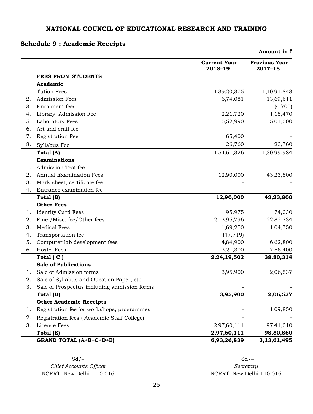### **Schedule 9 : Academic Receipts**

|    |                                              |                                | Amount in $\bar{z}$             |
|----|----------------------------------------------|--------------------------------|---------------------------------|
|    |                                              | <b>Current Year</b><br>2018-19 | <b>Previous Year</b><br>2017-18 |
|    | <b>FEES FROM STUDENTS</b>                    |                                |                                 |
|    | Academic                                     |                                |                                 |
| 1. | <b>Tution Fees</b>                           | 1,39,20,375                    | 1,10,91,843                     |
| 2. | <b>Admission Fees</b>                        | 6,74,081                       | 13,69,611                       |
| 3. | Enrolment fees                               |                                | (4,700)                         |
| 4. | Library Admission Fee                        | 2,21,720                       | 1,18,470                        |
| 5. | Laboratory Fees                              | 5,52,990                       | 5,01,000                        |
| 6. | Art and craft fee                            |                                |                                 |
| 7. | Registration Fee                             | 65,400                         |                                 |
| 8. | Syllabus Fee                                 | 26,760                         | 23,760                          |
|    | Total (A)                                    | 1,54,61,326                    | 1,30,99,984                     |
|    | <b>Examinations</b>                          |                                |                                 |
| 1. | Admission Test fee                           |                                |                                 |
| 2. | <b>Annual Examination Fees</b>               | 12,90,000                      | 43,23,800                       |
| 3. | Mark sheet, certificate fee                  |                                |                                 |
| 4. | Entrance examination fee                     |                                |                                 |
|    | Total (B)                                    | 12,90,000                      | 43,23,800                       |
|    | <b>Other Fees</b>                            |                                |                                 |
| 1. | <b>Identity Card Fees</b>                    | 95,975                         | 74,030                          |
| 2. | Fine /Misc. fee/Other fees                   | 2,13,95,796                    | 22,82,334                       |
| 3. | <b>Medical Fees</b>                          | 1,69,250                       | 1,04,750                        |
| 4. | Transportation fee                           | (47, 719)                      |                                 |
| 5. | Computer lab development fees                | 4,84,900                       | 6,62,800                        |
| 6. | <b>Hostel Fees</b>                           | 3,21,300                       | 7,56,400                        |
|    | Total (C)                                    | 2,24,19,502                    | 38,80,314                       |
|    | <b>Sale of Publications</b>                  |                                |                                 |
| 1. | Sale of Admission forms                      | 3,95,900                       | 2,06,537                        |
| 2. | Sale of Syllabus and Question Paper, etc     |                                |                                 |
| 3. | Sale of Prospectus including admission forms |                                |                                 |
|    | Total (D)                                    | 3,95,900                       | 2,06,537                        |
|    | <b>Other Academic Receipts</b>               |                                |                                 |
| l. | Registration fee for workshops, programmes   |                                | 1,09,850                        |
| 2. | Registration fees (Academic Staff College)   |                                |                                 |
| 3. | Licence Fees                                 | 2,97,60,111                    | 97,41,010                       |
|    | Total (E)                                    | 2,97,60,111                    | 98,50,860                       |
|    | <b>GRAND TOTAL (A+B+C+D+E)</b>               | 6,93,26,839                    | 3, 13, 61, 495                  |

 $C$ *hief Accounts Officer Secretary* NCERT, New Delhi 110 016 NCERT, New Delhi 110 016

 $Sd$  –  $Sd$  –  $Sd$  –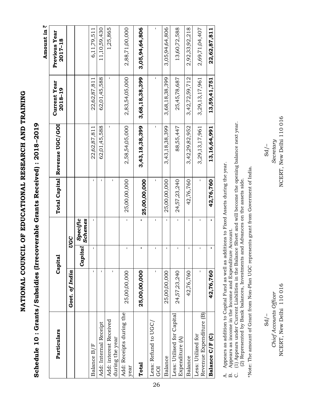NATIONAL COUNCIL OF EDUCATIONAL RESEARCH AND TRAINING **NATIONAL COUNCIL OF EDUCATIONAL RESEARCH AND TRAINING**

Schedule 10: Grants/Subsidies (Irrecoverable Grants Received): 2018-2019 **Schedule 10 : Grants/ Subsidies (Irrecoverable Grants Received) : 2018–2019** Amount in  $\bar{z}$ **Amount in** `

| Particulars                                   |                | Capital |                             |              | Total Capital Revenue UGC/GOI | <b>Current Year</b><br>2018-19 | Previous Year<br>2017-18 |
|-----------------------------------------------|----------------|---------|-----------------------------|--------------|-------------------------------|--------------------------------|--------------------------|
|                                               | Govt. of India |         | UGC                         |              |                               |                                |                          |
|                                               |                | Capital | <br>  Specific<br>  Schemes |              |                               |                                |                          |
| Balance B/F                                   | ı              | ı       | ı                           | п            | 22,62,87,811                  | 22,62,87,811                   | 6,11,79,511              |
| Add: Internal Receipt                         | ı              |         |                             | ı            | 62,01,45,588                  | 62,01,45,588                   | 11,10,59,430             |
| Add: interest Received<br>during the year     |                |         |                             | ı            | ı                             | ı                              | 1,25,865                 |
| Add: Receipts during the<br>year              | 25,00,00,000   | ı       | $\mathbf{I}$                | 25,00,00,000 | 2,58,54,05,000                | 2,83,54,05,000                 | 2,88,71,00,000           |
| Total                                         | 25,00,00,000   | ı       |                             | 25,00,00,000 | 3,43,18,38,399                | 3,68,18,38,399                 | 3,05,94,64,806           |
| Less: Refund to UGC,<br><b>GOI</b>            | ı              | ı       | ı                           |              | ı                             | ı                              | ı                        |
| Balance                                       | 25,00,00,000   | ı       | $\mathbf{I}$                | 25,00,00,000 | 3,43,18,38,399                | 3,68,18,38,399                 | 3,05,94,64,806           |
| Less: Utilised for Capital<br>Expenditure (A) | 24,57,23,240   | ı       | $\mathbf I$                 | 24,57,23,240 | 88,55,447                     | 25,45,78,687                   | 13,60,72,588             |
| Balance                                       | 42,76,760      | I       | $\mathbf{I}$                | 42,76,760    | 3,42,29,82,952                | 3,42,72,59,712                 | 2,92,33,92,218           |
| Revenue Expenditure (B)<br>Less: Utilized for | ı              | I       | $\mathbf I$                 | ı            | 3,29,13,17,961                | 3,29,13,17,961                 | 2,69,71,04,407           |
| Balance C/F (C)                               | 42,76,760      |         |                             | 42,76,760    | 13,16,64,991                  | 13,59,41,751                   | 22,62,87,811             |

Appears as addition to Capital Fund as well as additions to Fixed Assets during the year. A. Appears as addition to Capital Fund as well as additions to Fixed Assets during the year.  $\mathbf{A}$ .

Appears as income in the Income and Expenditure Account. B. Appears as income in the Income and Expenditure Account.  $\dot{\Xi}$ 

(1) Appears under Current Liabilities in the Balance Sheet and will become the opening balance next year. C. (1) Appears under Current Liabilities in the Balance Sheet and will become the opening balance next year. (2) Represented by Bank balances, Investments and Advances on the assets side. (2) Represented by Bank balances, Investments and Advances on the assets side. ن<br>ن

\*Note: The amount of Grant from Non-Plan UGC represents grant from Goverment of India. \*Note: The amount of Grant from Non-Plan UGC represents grant from Goverment of India.

*Chief Accounts Officer Secretary*  Sd/– Sd/– NCERT, New Delhi 110 016 Chief Accounts Officer  $Sd/-$ 

 $Sd$  /-

NCERT, New Delhi 110 016 NCERT, New Delhi 110 016 New Delhi 110 016 NCERT, New Delhi 110 016 Secretary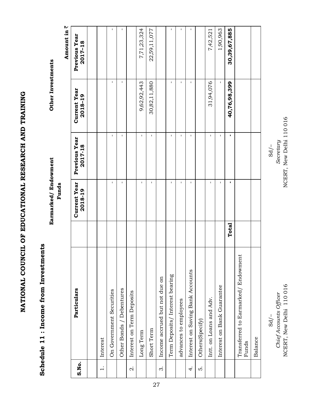NATIONAL COUNCIL OF EDUCATIONAL RESEARCH AND TRAINING **NATIONAL COUNCIL OF EDUCATIONAL RESEARCH AND TRAINING**

### Schedule 11 : Income from Investments **Schedule 11 : Income from Investments**

 **Funds**

**Earmarked/ Endowment Other Investments**  Earmarked/Endowment

**Funds** 

Other Investments

|                |                                             |       |                                |                          |                                | ₩<br>Amount in           |
|----------------|---------------------------------------------|-------|--------------------------------|--------------------------|--------------------------------|--------------------------|
| S.No.          | Particulars                                 |       | <b>Current Year</b><br>2018-19 | Previous Year<br>2017-18 | <b>Current Year</b><br>2018-19 | Previous Year<br>2017-18 |
|                |                                             |       |                                |                          |                                |                          |
| $\div$         | Interest                                    |       |                                |                          |                                |                          |
|                | On Government Securities                    |       | ı                              | $\mathsf I$              | г                              | ı                        |
|                | Other Bonds / Debentures                    |       | I.                             | ı                        | г                              | г                        |
| $\dot{\alpha}$ | Interest on Term Deposits                   |       |                                |                          |                                |                          |
|                | Long Term                                   |       | $\mathbf I$                    | $\mathbf I$              | 9,62,92,443                    | 7,71,23,324              |
|                | Short Term                                  |       | $\mathbf I$                    | $\mathbf I$              | 30,82,11,880                   | 22,59,11,077             |
| $\dot{\infty}$ | Income accrued but not due on               |       |                                |                          |                                |                          |
|                | Term Deposits/Interest bearing              |       | I.                             | $\mathsf I$              | 1                              | ı                        |
|                | advances to employees                       |       | $\mathbf I$                    | $\mathbf I$              | I.                             | I.                       |
| 4.             | Interest on Saving Bank Accounts            |       | $\mathsf I$                    | $\mathsf I$              | $\mathbf I$                    | $\mathbf{I}$             |
| ທ່             | Others(Specify)                             |       |                                |                          |                                |                          |
|                | Intt. on Loans and Adv.                     |       | $\mathbf I$                    | $\mathbf I$              | 31,94,076                      | 7,42,521                 |
|                | Interest on Bank Guarantee                  |       | $\mathbf I$                    | ı                        | ı                              | 1,90,963                 |
|                |                                             | Total | f,                             | I.                       | 40,76,98,399                   | 30,39,67,885             |
|                | Transferred to Earmarked/Endowment<br>Funds |       |                                |                          |                                |                          |
|                | Balance                                     |       |                                |                          |                                |                          |

NCERT, New Delhi 110 016 NCERT, New Delhi 110 016 NCERT, New Delhi 110 016Secretary  $Sd/-$ 

*Chief Accounts Officer Secretary*  Sd/– Sd/– NCERT, New Delhi 110 016 Chief Accounts Officer  $Sd$  /-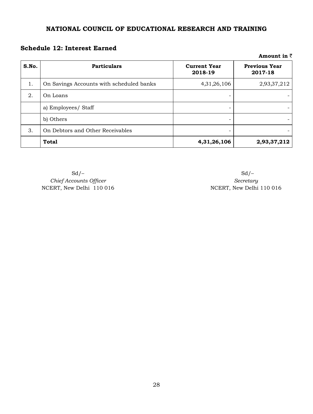### **Schedule 12: Interest Earned**

|       |                                          |                                | AMIUWIIL III \                  |
|-------|------------------------------------------|--------------------------------|---------------------------------|
| S.No. | <b>Particulars</b>                       | <b>Current Year</b><br>2018-19 | <b>Previous Year</b><br>2017-18 |
| 1.    | On Savings Accounts with scheduled banks | 4,31,26,106                    | 2,93,37,212                     |
| 2.    | On Loans                                 |                                |                                 |
|       | a) Employees/ Staff                      |                                |                                 |
|       | b) Others                                |                                |                                 |
| 3.    | On Debtors and Other Receivables         |                                |                                 |
|       | <b>Total</b>                             | 4,31,26,106                    | 2,93,37,212                     |

**Chief** Accounts Officer *Chief Accounts Officer Secretary* NCERT, New Delhi 110 016 NCERT, New Delhi 110 016

 $Sd$  –  $Sd$  –  $Sd$  –

**Amount in** `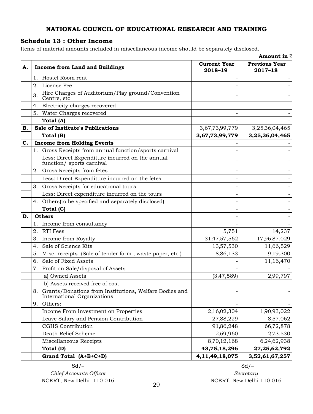### **Schedule 13 : Other Income**

Items of material amounts included in miscellaneous income should be separately disclosed.

|    |                                                                                          |                                | Amount in $\bar{z}$                 |
|----|------------------------------------------------------------------------------------------|--------------------------------|-------------------------------------|
| А. | <b>Income from Land and Buildings</b>                                                    | <b>Current Year</b><br>2018-19 | <b>Previous Year</b><br>$2017 - 18$ |
|    | 1. Hostel Room rent                                                                      |                                |                                     |
|    | License Fee<br>2.                                                                        |                                |                                     |
|    | Hire Charges of Auditorium/Play ground/Convention<br>3.<br>Centre, etc                   |                                |                                     |
|    | Electricity charges recovered<br>4.                                                      |                                |                                     |
|    | 5. Water Charges recovered                                                               |                                |                                     |
|    | Total (A)                                                                                |                                |                                     |
| В. | Sale of Institute's Publications                                                         | 3,67,73,99,779                 | 3,25,36,04,465                      |
|    | Total (B)                                                                                | 3,67,73,99,779                 | 3,25,36,04,465                      |
| C. | <b>Income from Holding Events</b>                                                        |                                |                                     |
|    | 1. Gross Receipts from annual function/sports carnival                                   |                                |                                     |
|    | Less: Direct Expenditure incurred on the annual<br>function/ sports carnival             |                                |                                     |
|    | 2. Gross Receipts from fetes                                                             |                                |                                     |
|    | Less: Direct Expenditure incurred on the fetes                                           |                                |                                     |
|    | Gross Receipts for educational tours<br>3.                                               |                                |                                     |
|    | Less: Direct expenditure incurred on the tours                                           |                                |                                     |
|    | 4. Others (to be specified and separately disclosed)                                     |                                |                                     |
|    | Total (C)                                                                                |                                |                                     |
| D. | <b>Others</b>                                                                            |                                |                                     |
|    | Income from consultancy<br>1.                                                            |                                |                                     |
|    | 2.<br>RTI Fees                                                                           | 5,751                          | 14,237                              |
|    | Income from Royalty<br>3.                                                                | 31,47,57,562                   | 17,96,87,029                        |
|    | Sale of Science Kits<br>4.                                                               | 13,57,530                      | 11,66,529                           |
|    | Misc. receipts (Sale of tender form, waste paper, etc.)<br>5.                            | 8,86,133                       | 9,19,300                            |
|    | Sale of Fixed Assets<br>6.                                                               |                                | 11,16,470                           |
|    | 7. Profit on Sale/disposal of Assets                                                     |                                |                                     |
|    | a) Owned Assets                                                                          | (3,47,589)                     | 2,99,797                            |
|    | b) Assets received free of cost                                                          |                                |                                     |
|    | 8. Grants/Donations from Institutions, Welfare Bodies and<br>International Organizations |                                |                                     |
|    | Others:<br>9.                                                                            |                                |                                     |
|    | Income From Investment on Properties                                                     | 2,16,02,304                    | 1,90,93,022                         |
|    | Leave Salary and Pension Contribution                                                    | 27,88,229                      | 8,57,062                            |
|    | <b>CGHS</b> Contribution                                                                 | 91,86,248                      | 66,72,878                           |
|    | Death Relief Scheme                                                                      | 2,69,960                       | 2,73,530                            |
|    | Miscellaneous Receipts                                                                   | 8,70,12,168                    | 6,24,62,938                         |
|    | Total (D)                                                                                | 43,75,18,296                   | 27, 25, 62, 792                     |
|    | Grand Total (A+B+C+D)                                                                    | 4,11,49,18,075                 | 3,52,61,67,257                      |

 $C$ *hief*  $Acc$ *ounts*  $O$ *fficer*  $S$ 

 $Sd$  –  $Sd$  –  $Sd$  – NCERT, New Delhi 110 016 000 000 NCERT, New Delhi 110 016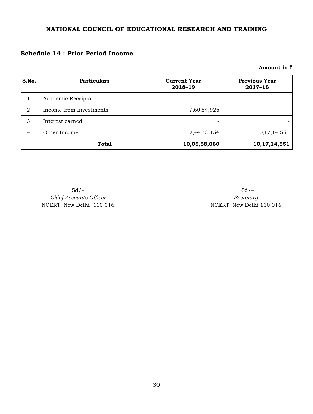### **Schedule 14 : Prior Period Income**

### **Amount in** `

| S.No. | <b>Particulars</b>      | <b>Current Year</b><br>2018-19 | <b>Previous Year</b><br>$2017 - 18$ |
|-------|-------------------------|--------------------------------|-------------------------------------|
| 1.    | Academic Receipts       |                                |                                     |
| 2.    | Income from Investments | 7,60,84,926                    |                                     |
| 3.    | Interest earned         |                                |                                     |
| 4.    | Other Income            | 2,44,73,154                    | 10,17,14,551                        |
|       | <b>Total</b>            | 10,05,58,080                   | 10,17,14,551                        |

**Chief** Accounts Officer *Chief Accounts Officer Secretary* 

 $Sd$  –  $Sd$  – NCERT, New Delhi 110 016 NCERT, New Delhi 110 016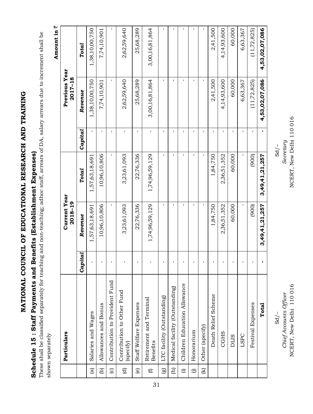NATIONAL COUNCIL OF EDUCATIONAL RESEARCH AND TRAINING **NATIONAL COUNCIL OF EDUCATIONAL RESEARCH AND TRAINING**

## Schedule 15: Staff Payments and Benefits (Establishment Expenses) **Schedule 15 : Staff Payments and Benefits (Establishment Expenses)**

These shall be classified separately for teaching and non-teaching; adhoc staff, arrears of DA, salary arrears due to increment shall be These shall be classified separately for teaching and non-teaching; adhoc staff, arrears of DA, salary arrears due to increment shall be shown separately shown separately

Amount in  $\bar{z}$ **Amount in** `

|                        |                                         |              |                                |                |              |                          | ì<br><b>THE POINT !</b> |
|------------------------|-----------------------------------------|--------------|--------------------------------|----------------|--------------|--------------------------|-------------------------|
|                        | Particulars                             |              | <b>Current Year</b><br>2018-19 |                |              | Previous Year<br>2017-18 |                         |
|                        |                                         | a <br>Capit  | Revenue                        | Total          | Capital      | Revenue                  | Total                   |
| $\widehat{a}$          | Salaries and Wages                      | $\mathbf{I}$ | 1,57,63,18,691                 | 1,57,63,18,691 | $\mathbf{I}$ | 1,38,10,00,750           | 1,38,10,00,750          |
| $\widehat{e}$          | Allowances and Bonus                    | ı            | 10,96,10,806                   | 10,96,10,806   | $\mathbf{I}$ | 7,74,10,901              | 7,74,10,901             |
| $\odot$                | Contribution to Provident Fund          | ı            | $\mathsf I$                    | I.             | $\mathbf I$  | $\mathsf I$              | ı                       |
| $\widehat{\mathbf{C}}$ | Contribution to Other Fund<br>(specify) | ı            | 3,23,61,093                    | 3,23,61,093    | $\mathbf I$  | 2,62,59,640              | 2,62,59,640             |
| $\circlede$            | Staff Welfare Expenses                  | $\mathbf I$  | 22,76,336                      | 22,76,336      | $\mathbf{I}$ | 25,68,289                | 25,68,289               |
| $\bigoplus$            | Retirement and Terminal<br>Benefits     | Ţ            | 1,74,96,59,129                 | 1,74,96,59,129 | $\mathbf{I}$ | 3,00,16,81,864           | 3,00,16,81,864          |
| $\circledB$            | LTC facility (Outstanding)              | ı            | $\mathbf I$                    | I.             | $\mathbf I$  | $\mathbf{I}$             | I.                      |
| $\widehat{E}$          | Medical facility (Outstanding)          | ı            | ı                              | ı              | ı            | I.                       | I.                      |
| $\widehat{\Xi}$        | Children Education Allowance            | $\mathbf I$  | J.                             | J.             | $\mathbf I$  | $\mathbf I$              | $\mathbf{I}$            |
| $\widehat{\Theta}$     | Honorarium                              | I.           | ٠                              | I.             | I.           | $\mathbf I$              |                         |
| $\Xi$                  | Other (specify)                         | $\mathbf I$  | $\mathbf I$                    | $\mathbf I$    | $\mathbf{I}$ | $\mathbf{I}$             | $\mathbf{I}$            |
|                        | Death Relief Scheme                     | ı            | 1,84,750                       | 1,84,750       | I.           | 2,41,500                 | 2,41,500                |
|                        | <b>CGHS</b>                             | $\mathbf{I}$ | 2,36,51,352                    | 2,36,51,352    | I.           | 4,14,93,600              | 4,14,93,600             |
|                        | <b>DLIS</b>                             | ı            | 60,000                         | 60,000         | I.           | 60,000                   | 60,000                  |
|                        | LSPC                                    | ı            | 1                              | 1              | $\mathbf I$  | 6,63,367                 | 6,63,367                |
|                        | <b>Festival Expenses</b>                | $\mathbf I$  | (900)                          | (900)          | $\mathbf I$  | (11, 72, 825)            | (11, 72, 825)           |
|                        | Total                                   |              | 3,49,41,21,257                 | 3,49,41,21,257 | f,           | 4,53,02,07,086           | 4,53,02,07,086          |

NCERT, New Delhi 110 016 NCERT, New Delhi 110 016 NCERT, New Delhi 110 016Secretary *Chief Accounts Officer Secretary* 

 $Sd/-$ 

 $\sqrt{5}$ d Sd  $\sqrt{5}$ d Sd  $\sqrt{5}$ d Sd  $\sqrt{5}$ d Sd  $\sqrt{5}$ d Sd  $\sqrt{5}$ d Sd  $\sqrt{5}$ d Sd  $\sqrt{5}$ d Sd  $\sqrt{5}$ d Sd  $\sqrt{5}$ d Sd  $\sqrt{5}$ d Sd  $\sqrt{5}$ d Sd  $\sqrt{5}$ d Sd  $\sqrt{5}$ d NCERT, New Delhi 110 016 Chief Accounts Officer  $Sd/-$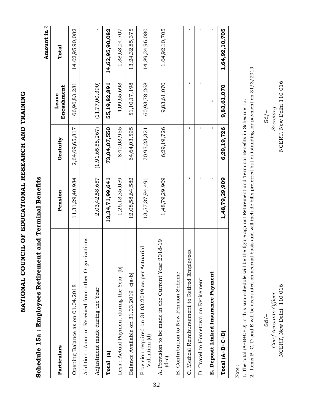Schedule 15a: Employees Retirement and Terminal Benefits **Schedule 15a : Employees Retirement and Terminal Benefits** Amount in  $\bar{z}$ **Amount in** `

| Particulars                                                        | Pension         | Gratuity             | Encashment<br>Leave | Total           |
|--------------------------------------------------------------------|-----------------|----------------------|---------------------|-----------------|
| Opening Balance as on 01.04.2018                                   | 11,31,29,40,984 | 2,64,69,65,817       | 66,96,83,281        | 14,62,95,90,082 |
| Addition : Amount Received from other Organizations                | п               | ı                    | I.                  | I               |
| Adjustment made during the Year                                    | 2,03,42,58,657  | (1, 91, 65, 58, 267) | (11,77,00,390)      |                 |
| Total (a)                                                          | 13,34,71,99,641 | 73,04,07,550         | 55,19,82,891        | 14,62,95,90,082 |
| Less : Actual Payment during the Year (b)                          | 1,26,13,35,059  | 8,40,03,955          | 4,09,65,693         | 1,38,63,04,707  |
| Balance Available on 31.03.2019 c(a-b)                             | 12,08,58,64,582 | 64,64,03,595         | 51,10,17,198        | 13,24,32,85,375 |
| Provision required on 31.03.2019 as per Actuarial<br>Valuation (d) | 13,57,37,94,491 | 70,93,23,321         | 60,93,78,268        | 14,89,24,96,080 |
| 2018-19<br>A. Provision to be made in the Current Year<br>$(d-c)$  | 1,48,79,29,909  | 6,29,19,726          | 9,83,61,070         | 1,64,92,10,705  |
| B. Contribution to New Pension Scheme                              | ı               | ı                    | ı                   |                 |
| C. Medical Reimbursement to Retired Employees                      | ı               |                      | ı                   |                 |
| D. Travel to Hometown on Retirement                                | Ţ               | ī                    | $\mathbf{I}$        | ı               |
| E. Deposit Linked Insurance Payment                                |                 |                      |                     |                 |
| $Total (A+B+C+D)$                                                  | 1,48,79,29,909  | 6,29,19,726          | 9,83,61,070         | 1,64,92,10,705  |

Note :

1. The total (A+B+C+D) in this sub-schedule will be the figure against Retirement and Terminal Benefits in Schedule 15. 1. The total (A+B+C+D) in this sub-schedule will be the figure against Retirement and Terminal Benefits in Schedule 15.

2. Items B, C, D and E will be accounted on accrual basis and will include bills preferred but outstanding for payment on 31/3/2019. 2. Items B, C, D and E will be accounted on accrual basis and will include bills preferred but outstanding for payment on 31/3/2019.

 $-\sqrt{2}$ d Sd $-\sqrt{2}$ d Sd $Sd$  /-

NCERT, New Delhi 110 016 NCERT, New Delhi 110 016*Chief Accounts Officer Secretary*  NCERT, New Delhi 110 016 Chief Accounts Officer

 $Sd$ /-

NCERT, New Delhi 110 016 Secretary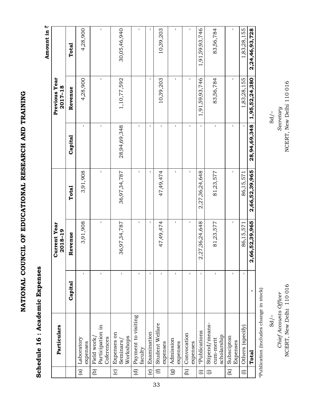Schedule 16 : Academic Expenses **Schedule 16 : Academic Expenses** Amount in  $\bar{z}$ **Amount in** `

|                         | Particulars                                  |              | <b>Current Year</b><br>2018-19 |                |              | Previous Year<br>2017-18 |                |
|-------------------------|----------------------------------------------|--------------|--------------------------------|----------------|--------------|--------------------------|----------------|
|                         |                                              | Capital      | Revenue                        | Total          | Capital      | Revenue                  | Total          |
| $\widehat{a}$           | Laboratory<br>expenses                       | ı            | 3,91,908                       | 3,91,908       | $\mathbf{I}$ | 4,28,900                 | 4,28,900       |
| $\widehat{e}$           | Participation in<br>Coferences<br>Field work |              | $\mathbf I$                    | $\mathbf I$    | $\mathbf I$  | $\mathbf{I}$             | $\mathsf I$    |
| $\odot$                 | Expenses on<br>Seminars/<br>Workshops        | $\mathbf I$  | 36,97,34,787                   | 36,97,34,787   | 28,94,69,348 | 1,10,77,592              | 30,05,46,940   |
| $\widehat{\mathbf{C}}$  | Payment to visiting<br>faculty               | $\mathbf I$  | $\mathbf I$                    | $\mathbf I$    | $\mathbf I$  |                          | $\mathsf I$    |
| $\widehat{e}$           | Examination                                  | $\mathsf I$  | I.                             | I.             | $\mathsf I$  | $\mathsf I$              | ı              |
| $\overline{\mathbf{e}}$ | Student Welfare<br>expenses                  | $\mathbf{I}$ | 47,49,474                      | 47,49,474      | $\mathbf I$  | 10,39,203                | 10,39,203      |
| $\circledR$             | Admission<br>expenses                        | $\mathbf{I}$ | $\mathsf I$                    | $\mathsf I$    | Ţ            | Ţ                        | I.             |
| $\boxed{\text{f}}$      | Convocation<br>expenses                      | $\mathbf{I}$ | $\mathbf I$                    | ı              | $\mathsf I$  | $\mathbf I$              | $\mathbf{I}$   |
| $\widehat{E}$           | *Publications                                | $\mathbf I$  | 2,27,36,24,648                 | 2,27,36,24,648 | $\mathbf I$  | 1,91,59,93,746           | 1,91,59,93,746 |
| $\widehat{\Theta}$      | Stipend/means-<br>scholarship<br>cum-merit   | I.           | 81,23,577                      | 81,23,577      | $\mathsf I$  | 83,56,784                | 83,56,784      |
| $\mathfrak{F}$          | Subscipton<br>Expenses                       | $\mathbf{I}$ | $\mathbf I$                    | $\mathbf I$    | ı            | I.                       | ı              |
| $\in$                   | Others (specify)                             | I.           | 86,15,571                      | 86,15,571      | $\mathbf I$  | 1,83,28,155              | 1,83,28,155    |
|                         | Total                                        |              | 2,66,52,39,965                 | 2,66,52,39,965 | 28,94,69,348 | 1,95,52,24,380           | 2,24,46,93,728 |

\*Publication (includes change in stock) \*Publication (includes change in stock)  $Sd$ /- NCERT, New Delhi 110 016

Chief Accounts Officer

NCERT, New Delhi 110 016 NCERT, New Delhi 110 016 NCERT, New Delhi 110 016Secretary *Chief Accounts Officer Secretary*   $Sd$  /- $\frac{1}{2}$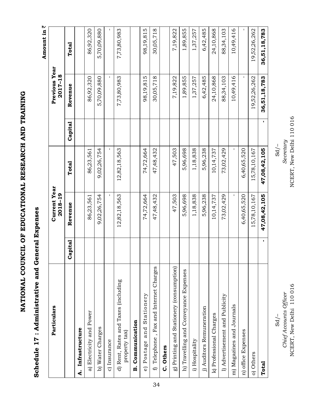Schedule 17: Administrative and General Expenses **Schedule 17 : Administrative and General Expenses**

Amount in  $\bar{z}$ **Amount in** `

| Particulars                                            |                | <b>Current Year</b><br>2018-19 |              |         | Previous Year<br>2017-18 |              |
|--------------------------------------------------------|----------------|--------------------------------|--------------|---------|--------------------------|--------------|
|                                                        | Capital        | Revenue                        | Total        | Capital | Revenue                  | Total        |
| A. Infrastructure                                      |                |                                |              |         |                          |              |
| a) Electricity and Power                               |                | 86,23,561                      | 86,23,561    |         | 86,92,320                | 86,92,320    |
| b) Water Charges                                       |                | 9,02,26,754                    | 9,02,26,754  |         | 5,70,09,880              | 5,70,09,880  |
| c) Insurance                                           |                | $\mathbf I$                    | $\mathbf{I}$ |         | $\mathbf{I}$             | $\mathbf{I}$ |
| d) Rent, Rates and Taxes (including<br>property tax)   |                | 12,82,18,563                   | 12,82,18,563 |         | 7,73,80,983              | 7,73,80,983  |
| Communication<br>øi                                    |                |                                |              |         |                          |              |
| Stationery<br>and<br>Postage<br>$\widehat{\mathbf{e}}$ |                | 74,72,664                      | 74,72,664    |         | 98,19,815                | 98,19,815    |
| Telephone, Fax and Internet Charges<br>$\overline{r}$  |                | 47,48,432                      | 47,48,432    |         | 30,05,718                | 30,05,718    |
| C. Others                                              |                |                                |              |         |                          |              |
| g) Printing and Stationery (consumption)               |                | 47,503                         | 47,503       |         | 7,19,822                 | 7,19,822     |
| h) Travelling and Conveyance Expenses                  |                | 5,96,698                       | 5,96,698     |         | 1,89,855                 | 1,89,855     |
| i) Hospitality                                         |                | 1,18,838                       | 1,18,838     |         | 1,37,257                 | 1,37,257     |
| j) Auditors Remuneration                               |                | 5,96,238                       | 5,96,238     |         | 6,42,485                 | 6,42,485     |
| k) Professional Charges                                |                | 10,14,737                      | 10, 14, 737  |         | 24,10,868                | 24,10,868    |
| l) Advertisement and Publicity                         |                | 73,02,429                      | 73,02,429    |         | 88,34,103                | 88,34,103    |
| m) Magazines and Journals                              |                | $\mathbf{I}$                   | $\mathbf I$  |         | 10,49,416                | 10,49,416    |
| n) office Expenses                                     |                | 6,40,65,520                    | 6,40,65,520  |         | $\mathbf{I}$             | $\mathbf{I}$ |
| o) Others                                              |                | 15,78,10,167                   | 15,78,10,167 |         | 19,52,26,262             | 19,52,26,262 |
| <b>Total</b>                                           | $\blacksquare$ | 47,08,42,105                   | 47,08,42,105 | f.      | 36,51,18,783             | 36,51,18,783 |

NCERT, New Delhi 110 016 NCERT, New Delhi 110 016 NCERT, New Delhi 110 016Secretary  $Sd$ /-

*Chief Accounts Officer Secretary*   $-\sqrt{2}$ SO  $-\sqrt{2}$ S de la seconda de la seconda de la seconda de la seconda de la seconda de la seconda de la seconda de la seconda de la seconda de la seconda de la seconda de la seconda de la seconda de la seconda de la NCERT, New Delhi 110 016 Chief Accounts Officer  $Sd/-$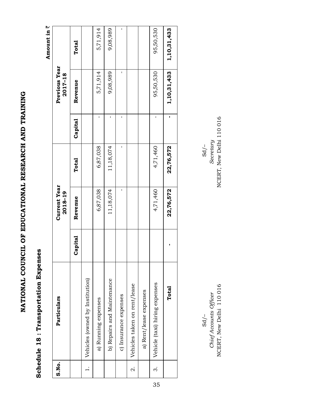## Schedule 18: Transportation Expenses **Schedule 18 : Transportation Expenses**

Amount in  $\bar{z}$ **Amount in** `

| S.No.              | Particulars                     |         | <b>Current Year</b><br>2018-19 |           |         | Previous Year<br>2017-18 |             |
|--------------------|---------------------------------|---------|--------------------------------|-----------|---------|--------------------------|-------------|
|                    |                                 | Capital | Revenue                        | Total     | Capital | Revenue                  | Total       |
|                    | Vehicles (owned by Institution) |         |                                |           |         |                          |             |
|                    | a) Running expenses             |         | 6,87,038                       | 6,87,038  | I       | 5,71,914                 | 5,71,914    |
|                    | b) Repairs and Maintenance      |         | 11,18,074                      | 11,18,074 | ı       | 9,08,989                 | 9,08,989    |
|                    | c) Insurance expenses           |         | ı                              |           | ı       |                          | ı           |
| $\dot{\mathbf{c}}$ | Vehicles taken on rent/lease    |         |                                |           |         |                          |             |
|                    | a) Rent/lease expenses          |         |                                |           |         |                          |             |
| က                  | Vehicle (taxi) hiring expenses  |         | 4,71,460                       | 4,71,460  |         | 95,50,530                | 95,50,530   |
|                    | Total                           |         | 22,76,572                      | 22,76,572 | ı       | 1,10,31,433              | 1,10,31,433 |

NCERT, New Delhi 110 016 NCERT, New Delhi 110 016*Chief Accounts Officer Secretary*  Sd/– Sd/– NCERT, New Delhi 110 016 Chief Accounts Officer  $Sd$  /-

NCERT, New Delhi 110 016 Secretary  $Sd/-$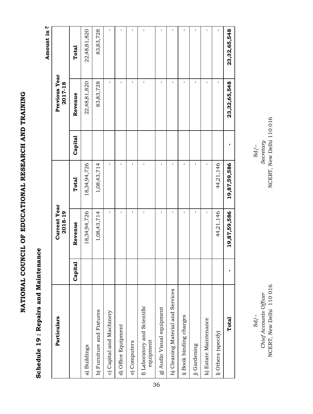## Schedule 19: Repairs and Maintenance **Schedule 19 : Repairs and Maintenance**

Amount in  $\bar{z}$ **Amount in** `

| Particulars                               |         | <b>Current Year</b><br>2018-19 |              |         | Previous Year<br>2017-18 |              |
|-------------------------------------------|---------|--------------------------------|--------------|---------|--------------------------|--------------|
|                                           | Capital | Revenue                        | Total        | Capital | Revenue                  | Total        |
| a) Buildings                              |         | 18,34,94,726                   | 18,34,94,726 |         | 22,48,81,820             | 22,48,81,820 |
| b) Furniture and Fixtures                 |         | 1,08,43,714                    | 1,08,43,714  |         | 83,83,728                | 83,83,728    |
| c) Capital and Machinery                  |         | ı                              | $\mathbf{I}$ |         | $\mathbf I$              | ı            |
| d) Office Equipment                       |         | ı                              | ı            |         | $\mathsf{I}$             | I            |
| e) Computers                              |         | ı                              | I.           |         | ı                        | ı            |
| f) Laboratory and Scientific<br>equipment |         | I                              | I            |         | ı                        | ı            |
| g) Audio Visual equipment                 |         | ı                              | ı            |         | $\mathbf I$              | ı            |
| h) Cleaning Material and Services         |         | ı                              | ı            |         | ı                        | ı            |
| i) Book binding charges                   |         | ı                              | Ţ            |         | ı                        | I            |
| j) Gardening                              |         | ı                              | ı            |         | ı                        | ı            |
| k) Estate Maintenance                     |         | $\mathbf I$                    | ı            |         | ı                        | I            |
| 1) Others (specify)                       |         | 44,21,146                      | 44,21,146    |         | ı                        | ı            |
| Total                                     |         | 19,87,59,586                   | 19,87,59,586 | ı       | 23,32,65,548             | 23,32,65,548 |

NCERT, New Delhi 110016 Secretary  $Sd$  /- $\frac{1}{2}$  SO  $\frac{1}{2}$  SO  $\frac{1}{2}$ 

NCERT, New Delhi 110 016 NCERT, New Delhi 110 016*Chief Accounts Officer Secretary*  NCERT, New Delhi 110 016 Chief Accounts Officer  $Sd$  /-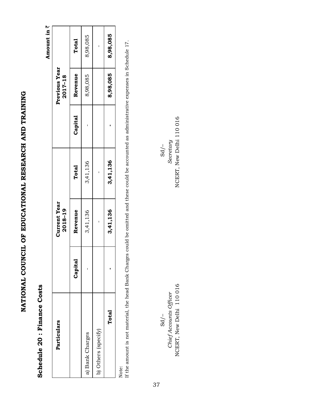### Schedule 20 : Finance Costs **Schedule 20 : Finance Costs**

Amount in  $\bar{z}$ **Amount in** `

| Particulars         |         | <b>Current Year</b><br>2018-19 |          |         | Previous Year<br>2017-18 |          |
|---------------------|---------|--------------------------------|----------|---------|--------------------------|----------|
|                     | Capital | Revenue                        | Total    | Capital | Revenue                  | Total    |
| a) Bank Charges     |         | 3,41,136                       | 3,41,136 |         | 8,98,085                 | 8,98,085 |
| b) Others (specify) |         |                                |          |         |                          |          |
| Total               |         | 3,41,136                       | 3,41,136 |         | 8,98,085                 | 8,98,085 |
|                     |         |                                |          |         |                          |          |

Note:

If the amount is not material, the head Bank Charges could be omitted and these could be accounted as administrative expenses in Schedule 17. If the amount is not material, the head Bank Charges could be omitted and these could be accounted as administrative expenses in Schedule 17.

NCERT, New Delhi 110 016 NCERT, New Delhi 110 016*Chief Accounts Officer Secretary*   $\sqrt{2}$   $\alpha$ NCERT, New Delhi 110 016 Chief Accounts Officer  $Sd$  /-

NCERT, New Delhi 110 016 Secretary  $Sd$ /-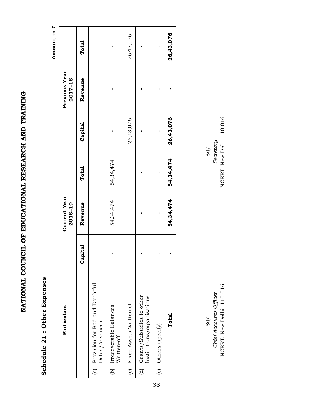### Schedule 21 : Other Expenses **Schedule 21 : Other Expenses**

Amount in  $\bar{z}$ **Amount in** `

|                    | Particulars                                             |         | <b>Current Year</b><br>2018-19 |           |           | Previous Year<br>2017-18 |           |
|--------------------|---------------------------------------------------------|---------|--------------------------------|-----------|-----------|--------------------------|-----------|
|                    |                                                         | Capital | Revenue                        | Total     | Capital   | Revenue                  | Total     |
| $\frac{a}{b}$      | Provision for Bad and Doubtful<br>Debts/Advances        | I       |                                |           |           |                          | I         |
|                    | (b) Irrecoverable Balances<br>Written-off               |         | 54,34,474                      | 54,34,474 |           |                          |           |
| $\overline{c}$     | Fixed Assets Written off                                |         |                                |           | 26,43,076 |                          | 26,43,076 |
| $\frac{1}{\sigma}$ | Institutions/organisations<br>Grants/Subsidies to other |         |                                |           |           |                          |           |
| $\overline{e}$     | Others (specify)                                        |         |                                |           |           |                          |           |
|                    | Total                                                   |         | 54,34,474                      | 54,34,474 | 26,43,076 |                          | 26,43,076 |

NCERT, New Delhi 110 016 NCERT, New Delhi 110 016*Chief Accounts Officer Secretary*   $\sqrt{2}$   $\alpha$ Chief Accounts Officer<br>NCERT, New Delhi 110 016  $Sd$  /-

NCERT, New Delhi 110016 Secretary  $Sd/-$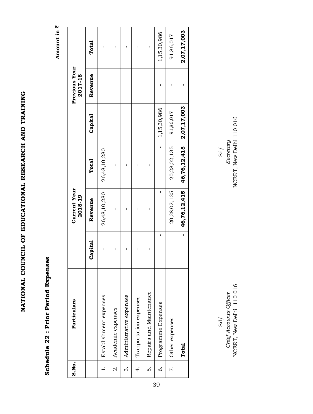### Schedule 22 : Prior Period Expenses **Schedule 22 : Prior Period Expenses**

Amount in  $\bar{z}$ **Amount in** `

| S.No.              | Particulars             |         | <b>Current Year</b><br>2018-19 |              |             | Previous Year<br>2017-18 |             |
|--------------------|-------------------------|---------|--------------------------------|--------------|-------------|--------------------------|-------------|
|                    |                         | Capital | Revenue                        | Total        | Capital     | Revenue                  | Total       |
|                    | Establishment expenses  |         | 26,48,10,280                   | 26,48,10,280 |             |                          |             |
| $\dot{\mathbf{c}}$ | Academic expenses       |         |                                |              |             |                          |             |
| ကဲ                 | Administrative expenses |         |                                |              |             |                          |             |
| 4.                 | Tranportation expenses  |         |                                |              |             |                          |             |
| ທ່                 | Repairs and Maintenance |         |                                |              |             |                          |             |
| Ġ                  | Programme Expenses      |         |                                |              | 1,15,30,986 |                          | 1,15,30,986 |
| r.                 | Other expenses          |         | 20,28,02,135                   | 20,28,02,135 | 91,86,017   |                          | 91,86,017   |
|                    | Total                   |         | 46,76,12,415                   | 46,76,12,415 | 2,07,17,003 |                          | 2,07,17,003 |

NCERT, New Delhi 110 016 NCERT, New Delhi 110 016*Chief Accounts Officer Secretary*   $-\sqrt{2}$ SO  $-\sqrt{2}$ S de Sonalis de Sonalis de Sonalis de Sonalis de Sonalis de Sonalis de Sonalis de Sonalis de Sonalis de Sonalis de Sonalis de Sonalis de Sonalis de Sonalis de Sonalis de Sonalis de Sonalis de Sonalis de S NCERT, New Delhi 110 016 Chief Accounts Officer  $Sd/-$ 

NCERT, New Delhi 110 016 Secretary  $Sd$ /-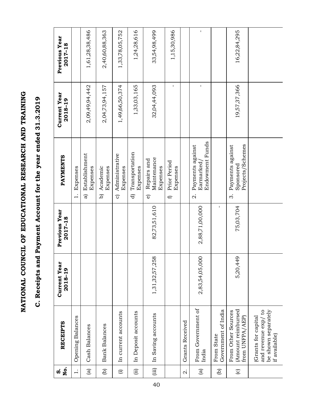# C. Receipts and Payment Account for the year ended 31.3.2019 **C. Receipts and Payment Account for the year ended 31.3.2019**

| Йo.<br>o.       | <b>RECEIPTS</b>                                                                   | <b>Current Year</b><br>2018-19 | Previous Year<br>2017-18 | PAYMENTS                                                           | <b>Current Year</b><br>2018-19 | Previous Year<br>2017-18 |
|-----------------|-----------------------------------------------------------------------------------|--------------------------------|--------------------------|--------------------------------------------------------------------|--------------------------------|--------------------------|
| $\div$          | Opening Balances                                                                  |                                |                          | Expenses<br>$\ddot{ }$                                             |                                |                          |
| $\mathbf{g}$    | <b>Cash Balances</b>                                                              |                                |                          | Establishment<br>Expenses<br>ಹ                                     | 2,09,49,94,442                 | 1,61,28,38,486           |
| $\widehat{e}$   | <b>Bank Balances</b>                                                              |                                |                          | Academic<br>Expenses<br>$\widehat{a}$                              | 2,04,73,94,157                 | 2,40,60,88,363           |
| $\widehat{\Xi}$ | In current accounts                                                               |                                |                          | Administrative<br>Expenses<br>$\sigma$                             | 1,49,66,50,374                 | 1,33,78,05,752           |
| $\widehat{\Xi}$ | In Deposit accounts                                                               |                                |                          | Transportation<br>Expenses<br>$\widehat{\sigma}$                   | 1,33,03,165                    | 1,24,28,616              |
| (iii)           | In Saving accounts                                                                | 58<br>1,31,32,57,2             | 82,73,51,610             | Maintenance<br>Repairs and<br>Expenses<br>$\widehat{\mathbf{e}}$   | 32,04,44,093                   | 33,54,98,499             |
|                 |                                                                                   |                                |                          | Prior Period<br>Expenses<br>Đ                                      | $\mathbf I$                    | 1,15,30,986              |
| Й               | Grants Received                                                                   |                                |                          |                                                                    |                                |                          |
| $\widehat{a}$   | From Government of<br>India                                                       | 2,83,54,05,000                 | 2,88,71,00,000           | Endowment Funds<br>Payments against<br>Earmarked<br>$\dot{\Omega}$ | $\mathbf I$                    | $\mathbf I$              |
| $\widehat{e}$   | Government of India<br>From State                                                 |                                | $\mathbf{I}$             |                                                                    |                                |                          |
| $\odot$         | (Amount reimbursed<br>From Other Sources<br>from UNFPA/AEP)                       | 5,20,449                       | 75,03,704                | Projects/Schemes<br>Payments against<br>Sponsored<br>က             | 19,57,37,366                   | 16,22,84,295             |
|                 | and revenue exp/ to<br>be shown separately<br>Grants for capital<br>if available) |                                |                          |                                                                    |                                |                          |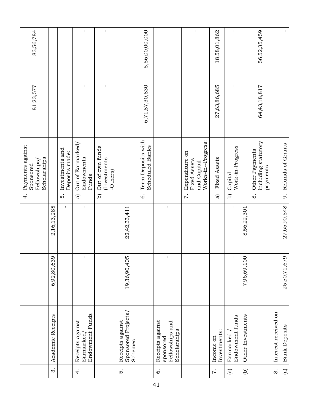| 83,56,784                                                                  |                   |                                         | $\mathbf I$<br>$\mathbf{I}$                       | $\mathbf I$<br>$\mathbf I$                                   |                                                    | 5,56,00,00,000                                    |                                                                  | $\mathbf I$                                                                | 18,58,01,862                         | $\mathbf{I}$<br>$\mathbf I$                           |                             | 56,52,35,459                                                        |                      | $\mathbf{L}$         |
|----------------------------------------------------------------------------|-------------------|-----------------------------------------|---------------------------------------------------|--------------------------------------------------------------|----------------------------------------------------|---------------------------------------------------|------------------------------------------------------------------|----------------------------------------------------------------------------|--------------------------------------|-------------------------------------------------------|-----------------------------|---------------------------------------------------------------------|----------------------|----------------------|
| 81,23,577                                                                  |                   |                                         |                                                   |                                                              |                                                    | 6,71,87,30,830                                    |                                                                  |                                                                            | 27,63,86,685                         |                                                       |                             | 64,43,18,817                                                        |                      |                      |
| Payments against<br>Scholarships<br>Fellowships,<br>Sponsored<br>$\dot{+}$ |                   | Investments and<br>Deposits made:<br>ທ່ | Out of Earmarked<br>Endowments<br>Funds<br>ଗ      | Out of own funds<br>Investments<br>-Others)<br>$\widehat{a}$ |                                                    | Term Deposits with<br><b>Scheduled Banks</b><br>Ġ |                                                                  | Works-in--Progress:<br>Expenditure on<br>Fixed Assets<br>and Capital<br>7. | <b>Fixed Assets</b><br>$\widehat{a}$ | Work-in-Progress<br>Capital<br>$\widehat{\mathbf{q}}$ |                             | including statutory<br>Other Payments<br>payments<br>$\dot{\infty}$ |                      | 9. Refunds of Grants |
|                                                                            | 2,16,13,285       | $\mathbf{I}$                            | $\mathbf I$                                       |                                                              | 22,42,33,411                                       |                                                   | $\mathbf{I}$                                                     |                                                                            |                                      | $\mathbf{I}$                                          | 8,56,22,301                 |                                                                     |                      | 27,65,90,548         |
|                                                                            | 6,92,80,639       |                                         | $\mathsf I$                                       |                                                              | 19,36,90,405                                       |                                                   | $\mathbf I$                                                      |                                                                            |                                      | $\mathbf I$                                           | $\overline{0}$<br>7,96,69,1 |                                                                     |                      | 25,50,71,679         |
|                                                                            | Academic Receipts |                                         | Endowment Funds<br>Receipts against<br>Earmarked, |                                                              | Sponsored Projects/<br>Schemes<br>Receipts against |                                                   | Receipts against<br>Fellowships and<br>Scholarships<br>sponsored |                                                                            | Investments:<br>Income on            | Endowment funds<br>Earmarked                          | Other Investments           |                                                                     | Interest received on | <b>Bank Deposits</b> |
|                                                                            | $\dot{\infty}$    |                                         | 4.                                                |                                                              | ທ່                                                 |                                                   | Ġ.                                                               |                                                                            | $\ddot{\sim}$                        | $\widehat{\mathbf{a}}$                                | $\widehat{e}$               |                                                                     | $\infty$             | $\widehat{a}$        |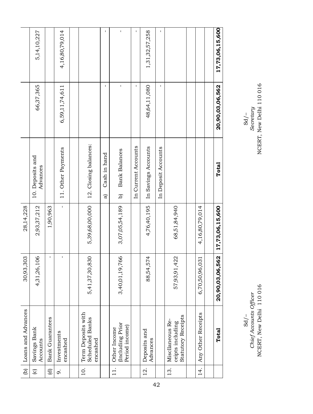|                    | 5,14,10,227                  |                        | 4,16,80,79,014          |                                                          | $\mathbf{I}$       | $\mathbf I$                                       | $\mathbf I$         | 1,31,32,57,258           | I.                  |                                                                   |                                 | 17,73,06,15,600 |
|--------------------|------------------------------|------------------------|-------------------------|----------------------------------------------------------|--------------------|---------------------------------------------------|---------------------|--------------------------|---------------------|-------------------------------------------------------------------|---------------------------------|-----------------|
|                    | 66,37,365                    |                        | 6,59,11,74,611          |                                                          | $\mathbf I$        | $\mathbf{I}$                                      | $\mathbf I$         | 48, 64, 11, 080          | $\mathbf I$         |                                                                   |                                 | 20,90,03,06,562 |
|                    | 10. Deposits and<br>Advances |                        | 11. Other Payments      | 12. Closing balances:                                    | Cash in hand<br>ଟି | <b>Bank Balances</b><br>$\widehat{\mathbf{G}}$    | In Current Accounts | In Savings Accounts      | In Deposit Accounts |                                                                   |                                 | Total           |
| 28,14,228          | 2,93,37,212                  | 1,90,963               | $\mathbf I$             | 5,39,68,00,000                                           |                    | 3,07,05,54,189                                    |                     | 4,76,40,195              |                     | 68,51,84,940                                                      | 4,16,80,79,014                  | 17,73,06,15,600 |
| 30,93,303          | 4,31,26,106                  | ı                      | $\mathbf{I}$            | 5,41,37,30,830                                           |                    | 66<br>3, 40, 01, 19, 7                            |                     | 88,54,574                |                     | 57,93,91,422                                                      | $\overline{31}$<br>6,70,50,96,0 | 20,90,03,06,562 |
| Loans and Advances | Savings Bank<br>Accounts     | <b>Bank Guarantees</b> | Investments<br>encashed | Term Deposits with<br><b>Scheduled Banks</b><br>encashed |                    | Including Prior<br>Period income)<br>Other Income |                     | Deposits and<br>Advances |                     | <b>Statutory Receipts</b><br>Miscllaneous Re-<br>ceipts including | Any Other Receipts              | Total           |
| $\widehat{e}$      | $\odot$                      | ਰੁ                     | o.                      | $\overline{a}$                                           |                    | $\frac{1}{11}$                                    |                     | $\frac{1}{2}$            |                     | 13.                                                               | 14.                             |                 |

 $\begin{array}{c} \text{Sd}/-\\ \text{Seretary}\\ \text{NCERT}, \text{New Delhi} 110 016 \end{array}$ 

NCERT, New Delhi 110 016 NCERT, New Delhi 110 016*Chief Accounts Officer Secretary*   $-\sqrt{20}$ Sd/–<br>Chief Accounts Officer<br>NCERT, New Delhi 110 016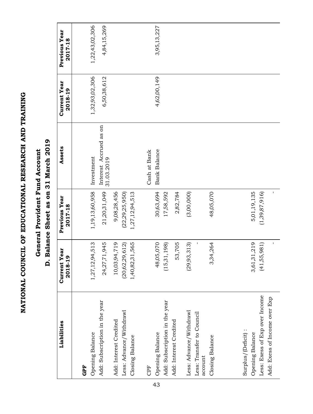### General Provident Fund Account **General Provident Fund Account**

## D. Balance Sheet as on 31 March 2019 **D. Balance Sheet as on 31 March 2019**

| Liabilities                                                                                              | <b>Current Year</b><br>2018-19   | Previous Year<br>2017-18          | Assets                               | <b>Current Year</b><br>2018-19 | Previous Year<br>2017-18 |
|----------------------------------------------------------------------------------------------------------|----------------------------------|-----------------------------------|--------------------------------------|--------------------------------|--------------------------|
| GPF                                                                                                      |                                  |                                   |                                      |                                |                          |
| Opening Balance                                                                                          | 1,27,12,94,513                   | 1,19,13,60,958                    | Investment                           | 1,32,93,02,306                 | 1,22,43,02,306           |
| Add: Subscription in the year                                                                            | 24,27,71,945                     | 21,20,31,049                      | Interest Accrued as on<br>31.03.2019 | 6,50,38,612                    | 4,84,15,269              |
| Add: Interest Credited                                                                                   | 10,03,94,719                     | 9,08,28,456                       |                                      |                                |                          |
| Less: Advance/Withdrawl                                                                                  | (20,62,29,612)                   | (22,29,25,950)                    |                                      |                                |                          |
| Closing Balance                                                                                          | 1,40,82,31,565                   | 1,27,12,94,513                    |                                      |                                |                          |
| CPF                                                                                                      |                                  |                                   | Cash at Bank                         |                                |                          |
| Opening Balance                                                                                          | 48,05,070                        | 30,63,694                         | Bank Balance                         | 4,62,00,149                    | 3,95,13,227              |
| Add: Subscription in the year                                                                            | (15,31,198)                      | 17,58,592                         |                                      |                                |                          |
| Add: Interest Credited                                                                                   | 53,705                           | 2,82,784                          |                                      |                                |                          |
| Less: Advance/Withdrawl                                                                                  | (29, 93, 313)                    | (3,00,000)                        |                                      |                                |                          |
| Less: Transfer to Council<br>account                                                                     |                                  |                                   |                                      |                                |                          |
| Closing Balance                                                                                          | 3,34,264                         | 48,05,070                         |                                      |                                |                          |
| Less: Exess of Exp over Income<br>Add: Exess of Income over Exp<br>Surplus/(Deficit):<br>Opening Balance | 3,61,31,219<br>I.<br>(41,55,981) | 5,01,19,135<br>ı<br>(1,39,87,916) |                                      |                                |                          |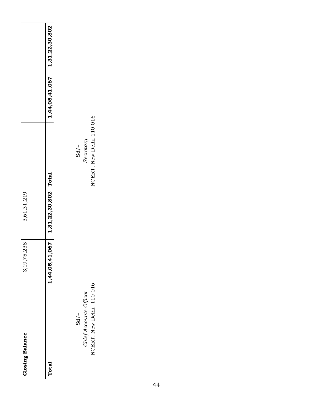| <b>Closing Balance</b> | 5,238<br>3,19,7     | 3,61,31,219          |                |                |
|------------------------|---------------------|----------------------|----------------|----------------|
| <b>btal</b>            | 11,067<br>1,44,05,4 | 1,31,22,30,802 Total | 1,44,05,41,067 | 1,31,22,30,802 |
|                        |                     |                      |                |                |

NCERT, New Delhi 110 016 NCERT, New Delhi 110 016*Chief Accounts Officer Secretary*   $\frac{1}{2}$  SO  $\frac{1}{2}$  SO  $\frac{1}{2}$  SO  $\frac{1}{2}$  SO  $\frac{1}{2}$  SO  $\frac{1}{2}$  SO  $\frac{1}{2}$  SO  $\frac{1}{2}$  SO  $\frac{1}{2}$  SO  $\frac{1}{2}$  SO  $\frac{1}{2}$  SO  $\frac{1}{2}$  SO  $\frac{1}{2}$  SO  $\frac{1}{2}$  SO  $\frac{1}{2}$  SO  $\frac{1}{2}$  SO  $\frac{1}{2}$  SO Sd/-<br>Chief Accounts Officer<br>NCERT, New Delhi 110 016

 $\begin{array}{c} \mathrm{Sd}/-\\ \mathrm{Sercetary}\\ \mathrm{NCERT},\ \mathrm{New\Deltaelhi\ 110\ 016} \end{array}$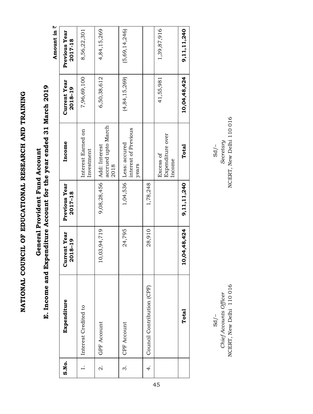### E. Income and Expenditure Account for the year ended 31 March 2019 **E. Income and Expenditure Account for the year ended 31 March 2019** General Provident Fund Account **General Provident Fund Account**

Amount in  $\bar{z}$  **Amount in** `

| S.No.        | Expenditure                | <b>Current Year</b><br>2018-19 | Previous Year<br>$2017 - 18$ | Income                                                    | <b>Current Year</b><br>2018-19 | Previous Year<br>2017-18 |
|--------------|----------------------------|--------------------------------|------------------------------|-----------------------------------------------------------|--------------------------------|--------------------------|
|              | Interest Credited to       |                                |                              | Interest Earned on<br>Investment                          | 7,96,69,100                    | 8,56,22,301              |
| $\dot{\sim}$ | <b>GPF Account</b>         | 10,03,94,719                   |                              | accrued upto March<br>9,08,28,456   Add: Interest<br>2018 | 6,50,38,612                    | 4,84,15,269              |
| ကဲ           | <b>CPF Account</b>         | 24,795                         |                              | interest of Previous<br>1,04,536 Less: accured<br>years   | (4, 84, 15, 269)               | (5,69,14,246)            |
| 4.           | Council Contribution (CPF) | 28,910                         | 1,78,248                     |                                                           |                                |                          |
|              |                            |                                |                              | Expenditure over<br>Excess of<br>Income                   | 41,55,981                      | 1,39,87,916              |
|              | Total                      | ,04,48,424<br>$\overline{a}$   | 9,11,11,240                  | Total                                                     | 10,04,48,424                   | 9, 11, 11, 240           |

NCERT, New Delhi 110 016 NCERT, New Delhi 110 016*Chief Accounts Officer Secretary*   $\frac{1}{2}$  SO  $\frac{1}{2}$  SO  $\frac{1}{2}$ NCERT, New Delhi 110 016 Chief Accounts Officer  $Sd$ /-

NCERT, New Delhi 110 016 Secretary  $Sd$ /-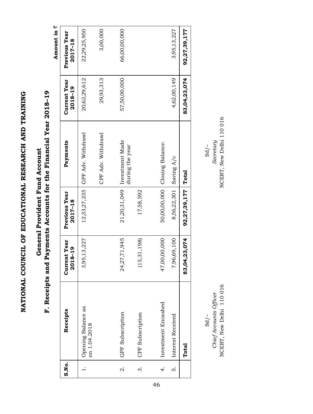F. Receipts and Payments Accounts for the Financial Year 2018-19 **F. Receipts and Payments Accounts for the Financial Year 2018–19** General Provident Fund Account **General Provident Fund Account**

Amount in  $\bar{z}$ **Amount in** `

| S.No.          |                                    |                                |                              |                                                 |                                |                          |
|----------------|------------------------------------|--------------------------------|------------------------------|-------------------------------------------------|--------------------------------|--------------------------|
|                | Receipts                           | <b>Current Year</b><br>2018-19 | Previous Year<br>$2017 - 18$ | Payments                                        | <b>Current Year</b><br>2018-19 | Previous Year<br>2017-18 |
|                | Opening Balance as<br>on 1.04.2018 | 3,95,13,227                    | 12,33,27,235                 | GPF Adv. Withdrawl                              | 20,62,29,612                   | 22,29,25,950             |
|                |                                    |                                |                              | CPF Adv. Withdrawl                              | 29,93,313                      | 3,00,000                 |
| $\dot{\alpha}$ | GPF Subscription                   | 24,27,71,945                   |                              | 21,20,31,049 Investment Made<br>during the year | 57,50,00,000                   | 66,00,00,000             |
| $\dot{\rm e}$  | CPF Subscription                   | (15, 31, 198)                  | 17,58,592                    |                                                 |                                |                          |
| 4.             | Investment Encashed                | 47,00,00,000                   |                              | 50,00,00,000   Closing Balance:                 |                                |                          |
| ທ່             | Interest Received                  | 7,96,69,100                    | 8,56,22,301 Saving A/c       |                                                 | 4,62,00,149                    | 3,95,13,227              |
|                | Total                              | 83,04,23,074                   | 92,27,39,177                 | Total                                           | 83,04,23,074                   | 92,27,39,177             |

NCERT, New Delhi 110 016 NCERT, New Delhi 110 016 *Chief Accounts Officer Secretary*   $\frac{1}{2}$  SO  $\frac{1}{2}$ NCERT, New Delhi 110 016 Chief Accounts Officer  $Sd$  /–

NCERT, New Delhi 110016 Secretary  $Sd$ /-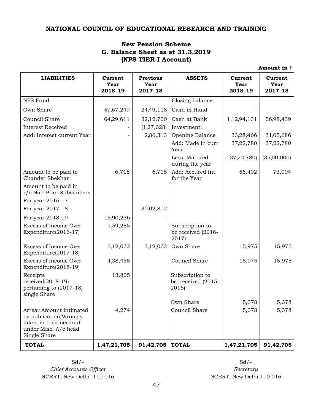### **NATIONAL COUNCIL OF EDUCATIONAL RESEARCH AND TRAINING**

### **New Pension Scheme G. Balance Sheet as at 31.3.2019 (NPS TIER-I Account)**

| <b>LIABILITIES</b>                                                                                                  | Current<br>Year<br>2018-19 | <b>Previous</b><br>Year<br>$2017 - 18$ | <b>ASSETS</b>                                  | <b>Current</b><br>Year<br>2018-19 | Current<br>Year<br>$2017 - 18$ |
|---------------------------------------------------------------------------------------------------------------------|----------------------------|----------------------------------------|------------------------------------------------|-----------------------------------|--------------------------------|
| NPS Fund:                                                                                                           |                            |                                        | Closing balance:                               |                                   |                                |
| Own Share                                                                                                           | 57,67,249                  | 24,49,118                              | Cash in Hand                                   |                                   |                                |
| Council Share                                                                                                       | 64,29,611                  | 32,12,700                              | Cash at Bank                                   | 1,12,94,131                       | 56,98,439                      |
| <b>Interest Received</b>                                                                                            |                            | (1,27,028)                             | Investment:                                    |                                   |                                |
| Add: Interest current Year                                                                                          |                            | 2,86,313                               | Opening Balance                                | 33,28,466                         | 31,05,686                      |
|                                                                                                                     |                            |                                        | Add: Made in curr<br>Year                      | 37,22,780                         | 37,22,780                      |
|                                                                                                                     |                            |                                        | Less: Matured<br>during the year               | (37,22,780)                       | (35,00,000)                    |
| Amount to be paid to<br>Chander Shekhar                                                                             | 6,718                      | 6,718                                  | Add: Accured Int.<br>for the Year              | 56,402                            | 73,094                         |
| Amount to be paid in<br>r/o Non-Pran Subscribers                                                                    |                            |                                        |                                                |                                   |                                |
| For year 2016-17                                                                                                    |                            |                                        |                                                |                                   |                                |
| For year 2017-18                                                                                                    |                            | 30,02,812                              |                                                |                                   |                                |
| For year 2018-19                                                                                                    | 15,90,236                  |                                        |                                                |                                   |                                |
| Excess of Income Over<br>Expenditure(2016-17)                                                                       | 1,59,285                   |                                        | Subscription to<br>be received (2016-<br>2017) |                                   |                                |
| Excess of Income Over<br>Expenditure(2017-18)                                                                       | 3,12,072                   | 3,12,072                               | Own Share                                      | 15,975                            | 15,975                         |
| Excess of Income Over<br>Expenditure(2018-19)                                                                       | 4,38,455                   |                                        | Council Share                                  | 15,975                            | 15,975                         |
| Receipts<br>received(2018-19)<br>pertaining to (2017-18)<br>single Share                                            | 13,805                     |                                        | Subscription to<br>be received (2015-<br>2016) |                                   |                                |
|                                                                                                                     |                            |                                        | Own Share                                      | 5,378                             | 5,378                          |
| Arrear Amount intimated<br>by publication(Wrongly<br>taken in their account<br>under Misc. A/c head<br>Single Share | 4,274                      |                                        | Council Share                                  | 5,378                             | 5,378                          |
| <b>TOTAL</b>                                                                                                        | 1,47,21,705                | 91,42,705                              | <b>TOTAL</b>                                   | 1,47,21,705                       | 91,42,705                      |

**Amount in** `

 $Sd$  –  $Sd$  –  $Sd$  – **Chief** Accounts Officer *Chief Accounts Officer Secretary* 

NCERT, New Delhi 110 016 NCERT, New Delhi 110 016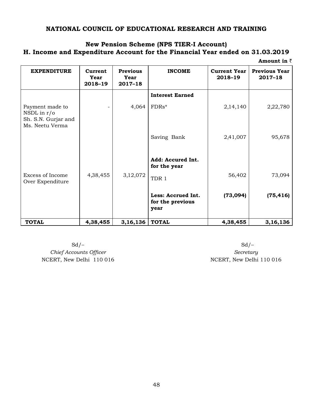### **NATIONAL COUNCIL OF EDUCATIONAL RESEARCH AND TRAINING**

### **New Pension Scheme (NPS TIER-I Account)**

**H. Income and Expenditure Account for the Financial Year ended on 31.03.2019**

| Amount in $\bar{z}$ |  |
|---------------------|--|
|---------------------|--|

| <b>EXPENDITURE</b>                                                         | Current<br>Year<br>2018-19 | <b>Previous</b><br>Year<br>$2017 - 18$ | <b>INCOME</b>                                  | <b>Current Year</b><br>2018-19 | <b>Previous Year</b><br>$2017 - 18$ |
|----------------------------------------------------------------------------|----------------------------|----------------------------------------|------------------------------------------------|--------------------------------|-------------------------------------|
| Payment made to<br>NSDL in $r/o$<br>Sh. S.N. Gurjar and<br>Ms. Neetu Verma |                            | 4,064                                  | <b>Interest Earned</b><br>FDRs*                | 2,14,140                       | 2,22,780                            |
|                                                                            |                            |                                        | Saving Bank                                    | 2,41,007                       | 95,678                              |
| Excess of Income<br>Over Expenditure                                       | 4,38,455                   | 3,12,072                               | Add: Accured Int.<br>for the year<br>TDR 1     | 56,402                         | 73,094                              |
|                                                                            |                            |                                        | Less: Accrued Int.<br>for the previous<br>year | (73,094)                       | (75, 416)                           |
| <b>TOTAL</b>                                                               | 4,38,455                   | 3,16,136                               | <b>TOTAL</b>                                   | 4,38,455                       | 3, 16, 136                          |

 $Sd$  –  $Sd$  –  $C$ *hief Accounts Officer Secretary* NCERT, New Delhi 110 016 NCERT, New Delhi 110 016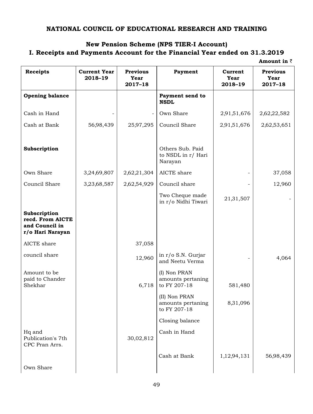### **NATIONAL COUNCIL OF EDUCATIONAL RESEARCH AND TRAINING**

### **New Pension Scheme (NPS TIER-I Account) I. Receipts and Payments Account for the Financial Year ended on 31.3.2019**

**Amount in** `

 **Receipts Current Year 2018–19 Previous Year 2017–18 Payment Current Year 2018–19 Previous Year 2017–18 Opening balance Payment send to NSDL** Cash in Hand  $\begin{vmatrix} - & - & - \ 0 & - & 0 \end{vmatrix}$  Own Share  $\begin{vmatrix} 2.91,51,676 & 2.62,22,582 \end{vmatrix}$ Cash at Bank 56'98,439 25'97,295 Council Share 2'91'51,676 2'62'53,651 **Subscription** Others Sub. Paid to NSDL in r/ Hari Narayan Own Share 1 3,24,69,807 2,62,21,304 AICTE share 1 37,058 Council Share 3'23'68,587 2'62'54,929 Council share - 12,960 Two Cheque made  $\left| \begin{array}{c} 1 \text{w0} \text{ Cheque made} \\ \text{in } r/\text{o} \text{ Nidhi Tiwari} \end{array} \right|$  21,31,507 **Subscription recd. From AICTE and Council in r/o Hari Narayan**  AICTE share  $\vert$  37,058 council share  $12,960$  in r/o S.N. Gurjar and Neetu Verma  $\begin{array}{|c|c|c|c|c|c|c|c|c|} \hline \end{array}$  4,064 Amount to be paid to Chander Shekhar 6,718 (I) Non PRAN amounts pertaning to FY 207-18 581,480 (II) Non PRAN amounts pertaning to FY 207-18 8,31,096 Closing balance Hq and Publication's 7th CPC Pran Arrs. 30,02,812 Cash in Hand Cash at Bank  $\begin{array}{|c|c|c|c|c|c|c|c|} \hline & 1,12.94,131 & 56.98,439 \hline \end{array}$ Own Share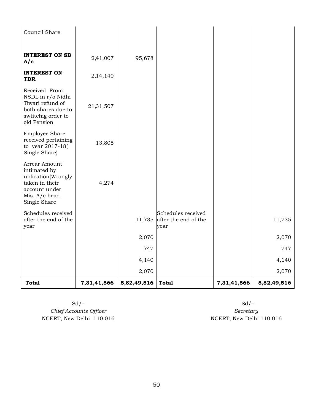| Council Share                                                                                                           |             |             |                                                           |             |             |
|-------------------------------------------------------------------------------------------------------------------------|-------------|-------------|-----------------------------------------------------------|-------------|-------------|
| <b>INTEREST ON SB</b><br>A/c                                                                                            | 2,41,007    | 95,678      |                                                           |             |             |
| <b>INTEREST ON</b><br><b>TDR</b>                                                                                        | 2,14,140    |             |                                                           |             |             |
| Received From<br>NSDL in r/o Nidhi<br>Tiwari refund of<br>both shares due to<br>swtitchig order to<br>old Pension       | 21,31,507   |             |                                                           |             |             |
| <b>Employee Share</b><br>received pertaining<br>to year 2017-18(<br>Single Share)                                       | 13,805      |             |                                                           |             |             |
| Arrear Amount<br>intimated by<br>ublication(Wrongly<br>taken in their<br>account under<br>Mis. A/c head<br>Single Share | 4,274       |             |                                                           |             |             |
| Schedules received<br>after the end of the<br>year                                                                      |             |             | Schedules received<br>11,735 after the end of the<br>wear |             | 11,735      |
|                                                                                                                         |             | 2,070       |                                                           |             | 2,070       |
|                                                                                                                         |             | 747         |                                                           |             | 747         |
|                                                                                                                         |             | 4,140       |                                                           |             | 4,140       |
|                                                                                                                         |             | 2,070       |                                                           |             | 2,070       |
| <b>Total</b>                                                                                                            | 7,31,41,566 | 5,82,49,516 | <b>Total</b>                                              | 7,31,41,566 | 5,82,49,516 |

 $Sd$  –  $Sd$  –  $Sd$  – **Chief Accounts Officer** *Chief Accounts Chief Accounts Officer Secretary* NCERT, New Delhi 110 016 NCERT, New Delhi 110 016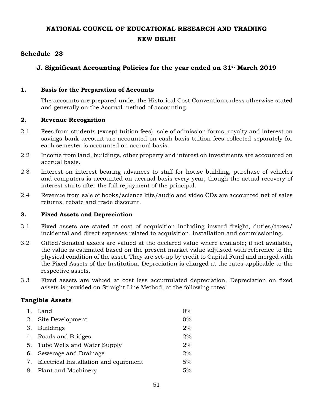### **NATIONAL COUNCIL OF EDUCATIONAL RESEARCH AND TRAINING NEW DELHI**

### **Schedule 23**

### **J. Significant Accounting Policies for the year ended on 31st March 2019**

### **1. Basis for the Preparation of Accounts**

The accounts are prepared under the Historical Cost Convention unless otherwise stated and generally on the Accrual method of accounting.

### **2. Revenue Recognition**

- 2.1 Fees from students (except tuition fees), sale of admission forms, royalty and interest on savings bank account are accounted on cash basis tuition fees collected separately for each semester is accounted on accrual basis.
- 2.2 Income from land, buildings, other property and interest on investments are accounted on accrual basis.
- 2.3 Interest on interest bearing advances to staff for house building, purchase of vehicles and computers is accounted on accrual basis every year, though the actual recovery of interest starts after the full repayment of the principal.
- 2.4 Revenue from sale of books/science kits/audio and video CDs are accounted net of sales returns, rebate and trade discount.

### **3. Fixed Assets and Depreciation**

- 3.1 Fixed assets are stated at cost of acquisition including inward freight, duties/taxes/ incidental and direct expenses related to acquisition, installation and commissioning.
- 3.2 Gifted/donated assets are valued at the declared value where available; if not available, the value is estimated based on the present market value adjusted with reference to the physical condition of the asset. They are set-up by credit to Capital Fund and merged with the Fixed Assets of the Institution. Depreciation is charged at the rates applicable to the respective assets.
- 3.3 Fixed assets are valued at cost less accumulated depreciation. Depreciation on fixed assets is provided on Straight Line Method, at the following rates:

### **Tangible Assets**

| Land                                     | $0\%$ |
|------------------------------------------|-------|
| Site Development                         | $0\%$ |
| <b>Buildings</b>                         | 2%    |
| 4. Roads and Bridges                     | 2%    |
| 5. Tube Wells and Water Supply           | 2%    |
| 6. Sewerage and Drainage                 | 2%    |
| 7. Electrical Installation and equipment | 5%    |
| 8. Plant and Machinery                   | 5%    |
|                                          |       |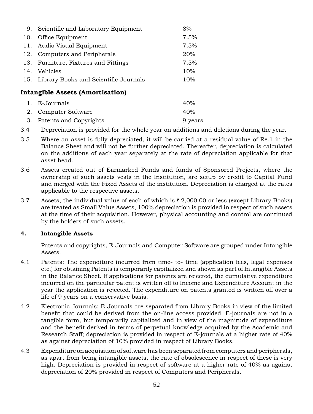| 9. Scientific and Laboratory Equipment    | 8%   |
|-------------------------------------------|------|
| 10. Office Equipment                      | 7.5% |
| 11. Audio Visual Equipment                | 7.5% |
| 12. Computers and Peripherals             | 20%  |
| 13. Furniture, Fixtures and Fittings      | 7.5% |
| 14. Vehicles                              | 10%  |
| 15. Library Books and Scientific Journals | 10%  |
| ntangible Assets (Amortisation)           |      |

### **Intangible Assets (Amortisation)**

| 1. E-Journals             | 40%     |
|---------------------------|---------|
| 2. Computer Software      | 40%     |
| 3. Patents and Copyrights | 9 years |

- 3.4 Depreciation is provided for the whole year on additions and deletions during the year.
- 3.5 Where an asset is fully depreciated, it will be carried at a residual value of Re.1 in the Balance Sheet and will not be further depreciated. Thereafter, depreciation is calculated on the additions of each year separately at the rate of depreciation applicable for that asset head.
- 3.6 Assets created out of Earmarked Funds and funds of Sponsored Projects, where the ownership of such assets vests in the Institution, are setup by credit to Capital Fund and merged with the Fixed Assets of the institution. Depreciation is charged at the rates applicable to the respective assets.
- 3.7 Assets, the individual value of each of which is  $\bar{\tau}$  2,000.00 or less (except Library Books) are treated as Small Value Assets, 100% depreciation is provided in respect of such assets at the time of their acquisition. However, physical accounting and control are continued by the holders of such assets.

### **4. Intangible Assets**

Patents and copyrights, E-Journals and Computer Software are grouped under Intangible Assets.

- 4.1 Patents: The expenditure incurred from time- to- time (application fees, legal expenses etc.) for obtaining Patents is temporarily capitalized and shown as part of Intangible Assets in the Balance Sheet. If applications for patents are rejected, the cumulative expenditure incurred on the particular patent is written off to Income and Expenditure Account in the year the application is rejected. The expenditure on patents granted is written off over a life of 9 years on a conservative basis.
- 4.2 Electronic Journals: E-Journals are separated from Library Books in view of the limited benefit that could be derived from the on-line access provided. E-journals are not in a tangible form, but temporarily capitalized and in view of the magnitude of expenditure and the benefit derived in terms of perpetual knowledge acquired by the Academic and Research Staff; depreciation is provided in respect of E-journals at a higher rate of 40% as against depreciation of 10% provided in respect of Library Books.
- 4.3 Expenditure on acquisition of software has been separated from computers and peripherals, as apart from being intangible assets, the rate of obsolescence in respect of these is very high. Depreciation is provided in respect of software at a higher rate of 40% as against depreciation of 20% provided in respect of Computers and Peripherals.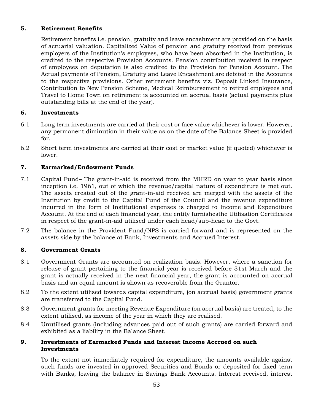### **5. retirement Benefits**

Retirement benefits i.e. pension, gratuity and leave encashment are provided on the basis of actuarial valuation. Capitalized Value of pension and gratuity received from previous employers of the Institution's employees, who have been absorbed in the Institution, is credited to the respective Provision Accounts. Pension contribution received in respect of employees on deputation is also credited to the Provision for Pension Account. The Actual payments of Pension, Gratuity and Leave Encashment are debited in the Accounts to the respective provisions. Other retirement benefits viz. Deposit Linked Insurance, Contribution to New Pension Scheme, Medical Reimbursement to retired employees and Travel to Home Town on retirement is accounted on accrual basis (actual payments plus outstanding bills at the end of the year).

### **6. Investments**

- 6.1 Long term investments are carried at their cost or face value whichever is lower. However, any permanent diminution in their value as on the date of the Balance Sheet is provided for.
- 6.2 Short term investments are carried at their cost or market value (if quoted) whichever is lower.

### **7. Earmarked/Endowment Funds**

- 7.1 Capital Fund– The grant-in-aid is received from the MHRD on year to year basis since inception i.e. 1961, out of which the revenue/capital nature of expenditure is met out. The assets created out of the grant-in-aid received are merged with the assets of the Institution by credit to the Capital Fund of the Council and the revenue expenditure incurred in the form of Institutional expenses is charged to Income and Expenditure Account. At the end of each financial year, the entity furnishesthe Utilisation Certificates in respect of the grant-in-aid utilised under each head/sub-head to the Govt.
- 7.2 The balance in the Provident Fund/NPS is carried forward and is represented on the assets side by the balance at Bank, Investments and Accrued Interest.

### **8. Government Grants**

- 8.1 Government Grants are accounted on realization basis. However, where a sanction for release of grant pertaining to the financial year is received before 31st March and the grant is actually received in the next financial year, the grant is accounted on accrual basis and an equal amount is shown as recoverable from the Grantor.
- 8.2 To the extent utilised towards capital expenditure, (on accrual basis) government grants are transferred to the Capital Fund.
- 8.3 Government grants for meeting Revenue Expenditure (on accrual basis) are treated, to the extent utilised, as income of the year in which they are realised.
- 8.4 Unutilised grants (including advances paid out of such grants) are carried forward and exhibited as a liability in the Balance Sheet.

### **9. Investments of Earmarked Funds and Interest Income Accrued on such Investments**

To the extent not immediately required for expenditure, the amounts available against such funds are invested in approved Securities and Bonds or deposited for fixed term with Banks, leaving the balance in Savings Bank Accounts. Interest received, interest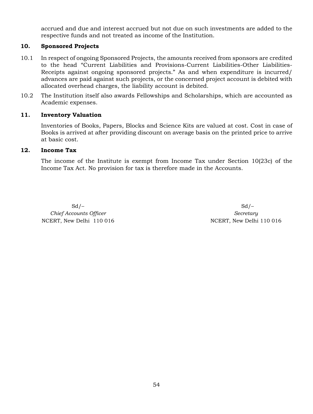accrued and due and interest accrued but not due on such investments are added to the respective funds and not treated as income of the Institution.

### **10. Sponsored Projects**

- 10.1 In respect of ongoing Sponsored Projects, the amounts received from sponsors are credited to the head "Current Liabilities and Provisions-Current Liabilities-Other Liabilities-Receipts against ongoing sponsored projects." As and when expenditure is incurred/ advances are paid against such projects, or the concerned project account is debited with allocated overhead charges, the liability account is debited.
- 10.2 The Institution itself also awards Fellowships and Scholarships, which are accounted as Academic expenses.

### **11. Inventory Valuation**

Inventories of Books, Papers, Blocks and Science Kits are valued at cost. Cost in case of Books is arrived at after providing discount on average basis on the printed price to arrive at basic cost.

### **12. Income Tax**

The income of the Institute is exempt from Income Tax under Section 10(23c) of the Income Tax Act. No provision for tax is therefore made in the Accounts.

*Chief Accounts Officer Secretary Secretary* NCERT, New Delhi 110 016 NCERT, New Delhi 110 016

 $Sd$  –  $Sd$  –  $Sd$  –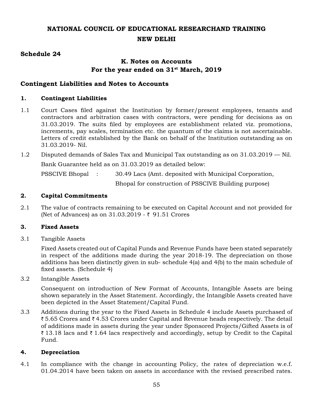### **NATIONAL COUNCIL OF EDUCATIONAL RESEARCHAND TRAINING NEW DELHI**

### **Schedule 24**

### **K. Notes on Accounts For the year ended on 31st March, 2019**

### **Contingent Liabilities and Notes to Accounts**

### **1. Contingent Liabilities**

- 1.1 Court Cases filed against the Institution by former/present employees, tenants and contractors and arbitration cases with contractors, were pending for decisions as on 31.03.2019. The suits filed by employees are establishment related viz. promotions, increments, pay scales, termination etc. the quantum of the claims is not ascertainable. Letters of credit established by the Bank on behalf of the Institution outstanding as on 31.03.2019- Nil.
- 1.2 Disputed demands of Sales Tax and Municipal Tax outstanding as on 31.03.2019 Nil.

Bank Guarantee held as on 31.03.2019 as detailed below:

PSSCIVE Bhopal : 30.49 Lacs (Amt. deposited with Municipal Corporation,

Bhopal for construction of PSSCIVE Building purpose)

### **2. Capital Commitments**

2.1 The value of contracts remaining to be executed on Capital Account and not provided for (Net of Advances) as on  $31.03.2019$  -  $\bar{\tau}$  91.51 Crores

### **3. Fixed Assets**

3.1 Tangible Assets

Fixed Assets created out of Capital Funds and Revenue Funds have been stated separately in respect of the additions made during the year 2018-19. The depreciation on those additions has been distinctly given in sub- schedule 4(a) and 4(b) to the main schedule of fixed assets. (Schedule 4)

3.2 Intangible Assets

Consequent on introduction of New Format of Accounts, Intangible Assets are being shown separately in the Asset Statement. Accordingly, the Intangible Assets created have been depicted in the Asset Statement/Capital Fund.

3.3 Additions during the year to the Fixed Assets in Schedule 4 include Assets purchased of ₹5.65 Crores and ₹4.53 Crores under Capital and Revenue heads respectively. The detail of additions made in assets during the year under Sponsored Projects/Gifted Assets is of  $\bar{\zeta}$  13.18 lacs and  $\bar{\zeta}$  1.64 lacs respectively and accordingly, setup by Credit to the Capital Fund.

### **4. Depreciation**

4.1 In compliance with the change in accounting Policy, the rates of depreciation w.e.f. 01.04.2014 have been taken on assets in accordance with the revised prescribed rates.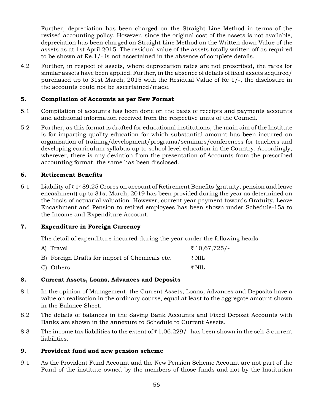Further, depreciation has been charged on the Straight Line Method in terms of the revised accounting policy. However, since the original cost of the assets is not available, depreciation has been charged on Straight Line Method on the Written down Value of the assets as at 1st April 2015. The residual value of the assets totally written off as required to be shown at Re.1/- is not ascertained in the absence of complete details.

4.2 Further, in respect of assets, where depreciation rates are not prescribed, the rates for similar assets have been applied. Further, in the absence of details of fixed assets acquired/ purchased up to 31st March, 2015 with the Residual Value of Re 1/-, the disclosure in the accounts could not be ascertained/made.

### **5. Compilation of Accounts as per New Format**

- 5.1 Compilation of accounts has been done on the basis of receipts and payments accounts and additional information received from the respective units of the Council.
- 5.2 Further, as this format is drafted for educational institutions, the main aim of the Institute is for imparting quality education for which substantial amount has been incurred on organization of training/development/programs/seminars/conferences for teachers and developing curriculum syllabus up to school level education in the Country. Accordingly, wherever, there is any deviation from the presentation of Accounts from the prescribed accounting format, the same has been disclosed.

### **6. Retirement Benefits**

6.1 Liability of  $\bar{\tau}$  1489.25 Crores on account of Retirement Benefits (gratuity, pension and leave encashment) up to 31st March, 2019 has been provided during the year as determined on the basis of actuarial valuation. However, current year payment towards Gratuity, Leave Encashment and Pension to retired employees has been shown under Schedule-15a to the Income and Expenditure Account.

### **7. Expenditure in Foreign Currency**

The detail of expenditure incurred during the year under the following heads—

| A) Travel                                      | ₹ 10,67,725/-    |
|------------------------------------------------|------------------|
| B) Foreign Drafts for import of Chemicals etc. | $\bar{\tau}$ NIL |
| C) Others                                      | ₹ NIL            |

### **8. Current Assets, Loans, Advances and Deposits**

- 8.1 In the opinion of Management, the Current Assets, Loans, Advances and Deposits have a value on realization in the ordinary course, equal at least to the aggregate amount shown in the Balance Sheet.
- 8.2 The details of balances in the Saving Bank Accounts and Fixed Deposit Accounts with Banks are shown in the annexure to Schedule to Current Assets.
- 8.3 The income tax liabilities to the extent of  $\bar{\tau}$  1,06,229/- has been shown in the sch-3 current liabilities.

### **9. Provident fund and new pension scheme**

9.1 As the Provident Fund Account and the New Pension Scheme Account are not part of the Fund of the institute owned by the members of those funds and not by the Institution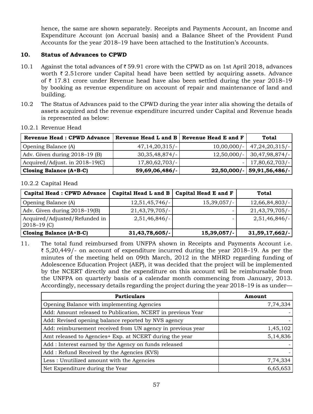hence, the same are shown separately. Receipts and Payments Account, an Income and Expenditure Account (on Accrual basis) and a Balance Sheet of the Provident Fund Accounts for the year 2018–19 have been attached to the Institution's Accounts.

### **10. Status of Advances to CPWD**

- 10.1 Against the total advances of  $\overline{\tau}$  59.91 crore with the CPWD as on 1st April 2018, advances worth  $\bar{\tau}$  2.51 crore under Capital head have been settled by acquiring assets. Advance of  $\bar{\tau}$  17.81 crore under Revenue head have also been settled during the year 2018–19 by booking as revenue expenditure on account of repair and maintenance of land and building.
- 10.2 The Status of Advances paid to the CPWD during the year inter alia showing the details of assets acquired and the revenue expenditure incurred under Capital and Revenue heads is represented as below:

| <b>Revenue Head: CPWD Advance</b> |                   | Revenue Head L and $B \mid$ Revenue Head E and F | Total                        |
|-----------------------------------|-------------------|--------------------------------------------------|------------------------------|
| Opening Balance (A)               | 47,14,20,315/     |                                                  | $10,00,000/-$ 47,24,20,315/- |
| Adv. Given during 2018–19 (B)     | 30,35,48,874/     | $12,50,000/-$                                    | -30,47,98,874/               |
| Acquired/Adjust. in 2018–19(C)    | $17,80,62,703/$ - |                                                  | $- 17,80,62,703/$            |
| <b>Closing Balance (A+B-C)</b>    | 59,69,06,486/-    | $22,50,000$ /-                                   | 59,91,56,486/-               |

### 10.2.1 Revenue Head

### 10.2.2 Capital Head

| <b>Capital Head: CPWD Advance</b>                | Capital Head L and B | Capital Head E and F | <b>Total</b>      |
|--------------------------------------------------|----------------------|----------------------|-------------------|
| Opening Balance (A)                              | $12,51,45,746/-$     | 15,39,057/           | $12,66,84,803/$ - |
| Adv. Given during 2018–19(B)                     | $21,43,79,705/-$     |                      | $21,43,79,705/-$  |
| Acquired/Adjusted/Refunded in<br>$2018 - 19$ (C) | $2,51,46,846/-$      |                      | $2,51,46,846/-$   |
| Closing Balance $(A+B-C)$                        | 31,43,78,605/        | 15,39,057/           | $31,59,17,662/$ - |

11. The total fund reimbursed from UNFPA shown in Receipts and Payments Account i.e.  $\bar{\xi}$  5,20,449/- on account of expenditure incurred during the year 2018–19. As per the minutes of the meeting held on 09th March, 2012 in the MHRD regarding funding of Adolescence Education Project (AEP), it was decided that the project will be implemented by the NCERT directly and the expenditure on this account will be reimbursable from the UNFPA on quarterly basis of a calendar month commencing from January, 2013. Accordingly, necessary details regarding the project during the year 2018–19 is as under—

| <b>Particulars</b>                                          | Amount   |
|-------------------------------------------------------------|----------|
| Opening Balance with implementing Agencies                  | 7,74,334 |
| Add: Amount released to Publication, NCERT in previous Year |          |
| Add: Revised opening balance reported by NVS agency         |          |
| Add: reimbursement received from UN agency in previous year | 1,45,102 |
| Amt released to Agencies+ Exp. at NCERT during the year     | 5,14,836 |
| Add: Interest earned by the Agency on funds released        |          |
| Add: Refund Received by the Agencies (KVS)                  |          |
| Less: Unutilized amount with the Agencies                   | 7,74,334 |
| Net Expenditure during the Year                             | 6,65,653 |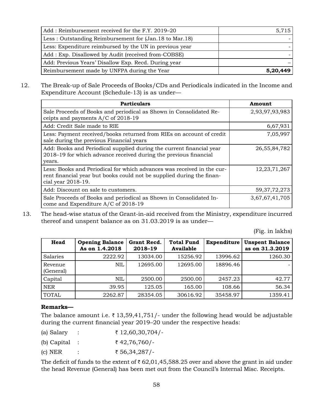| Add: Reimbursement received for the F.Y. 2019–20         | 5,715    |
|----------------------------------------------------------|----------|
| Less: Outstanding Reimbursement for (Jan. 18 to Mar. 18) |          |
| Less: Expenditure reimbursed by the UN in previous year  |          |
| Add: Exp. Disallowed by Audit (received from-COBSE)      |          |
| Add: Previous Years' Disallow Exp. Recd. During year     |          |
| Reimbursement made by UNFPA during the Year              | 5,20,449 |

12. The Break-up of Sale Proceeds of Books/CDs and Periodicals indicated in the Income and Expenditure Account (Schedule-13) is as under—

| <b>Particulars</b>                                                                                                                                                    | Amount          |
|-----------------------------------------------------------------------------------------------------------------------------------------------------------------------|-----------------|
| Sale Proceeds of Books and periodical as Shown in Consolidated Re-<br>ceipts and payments A/C of 2018-19                                                              | 2,93,97,93,983  |
| Add: Credit Sale made to RIE                                                                                                                                          | 6,67,931        |
| Less: Payment received/books returned from RIEs on account of credit<br>sale during the previous Financial years                                                      | 7,05,997        |
| Add: Books and Periodical supplied during the current financial year<br>2018-19 for which advance received during the previous financial<br>years.                    | 26, 55, 84, 782 |
| Less: Books and Periodical for which advances was received in the cur-<br>rent financial year but books could not be supplied during the finan-<br>cial year 2018-19. | 12,23,71,267    |
| Add: Discount on sale to customers.                                                                                                                                   | 59, 37, 72, 273 |
| Sale Proceeds of Books and periodical as Shown in Consolidated In-<br>come and Expenditure A/C of 2018-19                                                             | 3,67,67,41,705  |

 13. The head-wise status of the Grant-in-aid received from the Ministry, expenditure incurred thereof and unspent balance as on 31.03.2019 is as under—

(Fig. in lakhs)

| Head                 | <b>Opening Balance</b><br>As on 1.4.2018 | Grant Recd.<br>2018-19 | <b>Total Fund</b><br>Available | Expenditure | <b>Unspent Balance</b><br>as on 31.3.2019 |
|----------------------|------------------------------------------|------------------------|--------------------------------|-------------|-------------------------------------------|
| Salaries             | 2222.92                                  | 13034.00               | 15256.92                       | 13996.62    | 1260.30                                   |
| Revenue<br>(General) | <b>NIL</b>                               | 12695.00               | 12695.00                       | 18896.46    |                                           |
| Capital              | <b>NIL</b>                               | 2500.00                | 2500.00                        | 2457.23     | 42.77                                     |
| <b>NER</b>           | 39.95                                    | 125.05                 | 165.00                         | 108.66      | 56.34                                     |
| <b>TOTAL</b>         | 2262.87                                  | 28354.05               | 30616.92                       | 35458.97    | 1359.41                                   |

### **Remarks—**

The balance amount i.e.  $\bar{\tau}$  13,59,41,751/- under the following head would be adjustable during the current financial year 2019–20 under the respective heads:

| (a) Salary               | ₹ 12,60,30,704/- |
|--------------------------|------------------|
| (b) Capital $\therefore$ | ₹ 42,76,760/-    |
| $(c)$ NER                | ₹ 56,34,287/-    |

The deficit of funds to the extent of  $\bar{\tau}$  62,01,45,588.25 over and above the grant in aid under the head Revenue (General) has been met out from the Council's Internal Misc. Receipts.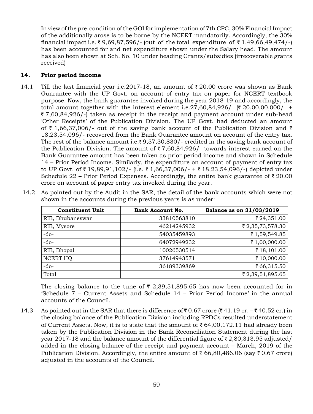In view of the pre-condition of the GOI for implementation of 7th CPC, 30% Financial Impact of the additionally arose is to be borne by the NCERT mandatorily. Accordingly, the 30% financial impact i.e.  $\bar{\zeta}$  9,69,87,596/- (out of the total expenditure of  $\bar{\zeta}$  1,49,66,49,474/-) has been accounted for and net expenditure shown under the Salary head. The amount has also been shown at Sch. No. 10 under heading Grants/subsidies (irrecoverable grants received)

### **14. Prior period income**

14.1 Till the last financial year i.e. 2017-18, an amount of  $\bar{\tau}$  20.00 crore was shown as Bank Guarantee with the UP Govt. on account of entry tax on paper for NCERT textbook purpose. Now, the bank guarantee invoked during the year 2018-19 and accordingly, the total amount together with the interest element i.e.  $27,60,84,926/$ - (₹ 20,00,00,000/- +  $\bar{\zeta}$  7,60,84,926/-) taken as receipt in the receipt and payment account under sub-head 'Other Receipts' of the Publication Division. The UP Govt. had deducted an amount of  $\bar{\tau}$  1,66,37,006/- out of the saving bank account of the Publication Division and  $\bar{\tau}$ 18,23,54,096/- recovered from the Bank Guarantee amount on account of the entry tax. The rest of the balance amount i.e.  $\overline{3}9,37,30,830/$ - credited in the saving bank account of the Publication Division. The amount of  $\bar{\tau}$  7,60,84,926/- towards interest earned on the Bank Guarantee amount has been taken as prior period income and shown in Schedule 14 – Prior Period Income. Similarly, the expenditure on account of payment of entry tax to UP Govt. of  $\bar{\tau}$  19,89,91,102/- (i.e.  $\bar{\tau}$  1,66,37,006/- +  $\bar{\tau}$  18,23,54,096/-) depicted under Schedule 22 – Prior Period Expenses. Accordingly, the entire bank guarantee of  $\bar{\tau}$  20.00 crore on account of paper entry tax invoked during the year.

| <b>Constituent Unit</b> | <b>Bank Account No.</b> | Balance as on 31/03/2019 |
|-------------------------|-------------------------|--------------------------|
| RIE, Bhubaneswar        | 33810563810             | ₹ 24,351.00              |
| RIE, Mysore             | 46214245932             | ₹ 2,35,73,578.30         |
| $-do-$                  | 54035459893             | ₹1,59,549.85             |
| $-do-$                  | 64072949232             | ₹ 1,00,000.00            |
| RIE, Bhopal             | 10026530514             | ₹18,101.00               |
| NCERT HQ                | 37614943571             | ₹10,000.00               |
| $-do-$                  | 36189339869             | ₹66,315.50               |
| Total                   |                         | ₹2,39,51,895.65          |

 14.2 As pointed out by the Audit in the SAR, the detail of the bank accounts which were not shown in the accounts during the previous years is as under:

The closing balance to the tune of  $\bar{\tau}$  2,39,51,895.65 has now been accounted for in 'Schedule 7 – Current Assets and Schedule 14 – Prior Period Income' in the annual accounts of the Council.

14.3 As pointed out in the SAR that there is difference of  $\bar{\tau}$  0.67 crore ( $\bar{\tau}$  41.19 cr. –  $\bar{\tau}$  40.52 cr.) in the closing balance of the Publication Division including RPDCs resulted understatement of Current Assets. Now, it is to state that the amount of  $\bar{\tau}$  64,00,172.11 had already been taken by the Publication Division in the Bank Reconciliation Statement during the last year 2017-18 and the balance amount of the differential figure of  $\bar{\tau}$  2,80,313.95 adjusted/ added in the closing balance of the receipt and payment account – March, 2019 of the Publication Division. Accordingly, the entire amount of  $\bar{\tau}$  66,80,486.06 (say  $\bar{\tau}$  0.67 crore) adjusted in the accounts of the Council.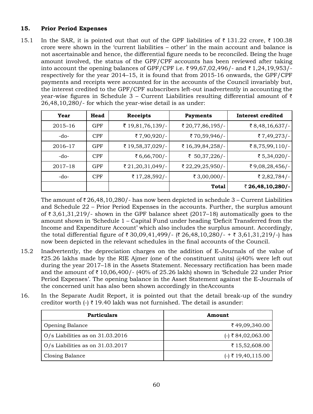### **15. Prior Period Expenses**

15.1 In the SAR, it is pointed out that out of the GPF liabilities of  $\bar{\tau}$  131.22 crore,  $\bar{\tau}$  100.38 crore were shown in the 'current liabilities – other' in the main account and balance is not ascertainable and hence, the differential figure needs to be reconciled. Being the huge amount involved, the status of the GPF/CPF accounts has been reviewed after taking into account the opening balances of GPF/CPF i.e.  $\bar{\tau}$ 99,67,02,496/- and  $\bar{\tau}$  1,24,19,953/respectively for the year 2014–15, it is found that from 2015-16 onwards, the GPF/CPF payments and receipts were accounted for in the accounts of the Council invariably but, the interest credited to the GPF/CPF subscribers left-out inadvertently in accounting the year-wise figures in Schedule 3 – Current Liabilities resulting differential amount of  $\bar{\tau}$ 26,48,10,280/- for which the year-wise detail is as under:

| Year        | Head       | <b>Receipts</b>  | <b>Payments</b>  | Interest credited |
|-------------|------------|------------------|------------------|-------------------|
| $2015 - 16$ | <b>GPF</b> | ₹ 19,81,76,139/- | ₹ 20,77,86,195/- | ₹ $8,48,16,637/$  |
| $-do-$      | <b>CPF</b> | ₹7,90,920/-      | ₹70,59,946/-     | ₹ $7,49,273/$     |
| 2016-17     | <b>GPF</b> | ₹ 19,58,37,029/- | ₹ 16,39,84,258/- | ₹ $8,75,99,110/-$ |
| $-do-$      | <b>CPF</b> | ₹ 6,66,700/-     | ₹ 50,37,226/-    | ₹ 5,34,020/-      |
| $2017 - 18$ | <b>GPF</b> | ₹ 21,20,31,049/- | ₹ 22,29,25,950/- | ₹9,08,28,456/-    |
| $-do-$      | <b>CPF</b> | ₹ 17,28,592/-    | ₹ 3,00,000/-     | ₹ 2,82,784/-      |
|             |            |                  | <b>Total</b>     | ₹ 26,48,10,280/-  |

The amount of  $\bar{\tau}$  26,48,10,280/- has now been depicted in schedule 3 – Current Liabilities and Schedule 22 – Prior Period Expenses in the accounts. Further, the surplus amount of  $\bar{\tau}$  3,61,31,219/- shown in the GPF balance sheet (2017–18) automatically goes to the amount shown in 'Schedule 1 – Capital Fund under heading 'Deficit Transferred from the Income and Expenditure Account' which also includes the surplus amount. Accordingly, the total differential figure of  $\bar{\tau}$  30,09,41,499/- ( $\bar{\tau}$  26,48,10,280/- +  $\bar{\tau}$  3,61,31,219/-) has now been depicted in the relevant schedules in the final accounts of the Council.

- 15.2 Inadvertently, the depreciation charges on the addition of E-Journals of the value of  $\overline{\epsilon}25.26$  lakhs made by the RIE Ajmer (one of the constituent units) @40% were left out during the year 2017–18 in the Assets Statement. Necessary rectification has been made and the amount of  $\bar{\tau}$  10,06,400/- (40% of 25.26 lakh) shown in 'Schedule 22 under Prior Period Expenses'. The opening balance in the Asset Statement against the E-Journals of the concerned unit has also been shown accordingly in theAccounts
- 16. In the Separate Audit Report, it is pointed out that the detail break-up of the sundry creditor worth  $\left(-\right)$   $\bar{\left(-\right)}$  19.40 lakh was not furnished. The detail is asunder:

| <b>Particulars</b>                 | Amount               |
|------------------------------------|----------------------|
| Opening Balance                    | ₹49,09,340.00        |
| $O/s$ Liabilities as on 31.03.2016 | $(-)$ ₹ 84,02,063.00 |
| O/s Liabilities as on $31.03.2017$ | ₹15,52,608.00        |
| Closing Balance                    | $(-)$ ₹ 19,40,115.00 |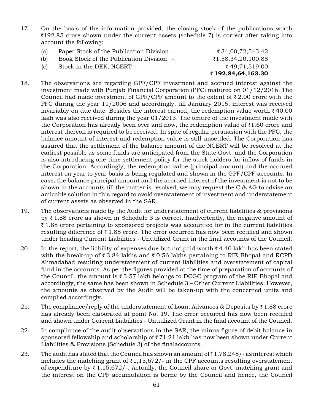- 17. On the basis of the information provided, the closing stock of the publications worth  $\overline{\zeta}$ 192.85 crore shown under the current assets (schedule 7) is correct after taking into account the following:
	- (a) Paper Stock of the Publication Division  $\sqrt{34,00,72,543.42}$ (b) Book Stock of the Publication Division -  $\bar{z}1,58,34,20,100.88$
	-
	-
	- (c) Stock in the DEK, NCERT  $\zeta$  49,71,519.00 ` **192,84,64,163.30**
- 18. The observations are regarding GPF/CPF investment and accrued interest against the investment made with Punjab Financial Corporation (PFC) matured on 01/12/2016. The Council had made investment of GPF/CPF amount to the extent of  $\bar{\tau}$  2.00 crore with the PFC during the year 11/2006 and accordingly, till January 2015, interest was received invariably on due date. Besides the interest earned, the redemption value worth  $\bar{\tau}$  40.00 lakh was also received during the year 01/2013. The tenure of the investment made with the Corporation has already been over and now, the redemption value of  $\bar{\tau}1.60$  crore and interest thereon is required to be received. In spite of regular persuasion with the PFC, the balance amount of interest and redemption value is still unsettled. The Corporation has assured that the settlement of the balance amount of the NCERT will be resolved at the earliest possible as some funds are anticipated from the State Govt. and the Corporation is also introducing one-time settlement policy for the stock holders for inflow of funds in the Corporation. Accordingly, the redemption value (principal amount) and the accrued interest on year to year basis is being regulated and shown in the GPF/CPF accounts. In case, the balance principal amount and the accrued interest of the investment is not to be shown in the accounts till the matter is resolved, we may request the C & AG to advise an amicable solution in this regard to avoid overstatement of investment and understatement of current assets as observed in the SAR.
- 19. The observations made by the Audit for understatement of current liabilities & provisions by  $\bar{\tau}$  1.88 crore as shown in Schedule 3 is correct. Inadvertently, the negative amount of  $\bar{\zeta}$  1.88 crore pertaining to sponsored projects was accounted for in the current liabilities resulting difference of  $\bar{\tau}$  1.88 crore. The error occurred has now been rectified and shown under heading Current Liabilities - Unutilized Grant in the final accounts of the Council.
- 20. In the report, the liability of expenses due but not paid worth  $\bar{\tau}$  4.40 lakh has been stated with the break-up of  $\bar{\tau}$  3.84 lakhs and  $\bar{\tau}$  0.56 lakhs pertaining to RIE Bhopal and RCPD Ahmadabad resulting understatement of current liabilities and overstatement of capital fund in the accounts. As per the figures provided at the time of preparation of accounts of the Council, the amount is  $\bar{\tau}$  3.57 lakh belongs to DCGC program of the RIE Bhopal and accordingly, the same has been shown in Schedule 3 – Other Current Liabilities. However, the amounts as observed by the Audit will be taken-up with the concerned units and complied accordingly.
- 21. The compliance/reply of the understatement of Loan, Advances & Deposits by  $\bar{\tau}$  1.88 crore has already been elaborated at point No. 19. The error occurred has now been rectified and shown under Current Liabilities - Unutilized Grant in the final account of the Council.
- 22. In compliance of the audit observations in the SAR, the minus figure of debit balance in sponsored fellowship and scholarship of  $\bar{z}$  71.21 lakh has now been shown under Current Liabilities & Provisions (Schedule 3) of the finalaccounts.
- 23. The audit has stated that the Council has shown an amount of  $\bar{\tau}$  1,78,248/- as interest which includes the matching grant of  $\bar{\tau}1,15,672/$ - in the CPF accounts resulting overstatement of expenditure by  $\bar{\tau}$  1,15,672/-. Actually, the Council share or Govt. matching grant and the interest on the CPF accumulation is borne by the Council and hence, the Council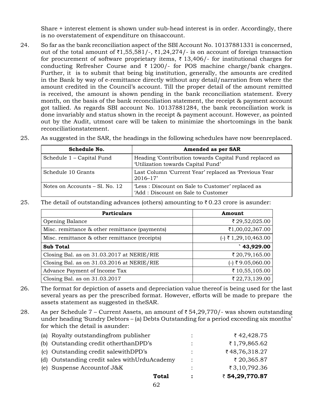Share + interest element is shown under sub-head interest is in order. Accordingly, there is no overstatement of expenditure on thisaccount.

- 24. So far as the bank reconciliation aspect of the SBI Account No. 10137881331 is concerned, out of the total amount of  $\bar{\tau}1,55,581/$ -,  $\bar{\tau}1,24,274/$ - is on account of foreign transaction for procurement of software proprietary items,  $\bar{\tau}$  13,406/- for institutional charges for conducting Refresher Course and  $\bar{\tau}$  1200/- for POS machine charge/bank charges. Further, it is to submit that being big institution, generally, the amounts are credited in the Bank by way of e-remittance directly without any detail/narration from where the amount credited in the Council's account. Till the proper detail of the amount remitted is received, the amount is shown pending in the bank reconciliation statement. Every month, on the basis of the bank reconciliation statement, the receipt & payment account got tallied. As regards SBI account No. 10137881284, the bank reconciliation work is done invariably and status shown in the receipt & payment account. However, as pointed out by the Audit, utmost care will be taken to minimize the shortcomings in the bank reconciliationstatement.
- 25. As suggested in the SAR, the headings in the following schedules have now beenreplaced.

| Schedule No.                     | <b>Amended as per SAR</b>                                                                    |
|----------------------------------|----------------------------------------------------------------------------------------------|
| Schedule 1 – Capital Fund        | Heading 'Contribution towards Capital Fund replaced as<br>'Utilization towards Capital Fund' |
| Schedule 10 Grants               | Last Column 'Current Year' replaced as 'Previous Year<br>$2016 - 17'$                        |
| Notes on Accounts $-$ Sl. No. 12 | 'Less: Discount on Sale to Customer' replaced as<br>'Add : Discount on Sale to Customer      |

25. The detail of outstanding advances (others) amounting to  $\bar{\tau}$  0.23 crore is asunder:

| <b>Particulars</b>                             | Amount                 |
|------------------------------------------------|------------------------|
| Opening Balance                                | ₹ 29,52,025.00         |
| Misc. remittance & other remittance (payments) | ₹1,00,02,367.00        |
| Misc. remittance & other remittance (receipts) | $(-)$ ₹ 1,29,10,463.00 |
| <b>Sub Total</b>                               | 43,929.00              |
| Closing Bal. as on 31.03.2017 at NERIE/RIE     | ₹ 20,79,165.00         |
| Closing Bal. as on 31.03.2016 at NERIE/RIE     | $(-)$ ₹9.05,060.00     |
| Advance Payment of Income Tax                  | ₹10,55,105.00          |
| Closing Bal. as on $31.03.2017$                | ₹ 22,73,139.00         |

- 26. The format for depiction of assets and depreciation value thereof is being used for the last several years as per the prescribed format. However, efforts will be made to prepare the assets statement as suggested in theSAR.
- 28. As per Schedule 7 Current Assets, an amount of  $\bar{\tau}$  54,29,770/- was shown outstanding under heading 'Sundry Debtors – (a) Debts Outstanding for a period exceeding six months' for which the detail is asunder:

| Total                                          | $\ddot{\cdot}$       | ₹ 54,29,770.87 |
|------------------------------------------------|----------------------|----------------|
| (e) Suspense Account of J&K                    | $\bullet$            | ₹3,10,792.36   |
| (d) Outstanding credit sales with Urdu Academy | $\ddot{\phantom{0}}$ | ₹ 20,365.87    |
| (c) Outstanding credit salewith DPD's          | $\ddot{\cdot}$       | ₹48,76,318.27  |
| (b) Outstanding credit otherthanDPD's          | $\ddot{\cdot}$       | ₹1,79,865.62   |
| (a) Royalty outstanding from publisher         | ٠<br>$\cdot$         | ₹42,428.75     |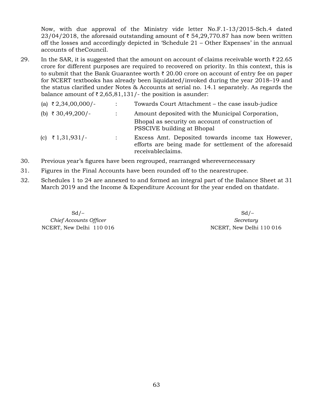Now, with due approval of the Ministry vide letter No.F.1-13/2015-Sch.4 dated  $23/04/2018$ , the aforesaid outstanding amount of  $\bar{\tau}$  54,29,770.87 has now been written off the losses and accordingly depicted in 'Schedule 21 – Other Expenses' in the annual accounts of theCouncil.

29. In the SAR, it is suggested that the amount on account of claims receivable worth  $\bar{\tau}$  22.65 crore for different purposes are required to recovered on priority. In this context, this is to submit that the Bank Guarantee worth  $\bar{\tau}$  20.00 crore on account of entry fee on paper for NCERT textbooks has already been liquidated/invoked during the year 2018–19 and the status clarified under Notes & Accounts at serial no. 14.1 separately. As regards the balance amount of  $\bar{\tau}$  2,65,81,131/- the position is asunder:

| (a) ₹2,34,00,000/- |                | Towards Court Attachment – the case issub-judice                                                            |  |  |  |
|--------------------|----------------|-------------------------------------------------------------------------------------------------------------|--|--|--|
| (b) ₹ 30,49,200/-  |                | Amount deposited with the Municipal Corporation,                                                            |  |  |  |
|                    |                | Bhopal as security on account of construction of<br>PSSCIVE building at Bhopal                              |  |  |  |
| (c) ₹1,31,931/-    | $\ddot{\cdot}$ | Excess Amt. Deposited towards income tax However,<br>efforts are being made for settlement of the aforesaid |  |  |  |
|                    |                |                                                                                                             |  |  |  |

- 30. Previous year's figures have been regrouped, rearranged wherevernecessary
- 31. Figures in the Final Accounts have been rounded off to the nearestrupee.
- 32. Schedules 1 to 24 are annexed to and formed an integral part of the Balance Sheet at 31 March 2019 and the Income & Expenditure Account for the year ended on thatdate.

receivableclaims.

 $C$ *hief Accounts Officer Secretary* NCERT, New Delhi 110 016 NCERT, New Delhi 110 016

 $Sd$  –  $Sd$  –  $Sd$  –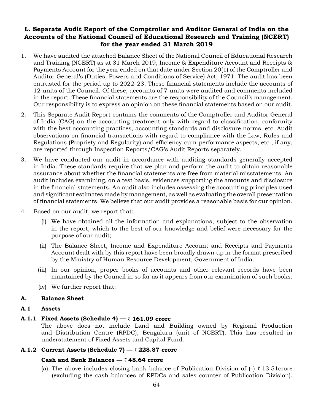### **L. Separate Audit Report of the Comptroller and Auditor General of India on the Accounts of the National Council of Educational Research and Training (NCERT) for the year ended 31 March 2019**

- 1. We have audited the attached Balance Sheet of the National Council of Educational Research and Training (NCERT) as at 31 March 2019, Income & Expenditure Account and Receipts & Payments Account for the year ended on that date under Section 20(1) of the Comptroller and Auditor General's (Duties, Powers and Conditions of Service) Act, 1971. The audit has been entrusted for the period up to 2022–23. These financial statements include the accounts of 12 units of the Council. Of these, accounts of 7 units were audited and comments included in the report. These financial statements are the responsibility of the Council's management. Our responsibility is to express an opinion on these financial statements based on our audit.
- 2. This Separate Audit Report contains the comments of the Comptroller and Auditor General of India (CAG) on the accounting treatment only with regard to classification, conformity with the best accounting practices, accounting standards and disclosure norms, etc. Audit observations on financial transactions with regard to compliance with the Law, Rules and Regulations (Propriety and Regularity) and efficiency-cum-performance aspects, etc., if any, are reported through Inspection Reports/CAG's Audit Reports separately.
- 3. We have conducted our audit in accordance with auditing standards generally accepted in India. These standards require that we plan and perform the audit to obtain reasonable assurance about whether the financial statements are free from material misstatements. An audit includes examining, on a test basis, evidences supporting the amounts and disclosure in the financial statements. An audit also includes assessing the accounting principles used and significant estimates made by management, as well as evaluating the overall presentation of financial statements. We believe that our audit provides a reasonable basis for our opinion.
- 4. Based on our audit, we report that:
	- (i) We have obtained all the information and explanations, subject to the observation in the report, which to the best of our knowledge and belief were necessary for the purpose of our audit;
	- (ii) The Balance Sheet, Income and Expenditure Account and Receipts and Payments Account dealt with by this report have been broadly drawn up in the format prescribed by the Ministry of Human Resource Development, Government of India.
	- (iii) In our opinion, proper books of accounts and other relevant records have been maintained by the Council in so far as it appears from our examination of such books.
	- (iv) We further report that:

### **A. Balance Sheet**

### **A.1 Assets**

### **A.1.1 Fixed Assets (Schedule 4) —** ` **161.09 crore**

The above does not include Land and Building owned by Regional Production and Distribution Centre (RPDC), Bengaluru (unit of NCERT). This has resulted in understatement of Fixed Assets and Capital Fund.

### **A.1.2 Current Assets (Schedule 7) —** ` **228.87 crore**

### **Cash and Bank Balances —** ` **48.64 crore**

(a) The above includes closing bank balance of Publication Division of  $\left(-\right)$   $\bar{\tau}$  13.51 crore (excluding the cash balances of RPDCs and sales counter of Publication Division).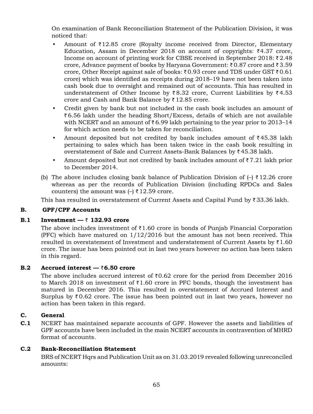On examination of Bank Reconciliation Statement of the Publication Division, it was noticed that:

- Amount of  $\bar{\tau}$ 12.85 crore (Royalty income received from Director, Elementary Education, Assam in December 2018 on account of copyrights:  $\overline{\zeta}4.37$  crore, Income on account of printing work for CBSE received in September 2018:  $\bar{\tau}$  2.48 crore, Advance payment of books by Haryana Government:  $\bar{\tau}$  0.87 crore and  $\bar{\tau}$  3.59 crore, Other Receipt against sale of books:  $\bar{\tau}$  0.93 crore and TDS under GST  $\bar{\tau}$  0.61 crore) which was identified as receipts during 2018–19 have not been taken into cash book due to oversight and remained out of accounts. This has resulted in understatement of Other Income by  $\bar{\tau}$ 8.32 crore, Current Liabilities by  $\bar{\tau}$ 4.53 crore and Cash and Bank Balance by  $\bar{z}$  12.85 crore.
- Credit given by bank but not included in the cash book includes an amount of  $\bar{\zeta}$  6.56 lakh under the heading Short/Excess, details of which are not available with NCERT and an amount of  $\bar{\tau}$  6.99 lakh pertaining to the year prior to 2013–14 for which action needs to be taken for reconciliation.
- Amount deposited but not credited by bank includes amount of  $\bar{\tau}$  45.38 lakh pertaining to sales which has been taken twice in the cash book resulting in overstatement of Sale and Current Assets-Bank Balances by  $\bar{z}$  45.38 lakh.
- Amount deposited but not credited by bank includes amount of  $\bar{\tau}$  7.21 lakh prior to December 2014.
- (b) The above includes closing bank balance of Publication Division of  $\left(-\right)$  ₹12.26 crore whereas as per the records of Publication Division (including RPDCs and Sales counters) the amount was  $\left(-\right)$  ₹ 12.59 crore.

This has resulted in overstatement of Current Assets and Capital Fund by  $\bar{z}$  33.36 lakh.

### **B. GPF/CPF Accounts**

### **B.1** Investment  $-\overline{\zeta}$  132.93 crore

The above includes investment of  $\bar{\tau}$ 1.60 crore in bonds of Punjab Financial Corporation (PFC) which have matured on  $1/12/2016$  but the amount has not been received. This resulted in overstatement of Investment and understatement of Current Assets by  $\bar{\tau}1.60$ crore. The issue has been pointed out in last two years however no action has been taken in this regard.

### **B.2** Accrued interest −  $\bar{z}$ 6.50 crore

The above includes accrued interest of  $\bar{\tau}0.62$  crore for the period from December 2016 to March 2018 on investment of  $\bar{\tau}1.60$  crore in PFC bonds, though the investment has matured in December 2016. This resulted in overstatement of Accrued Interest and Surplus by  $\bar{\tau}$  0.62 crore. The issue has been pointed out in last two years, however no action has been taken in this regard.

### **C. General**

**C.1** NCERT has maintained separate accounts of GPF. However the assets and liabilities of GPF accounts have been included in the main NCERT accounts in contravention of MHRD format of accounts.

### **C.2 Bank-Reconciliation Statement**

BRS of NCERT Hqrs and Publication Unit as on 31.03.2019 revealed following unreconciled amounts: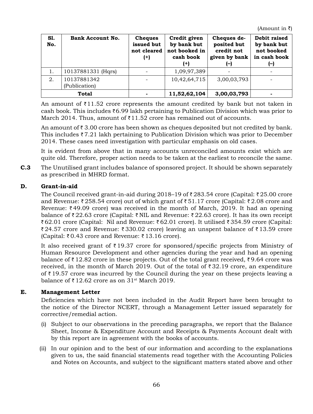(Amount in  $\bar{z}$ )

| S1.<br>No. | <b>Bank Account No.</b>      | <b>Cheques</b><br>issued but<br>not cleared<br>$^{(+)}$ | Credit given<br>by bank but<br>not booked in<br>cash book<br>$^{(+)}$ | Cheques de-<br>posited but<br>credit not<br>given by bank<br>(–) | Debit raised<br>by bank but<br>not booked<br>in cash book<br>$(\neg)$ |
|------------|------------------------------|---------------------------------------------------------|-----------------------------------------------------------------------|------------------------------------------------------------------|-----------------------------------------------------------------------|
|            | 10137881331 (Hqrs)           |                                                         | 1,09,97,389                                                           |                                                                  |                                                                       |
| 2.         | 10137881342<br>(Publication) |                                                         | 10,42,64,715                                                          | 3,00,03,793                                                      |                                                                       |
|            | <b>Total</b>                 |                                                         | 11,52,62,104                                                          | 3,00,03,793                                                      |                                                                       |

An amount of  $\bar{\tau}$ 11.52 crore represents the amount credited by bank but not taken in cash book. This includes  $\bar{\tau}$  6.99 lakh pertaining to Publication Division which was prior to March 2014. Thus, amount of  $\bar{\tau}$ 11.52 crore has remained out of accounts.

An amount of  $\bar{\tau}$  3.00 crore has been shown as cheques deposited but not credited by bank. This includes  $\bar{z}$  7.21 lakh pertaining to Publication Division which was prior to December 2014. These cases need investigation with particular emphasis on old cases.

It is evident from above that in many accounts unreconciled amounts exist which are quite old. Therefore, proper action needs to be taken at the earliest to reconcile the same.

**C.3** The Unutilised grant includes balance of sponsored project. It should be shown separately as prescribed in MHRD format.

### **D. Grant-in-aid**

The Council received grant-in-aid during 2018–19 of  $\bar{\tau}$  283.54 crore (Capital:  $\bar{\tau}$  25.00 crore and Revenue:  $\bar{\tau}$  258.54 crore) out of which grant of  $\bar{\tau}$  51.17 crore (Capital:  $\bar{\tau}$  2.08 crore and Revenue:  $\bar{\tau}$  49.09 crore) was received in the month of March, 2019. It had an opening balance of  $\bar{\tau}$  22.63 crore (Capital:  $\bar{\tau}$  NIL and Revenue:  $\bar{\tau}$  22.63 crore). It has its own receipt  $\bar{\zeta}$  62.01 crore (Capital: Nil and Revenue:  $\bar{\zeta}$  62.01 crore). It utilised  $\bar{\zeta}$  354.59 crore (Capital:  $\bar{\tau}$  24.57 crore and Revenue:  $\bar{\tau}$  330.02 crore) leaving an unspent balance of  $\bar{\tau}$  13.59 crore  $(Capital: \overline{\tau} 0.43$  crore and Revenue:  $\overline{\tau} 13.16$  crore).

It also received grant of  $\bar{\tau}$  19.37 crore for sponsored/specific projects from Ministry of Human Resource Development and other agencies during the year and had an opening balance of  $\bar{\tau}$  12.82 crore in these projects. Out of the total grant received,  $\bar{\tau}$  9.64 crore was received, in the month of March 2019. Out of the total of  $\bar{\tau}$  32.19 crore, an expenditure of  $\bar{\tau}$  19.57 crore was incurred by the Council during the year on these projects leaving a balance of  $\bar{\tau}$  12.62 crore as on 31<sup>st</sup> March 2019.

### **E. Management Letter**

Deficiencies which have not been included in the Audit Report have been brought to the notice of the Director NCERT, through a Management Letter issued separately for corrective/remedial action.

- (i) Subject to our observations in the preceding paragraphs, we report that the Balance Sheet, Income & Expenditure Account and Receipts & Payments Account dealt with by this report are in agreement with the books of accounts.
- (ii) In our opinion and to the best of our information and according to the explanations given to us, the said financial statements read together with the Accounting Policies and Notes on Accounts, and subject to the significant matters stated above and other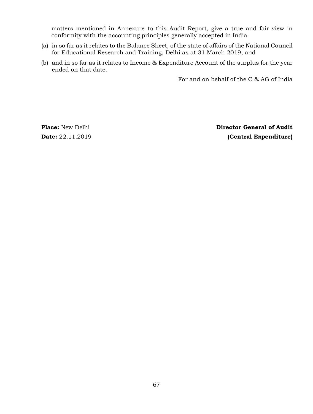matters mentioned in Annexure to this Audit Report, give a true and fair view in conformity with the accounting principles generally accepted in India.

- (a) in so far as it relates to the Balance Sheet, of the state of affairs of the National Council for Educational Research and Training, Delhi as at 31 March 2019; and
- (b) and in so far as it relates to Income & Expenditure Account of the surplus for the year ended on that date.

For and on behalf of the C & AG of India

**Place:** New Delhi **Director General of Audit Date:** 22.11.2019 **(Central Expenditure)**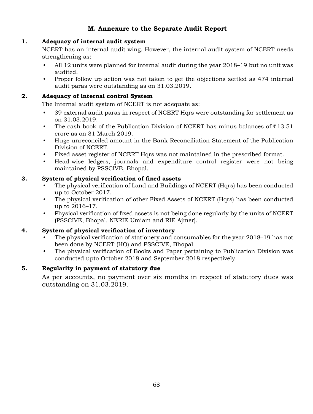# **M. Annexure to the Separate Audit Report**

### **1. Adequacy of internal audit system**

NCERT has an internal audit wing. However, the internal audit system of NCERT needs strengthening as:

- All 12 units were planned for internal audit during the year 2018–19 but no unit was audited.
- Proper follow up action was not taken to get the objections settled as 474 internal audit paras were outstanding as on 31.03.2019.

### **2. Adequacy of internal control System**

The Internal audit system of NCERT is not adequate as:

- 39 external audit paras in respect of NCERT Hqrs were outstanding for settlement as on 31.03.2019.
- The cash book of the Publication Division of NCERT has minus balances of  $\bar{\tau}$  13.51 crore as on 31 March 2019.
- Huge unreconciled amount in the Bank Reconciliation Statement of the Publication Division of NCERT.
- Fixed asset register of NCERT Hqrs was not maintained in the prescribed format.
- Head-wise ledgers, journals and expenditure control register were not being maintained by PSSCIVE, Bhopal.

## **3. System of physical verification of fixed assets**

- The physical verification of Land and Buildings of NCERT (Hqrs) has been conducted up to October 2017.
- The physical verification of other Fixed Assets of NCERT (Hqrs) has been conducted up to 2016–17.
- Physical verification of fixed assets is not being done regularly by the units of NCERT (PSSCIVE, Bhopal, NERIE Umiam and RIE Ajmer).

### **4. System of physical verification of inventory**

- The physical verification of stationery and consumables for the year 2018–19 has not been done by NCERT (HQ) and PSSCIVE, Bhopal.
- The physical verification of Books and Paper pertaining to Publication Division was conducted upto October 2018 and September 2018 respectively.

### **5. Regularity in payment of statutory due**

As per accounts, no payment over six months in respect of statutory dues was outstanding on 31.03.2019.